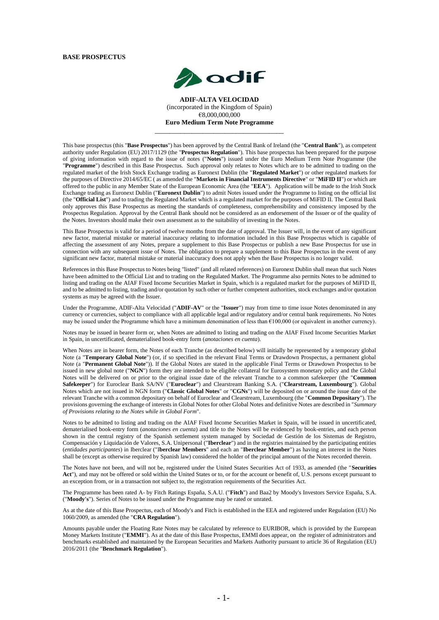#### **BASE PROSPECTUS**



**ADIF-ALTA VELOCIDAD** (incorporated in the Kingdom of Spain) €8,000,000,000 **Euro Medium Term Note Programme**

\_\_\_\_\_\_\_\_\_\_\_\_\_\_\_\_\_\_\_\_\_\_\_\_\_\_\_\_\_\_\_\_\_\_\_

This base prospectus (this "**Base Prospectus**") has been approved by the Central Bank of Ireland (the "**Central Bank**"), as competent authority under Regulation (EU) 2017/1129 (the "**Prospectus Regulation**"). This base prospectus has been prepared for the purpose of giving information with regard to the issue of notes ("**Notes**") issued under the Euro Medium Term Note Programme (the "**Programme**") described in this Base Prospectus. Such approval only relates to Notes which are to be admitted to trading on the regulated market of the Irish Stock Exchange trading as Euronext Dublin (the "**Regulated Market**") or other regulated markets for the purposes of Directive 2014/65/EC ( as amended the "**Markets in Financial Instruments Directive**" or "**MiFID II**") or which are offered to the public in any Member State of the European Economic Area (the "**EEA**"). Application will be made to the Irish Stock Exchange trading as Euronext Dublin ("**Euronext Dublin**") to admit Notes issued under the Programme to listing on the official list (the "**Official List**") and to trading the Regulated Market which is a regulated market for the purposes of MiFID II. The Central Bank only approves this Base Prospectus as meeting the standards of completeness, comprehensibility and consistency imposed by the Prospectus Regulation. Approval by the Central Bank should not be considered as an endorsement of the Issuer or of the quality of the Notes. Investors should make their own assessment as to the suitability of investing in the Notes.

This Base Prospectus is valid for a period of twelve months from the date of approval. The Issuer will, in the event of any significant new factor, material mistake or material inaccuracy relating to information included in this Base Prospectus which is capable of affecting the assessment of any Notes, prepare a supplement to this Base Prospectus or publish a new Base Prospectus for use in connection with any subsequent issue of Notes. The obligation to prepare a supplement to this Base Prospectus in the event of any significant new factor, material mistake or material inaccuracy does not apply when the Base Prospectus is no longer valid.

References in this Base Prospectus to Notes being "listed" (and all related references) on Euronext Dublin shall mean that such Notes have been admitted to the Official List and to trading on the Regulated Market. The Programme also permits Notes to be admitted to listing and trading on the AIAF Fixed Income Securities Market in Spain, which is a regulated market for the purposes of MiFID II, and to be admitted to listing, trading and/or quotation by such other or further competent authorities, stock exchanges and/or quotation systems as may be agreed with the Issuer.

Under the Programme, ADIF-Alta Velocidad ("**ADIF-AV**" or the "**Issuer**") may from time to time issue Notes denominated in any currency or currencies, subject to compliance with all applicable legal and/or regulatory and/or central bank requirements. No Notes may be issued under the Programme which have a minimum denomination of less than  $\epsilon$ 100,000 (or equivalent in another currency).

Notes may be issued in bearer form or, when Notes are admitted to listing and trading on the AIAF Fixed Income Securities Market in Spain, in uncertificated, dematerialised book-entry form (*anotaciones en cuenta*).

When Notes are in bearer form, the Notes of each Tranche (as described below) will initially be represented by a temporary global Note (a "**Temporary Global Note**") (or, if so specified in the relevant Final Terms or Drawdown Prospectus, a permanent global Note (a "**Permanent Global Note**")). If the Global Notes are stated in the applicable Final Terms or Drawdown Prospectus to be issued in new global note ("NGN") form they are intended to be eligible collateral for Eurosystem monetary policy and the Global Notes will be delivered on or prior to the original issue date of the relevant Tranche to a common safekeeper (the "**Common Safekeeper**") for Euroclear Bank SA/NV ("**Euroclear**") and Clearstream Banking S.A. ("**Clearstream, Luxembourg**"). Global Notes which are not issued in NGN form ("**Classic Global Notes**" or "**CGNs**") will be deposited on or around the issue date of the relevant Tranche with a common depositary on behalf of Euroclear and Clearstream, Luxembourg (the "**Common Depositary**"). The provisions governing the exchange of interests in Global Notes for other Global Notes and definitive Notes are described in "*Summary of Provisions relating to the Notes while in Global Form*".

Notes to be admitted to listing and trading on the AIAF Fixed Income Securities Market in Spain, will be issued in uncertificated, dematerialised book-entry form (*anotaciones en cuenta*) and title to the Notes will be evidenced by book-entries, and each person shown in the central registry of the Spanish settlement system managed by Sociedad de Gestión de los Sistemas de Registro, Compensación y Liquidación de Valores, S.A. Unipersonal ("**Iberclear**") and in the registries maintained by the participating entities (*entidades participantes*) in Iberclear ("I**berclear Members**" and each an "**Iberclear Member**") as having an interest in the Notes shall be (except as otherwise required by Spanish law) considered the holder of the principal amount of the Notes recorded therein.

The Notes have not been, and will not be, registered under the United States Securities Act of 1933, as amended (the "**Securities Act**"), and may not be offered or sold within the United States or to, or for the account or benefit of, U.S. persons except pursuant to an exception from, or in a transaction not subject to, the registration requirements of the Securities Act.

The Programme has been rated A- by Fitch Ratings España, S.A.U. ("**Fitch**") and Baa2 by Moody's Investors Service España, S.A. ("**Moody's**"). Series of Notes to be issued under the Programme may be rated or unrated.

As at the date of this Base Prospectus, each of Moody's and Fitch is established in the EEA and registered under Regulation (EU) No 1060/2009, as amended (the "**CRA Regulation**").

Amounts payable under the Floating Rate Notes may be calculated by reference to EURIBOR, which is provided by the European Money Markets Institute ("**EMMI**"). As at the date of this Base Prospectus, EMMI does appear, on the register of administrators and benchmarks established and maintained by the European Securities and Markets Authority pursuant to article 36 of Regulation (EU) 2016/2011 (the "**Benchmark Regulation**").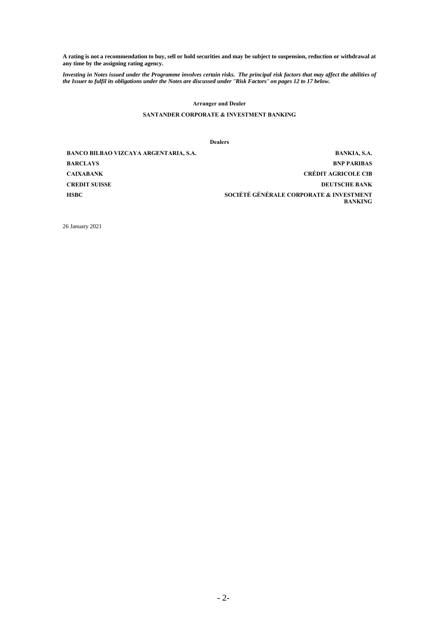**A rating is not a recommendation to buy, sell or hold securities and may be subject to suspension, reduction or withdrawal at any time by the assigning rating agency.**

*Investing in Notes issued under the Programme involves certain risks. The principal risk factors that may affect the abilities of the Issuer to fulfil its obligations under the Notes are discussed under "Risk Factors" on pages 12 to 17 below.*

#### **Arranger and Dealer**

## **SANTANDER CORPORATE & INVESTMENT BANKING**

**Dealers**

**BANCO BILBAO VIZCAYA ARGENTARIA, S.A. BANKIA, S.A. BARCLAYS BNP PARIBAS CAIXABANK CRÉDIT AGRICOLE CIB CREDIT SUISSE DEUTSCHE BANK HSBC SOCIÉTÉ GÉNÉRALE CORPORATE & INVESTMENT BANKING**

26 January 2021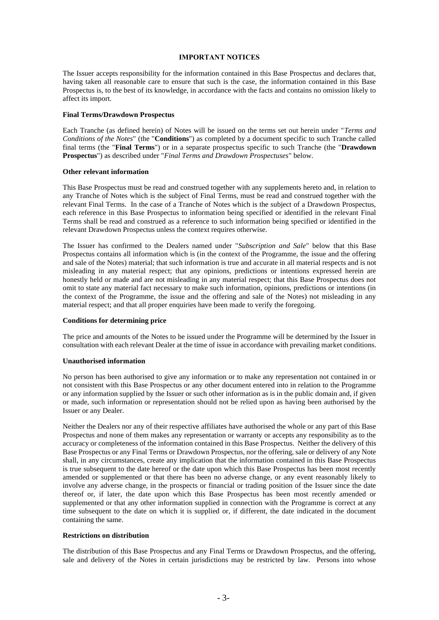#### **IMPORTANT NOTICES**

The Issuer accepts responsibility for the information contained in this Base Prospectus and declares that, having taken all reasonable care to ensure that such is the case, the information contained in this Base Prospectus is, to the best of its knowledge, in accordance with the facts and contains no omission likely to affect its import.

## **Final Terms/Drawdown Prospectus**

Each Tranche (as defined herein) of Notes will be issued on the terms set out herein under "*Terms and Conditions of the Notes*" (the "**Conditions**") as completed by a document specific to such Tranche called final terms (the "**Final Terms**") or in a separate prospectus specific to such Tranche (the "**Drawdown Prospectus**") as described under "*Final Terms and Drawdown Prospectuses*" below.

## **Other relevant information**

This Base Prospectus must be read and construed together with any supplements hereto and, in relation to any Tranche of Notes which is the subject of Final Terms, must be read and construed together with the relevant Final Terms. In the case of a Tranche of Notes which is the subject of a Drawdown Prospectus, each reference in this Base Prospectus to information being specified or identified in the relevant Final Terms shall be read and construed as a reference to such information being specified or identified in the relevant Drawdown Prospectus unless the context requires otherwise.

The Issuer has confirmed to the Dealers named under "*Subscription and Sale*" below that this Base Prospectus contains all information which is (in the context of the Programme, the issue and the offering and sale of the Notes) material; that such information is true and accurate in all material respects and is not misleading in any material respect; that any opinions, predictions or intentions expressed herein are honestly held or made and are not misleading in any material respect; that this Base Prospectus does not omit to state any material fact necessary to make such information, opinions, predictions or intentions (in the context of the Programme, the issue and the offering and sale of the Notes) not misleading in any material respect; and that all proper enquiries have been made to verify the foregoing.

#### **Conditions for determining price**

The price and amounts of the Notes to be issued under the Programme will be determined by the Issuer in consultation with each relevant Dealer at the time of issue in accordance with prevailing market conditions.

## **Unauthorised information**

No person has been authorised to give any information or to make any representation not contained in or not consistent with this Base Prospectus or any other document entered into in relation to the Programme or any information supplied by the Issuer or such other information as is in the public domain and, if given or made, such information or representation should not be relied upon as having been authorised by the Issuer or any Dealer.

Neither the Dealers nor any of their respective affiliates have authorised the whole or any part of this Base Prospectus and none of them makes any representation or warranty or accepts any responsibility as to the accuracy or completeness of the information contained in this Base Prospectus. Neither the delivery of this Base Prospectus or any Final Terms or Drawdown Prospectus, nor the offering, sale or delivery of any Note shall, in any circumstances, create any implication that the information contained in this Base Prospectus is true subsequent to the date hereof or the date upon which this Base Prospectus has been most recently amended or supplemented or that there has been no adverse change, or any event reasonably likely to involve any adverse change, in the prospects or financial or trading position of the Issuer since the date thereof or, if later, the date upon which this Base Prospectus has been most recently amended or supplemented or that any other information supplied in connection with the Programme is correct at any time subsequent to the date on which it is supplied or, if different, the date indicated in the document containing the same.

#### **Restrictions on distribution**

The distribution of this Base Prospectus and any Final Terms or Drawdown Prospectus, and the offering, sale and delivery of the Notes in certain jurisdictions may be restricted by law. Persons into whose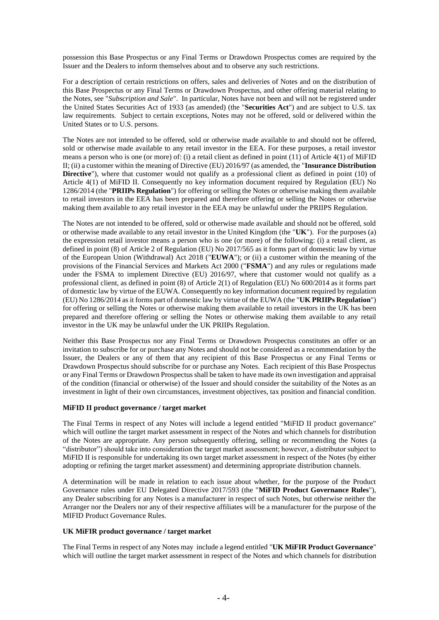possession this Base Prospectus or any Final Terms or Drawdown Prospectus comes are required by the Issuer and the Dealers to inform themselves about and to observe any such restrictions.

For a description of certain restrictions on offers, sales and deliveries of Notes and on the distribution of this Base Prospectus or any Final Terms or Drawdown Prospectus, and other offering material relating to the Notes, see "*Subscription and Sale*". In particular, Notes have not been and will not be registered under the United States Securities Act of 1933 (as amended) (the "**Securities Act**") and are subject to U.S. tax law requirements. Subject to certain exceptions, Notes may not be offered, sold or delivered within the United States or to U.S. persons.

The Notes are not intended to be offered, sold or otherwise made available to and should not be offered, sold or otherwise made available to any retail investor in the EEA. For these purposes, a retail investor means a person who is one (or more) of: (i) a retail client as defined in point (11) of Article 4(1) of MiFID II; (ii) a customer within the meaning of Directive (EU) 2016/97 (as amended, the "**Insurance Distribution Directive**"), where that customer would not qualify as a professional client as defined in point (10) of Article 4(1) of MiFID II. Consequently no key information document required by Regulation (EU) No 1286/2014 (the "**PRIIPs Regulation**") for offering or selling the Notes or otherwise making them available to retail investors in the EEA has been prepared and therefore offering or selling the Notes or otherwise making them available to any retail investor in the EEA may be unlawful under the PRIIPS Regulation.

The Notes are not intended to be offered, sold or otherwise made available and should not be offered, sold or otherwise made available to any retail investor in the United Kingdom (the "**UK**"). For the purposes (a) the expression retail investor means a person who is one (or more) of the following: (i) a retail client, as defined in point (8) of Article 2 of Regulation (EU) No 2017/565 as it forms part of domestic law by virtue of the European Union (Withdrawal) Act 2018 ("**EUWA**"); or (ii) a customer within the meaning of the provisions of the Financial Services and Markets Act 2000 ("**FSMA**") and any rules or regulations made under the FSMA to implement Directive (EU) 2016/97, where that customer would not qualify as a professional client, as defined in point (8) of Article 2(1) of Regulation (EU) No 600/2014 as it forms part of domestic law by virtue of the EUWA. Consequently no key information document required by regulation (EU) No 1286/2014 as it forms part of domestic law by virtue of the EUWA (the "**UK PRIIPs Regulation**") for offering or selling the Notes or otherwise making them available to retail investors in the UK has been prepared and therefore offering or selling the Notes or otherwise making them available to any retail investor in the UK may be unlawful under the UK PRIIPs Regulation.

Neither this Base Prospectus nor any Final Terms or Drawdown Prospectus constitutes an offer or an invitation to subscribe for or purchase any Notes and should not be considered as a recommendation by the Issuer, the Dealers or any of them that any recipient of this Base Prospectus or any Final Terms or Drawdown Prospectus should subscribe for or purchase any Notes. Each recipient of this Base Prospectus or any Final Terms or Drawdown Prospectus shall be taken to have made its own investigation and appraisal of the condition (financial or otherwise) of the Issuer and should consider the suitability of the Notes as an investment in light of their own circumstances, investment objectives, tax position and financial condition.

## **MiFID II product governance / target market**

The Final Terms in respect of any Notes will include a legend entitled "MiFID II product governance" which will outline the target market assessment in respect of the Notes and which channels for distribution of the Notes are appropriate. Any person subsequently offering, selling or recommending the Notes (a "distributor") should take into consideration the target market assessment; however, a distributor subject to MiFID II is responsible for undertaking its own target market assessment in respect of the Notes (by either adopting or refining the target market assessment) and determining appropriate distribution channels.

A determination will be made in relation to each issue about whether, for the purpose of the Product Governance rules under EU Delegated Directive 2017/593 (the "**MiFID Product Governance Rules**"), any Dealer subscribing for any Notes is a manufacturer in respect of such Notes, but otherwise neither the Arranger nor the Dealers nor any of their respective affiliates will be a manufacturer for the purpose of the MIFID Product Governance Rules.

#### **UK MiFIR product governance / target market**

The Final Terms in respect of any Notes may include a legend entitled "**UK MiFIR Product Governance**" which will outline the target market assessment in respect of the Notes and which channels for distribution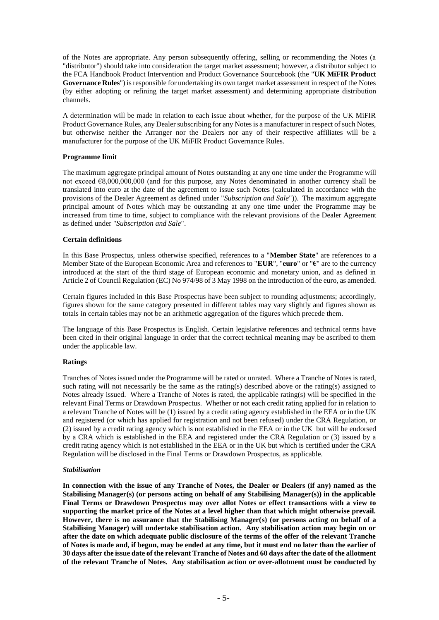of the Notes are appropriate. Any person subsequently offering, selling or recommending the Notes (a "distributor") should take into consideration the target market assessment; however, a distributor subject to the FCA Handbook Product Intervention and Product Governance Sourcebook (the "**UK MiFIR Product Governance Rules**") is responsible for undertaking its own target market assessment in respect of the Notes (by either adopting or refining the target market assessment) and determining appropriate distribution channels.

A determination will be made in relation to each issue about whether, for the purpose of the UK MiFIR Product Governance Rules, any Dealer subscribing for any Notes is a manufacturer in respect of such Notes, but otherwise neither the Arranger nor the Dealers nor any of their respective affiliates will be a manufacturer for the purpose of the UK MiFIR Product Governance Rules.

## **Programme limit**

The maximum aggregate principal amount of Notes outstanding at any one time under the Programme will not exceed €8,000,000,000 (and for this purpose, any Notes denominated in another currency shall be translated into euro at the date of the agreement to issue such Notes (calculated in accordance with the provisions of the Dealer Agreement as defined under "*Subscription and Sale*")). The maximum aggregate principal amount of Notes which may be outstanding at any one time under the Programme may be increased from time to time, subject to compliance with the relevant provisions of the Dealer Agreement as defined under "*Subscription and Sale*".

## **Certain definitions**

In this Base Prospectus, unless otherwise specified, references to a "**Member State**" are references to a Member State of the European Economic Area and references to "**EUR**", "**euro**" or "**€**" are to the currency introduced at the start of the third stage of European economic and monetary union, and as defined in Article 2 of Council Regulation (EC) No 974/98 of 3 May 1998 on the introduction of the euro, as amended.

Certain figures included in this Base Prospectus have been subject to rounding adjustments; accordingly, figures shown for the same category presented in different tables may vary slightly and figures shown as totals in certain tables may not be an arithmetic aggregation of the figures which precede them.

The language of this Base Prospectus is English. Certain legislative references and technical terms have been cited in their original language in order that the correct technical meaning may be ascribed to them under the applicable law.

# **Ratings**

Tranches of Notes issued under the Programme will be rated or unrated. Where a Tranche of Notes is rated, such rating will not necessarily be the same as the rating(s) described above or the rating(s) assigned to Notes already issued. Where a Tranche of Notes is rated, the applicable rating(s) will be specified in the relevant Final Terms or Drawdown Prospectus. Whether or not each credit rating applied for in relation to a relevant Tranche of Notes will be (1) issued by a credit rating agency established in the EEA or in the UK and registered (or which has applied for registration and not been refused) under the CRA Regulation, or (2) issued by a credit rating agency which is not established in the EEA or in the UK but will be endorsed by a CRA which is established in the EEA and registered under the CRA Regulation or (3) issued by a credit rating agency which is not established in the EEA or in the UK but which is certified under the CRA Regulation will be disclosed in the Final Terms or Drawdown Prospectus, as applicable.

## *Stabilisation*

**In connection with the issue of any Tranche of Notes, the Dealer or Dealers (if any) named as the Stabilising Manager(s) (or persons acting on behalf of any Stabilising Manager(s)) in the applicable Final Terms or Drawdown Prospectus may over allot Notes or effect transactions with a view to supporting the market price of the Notes at a level higher than that which might otherwise prevail. However, there is no assurance that the Stabilising Manager(s) (or persons acting on behalf of a Stabilising Manager) will undertake stabilisation action. Any stabilisation action may begin on or after the date on which adequate public disclosure of the terms of the offer of the relevant Tranche of Notes is made and, if begun, may be ended at any time, but it must end no later than the earlier of 30 days after the issue date of the relevant Tranche of Notes and 60 days after the date of the allotment of the relevant Tranche of Notes. Any stabilisation action or over-allotment must be conducted by**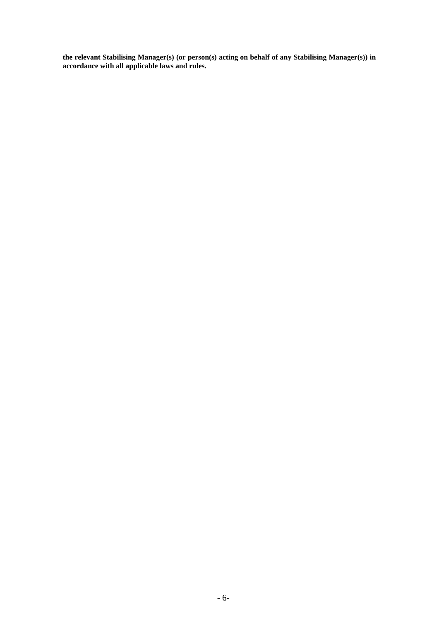**the relevant Stabilising Manager(s) (or person(s) acting on behalf of any Stabilising Manager(s)) in accordance with all applicable laws and rules.**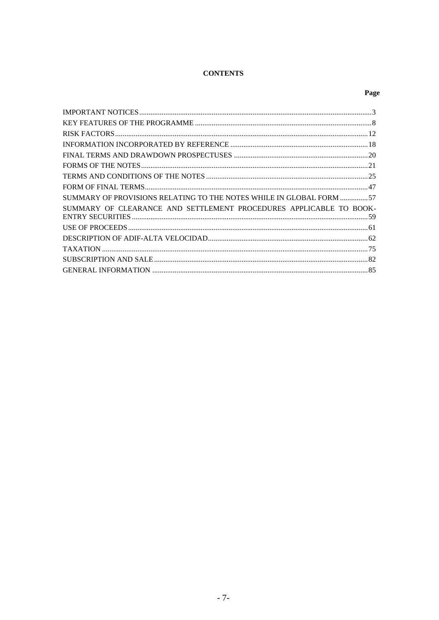# **CONTENTS**

# Page

| SUMMARY OF PROVISIONS RELATING TO THE NOTES WHILE IN GLOBAL FORM 57 |  |
|---------------------------------------------------------------------|--|
| SUMMARY OF CLEARANCE AND SETTLEMENT PROCEDURES APPLICABLE TO BOOK-  |  |
|                                                                     |  |
|                                                                     |  |
|                                                                     |  |
|                                                                     |  |
|                                                                     |  |
|                                                                     |  |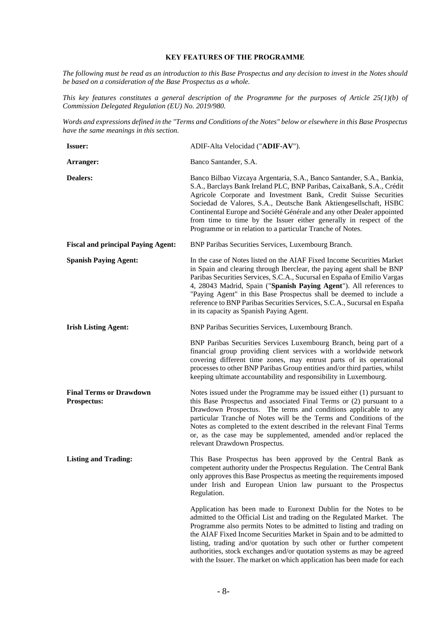#### **KEY FEATURES OF THE PROGRAMME**

*The following must be read as an introduction to this Base Prospectus and any decision to invest in the Notes should be based on a consideration of the Base Prospectus as a whole.*

*This key features constitutes a general description of the Programme for the purposes of Article 25(1)(b) of Commission Delegated Regulation (EU) No. 2019/980.*

*Words and expressions defined in the "Terms and Conditions of the Notes" below or elsewhere in this Base Prospectus have the same meanings in this section.*

| <b>Issuer:</b>                                       | ADIF-Alta Velocidad ("ADIF-AV").                                                                                                                                                                                                                                                                                                                                                                                                                                                                                           |
|------------------------------------------------------|----------------------------------------------------------------------------------------------------------------------------------------------------------------------------------------------------------------------------------------------------------------------------------------------------------------------------------------------------------------------------------------------------------------------------------------------------------------------------------------------------------------------------|
| Arranger:                                            | Banco Santander, S.A.                                                                                                                                                                                                                                                                                                                                                                                                                                                                                                      |
| <b>Dealers:</b>                                      | Banco Bilbao Vizcaya Argentaria, S.A., Banco Santander, S.A., Bankia,<br>S.A., Barclays Bank Ireland PLC, BNP Paribas, CaixaBank, S.A., Crédit<br>Agricole Corporate and Investment Bank, Credit Suisse Securities<br>Sociedad de Valores, S.A., Deutsche Bank Aktiengesellschaft, HSBC<br>Continental Europe and Société Générale and any other Dealer appointed<br>from time to time by the Issuer either generally in respect of the<br>Programme or in relation to a particular Tranche of Notes.                      |
| <b>Fiscal and principal Paying Agent:</b>            | BNP Paribas Securities Services, Luxembourg Branch.                                                                                                                                                                                                                                                                                                                                                                                                                                                                        |
| <b>Spanish Paying Agent:</b>                         | In the case of Notes listed on the AIAF Fixed Income Securities Market<br>in Spain and clearing through Iberclear, the paying agent shall be BNP<br>Paribas Securities Services, S.C.A., Sucursal en España of Emilio Vargas<br>4, 28043 Madrid, Spain ("Spanish Paying Agent"). All references to<br>"Paying Agent" in this Base Prospectus shall be deemed to include a<br>reference to BNP Paribas Securities Services, S.C.A., Sucursal en España<br>in its capacity as Spanish Paying Agent.                          |
| <b>Irish Listing Agent:</b>                          | BNP Paribas Securities Services, Luxembourg Branch.                                                                                                                                                                                                                                                                                                                                                                                                                                                                        |
|                                                      | BNP Paribas Securities Services Luxembourg Branch, being part of a<br>financial group providing client services with a worldwide network<br>covering different time zones, may entrust parts of its operational<br>processes to other BNP Paribas Group entities and/or third parties, whilst<br>keeping ultimate accountability and responsibility in Luxembourg.                                                                                                                                                         |
| <b>Final Terms or Drawdown</b><br><b>Prospectus:</b> | Notes issued under the Programme may be issued either $(1)$ pursuant to<br>this Base Prospectus and associated Final Terms or (2) pursuant to a<br>Drawdown Prospectus. The terms and conditions applicable to any<br>particular Tranche of Notes will be the Terms and Conditions of the<br>Notes as completed to the extent described in the relevant Final Terms<br>or, as the case may be supplemented, amended and/or replaced the<br>relevant Drawdown Prospectus.                                                   |
| <b>Listing and Trading:</b>                          | This Base Prospectus has been approved by the Central Bank as<br>competent authority under the Prospectus Regulation. The Central Bank<br>only approves this Base Prospectus as meeting the requirements imposed<br>under Irish and European Union law pursuant to the Prospectus<br>Regulation.                                                                                                                                                                                                                           |
|                                                      | Application has been made to Euronext Dublin for the Notes to be<br>admitted to the Official List and trading on the Regulated Market. The<br>Programme also permits Notes to be admitted to listing and trading on<br>the AIAF Fixed Income Securities Market in Spain and to be admitted to<br>listing, trading and/or quotation by such other or further competent<br>authorities, stock exchanges and/or quotation systems as may be agreed<br>with the Issuer. The market on which application has been made for each |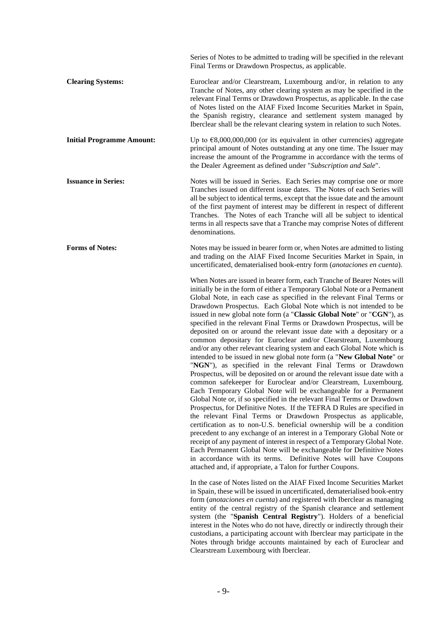Series of Notes to be admitted to trading will be specified in the relevant Final Terms or Drawdown Prospectus, as applicable. **Clearing Systems:** Euroclear and/or Clearstream, Luxembourg and/or, in relation to any Tranche of Notes, any other clearing system as may be specified in the relevant Final Terms or Drawdown Prospectus, as applicable. In the case of Notes listed on the AIAF Fixed Income Securities Market in Spain, the Spanish registry, clearance and settlement system managed by Iberclear shall be the relevant clearing system in relation to such Notes. **Initial Programme Amount:** Up to  $\epsilon$ 8,000,000,000 (or its equivalent in other currencies) aggregate principal amount of Notes outstanding at any one time. The Issuer may increase the amount of the Programme in accordance with the terms of the Dealer Agreement as defined under "*Subscription and Sale*".

**Issuance in Series:** Notes will be issued in Series. Each Series may comprise one or more Tranches issued on different issue dates. The Notes of each Series will all be subject to identical terms, except that the issue date and the amount of the first payment of interest may be different in respect of different Tranches. The Notes of each Tranche will all be subject to identical terms in all respects save that a Tranche may comprise Notes of different denominations.

**Forms of Notes:** Notes may be issued in bearer form or, when Notes are admitted to listing and trading on the AIAF Fixed Income Securities Market in Spain, in uncertificated, dematerialised book-entry form (*anotaciones en cuenta*).

> When Notes are issued in bearer form, each Tranche of Bearer Notes will initially be in the form of either a Temporary Global Note or a Permanent Global Note, in each case as specified in the relevant Final Terms or Drawdown Prospectus. Each Global Note which is not intended to be issued in new global note form (a "**Classic Global Note**" or "**CGN**"), as specified in the relevant Final Terms or Drawdown Prospectus, will be deposited on or around the relevant issue date with a depositary or a common depositary for Euroclear and/or Clearstream, Luxembourg and/or any other relevant clearing system and each Global Note which is intended to be issued in new global note form (a "**New Global Note**" or "**NGN**"), as specified in the relevant Final Terms or Drawdown Prospectus, will be deposited on or around the relevant issue date with a common safekeeper for Euroclear and/or Clearstream, Luxembourg. Each Temporary Global Note will be exchangeable for a Permanent Global Note or, if so specified in the relevant Final Terms or Drawdown Prospectus, for Definitive Notes. If the TEFRA D Rules are specified in the relevant Final Terms or Drawdown Prospectus as applicable, certification as to non-U.S. beneficial ownership will be a condition precedent to any exchange of an interest in a Temporary Global Note or receipt of any payment of interest in respect of a Temporary Global Note. Each Permanent Global Note will be exchangeable for Definitive Notes in accordance with its terms. Definitive Notes will have Coupons attached and, if appropriate, a Talon for further Coupons.

> In the case of Notes listed on the AIAF Fixed Income Securities Market in Spain, these will be issued in uncertificated, dematerialised book-entry form (*anotaciones en cuenta*) and registered with Iberclear as managing entity of the central registry of the Spanish clearance and settlement system (the "**Spanish Central Registry**"). Holders of a beneficial interest in the Notes who do not have, directly or indirectly through their custodians, a participating account with Iberclear may participate in the Notes through bridge accounts maintained by each of Euroclear and Clearstream Luxembourg with Iberclear.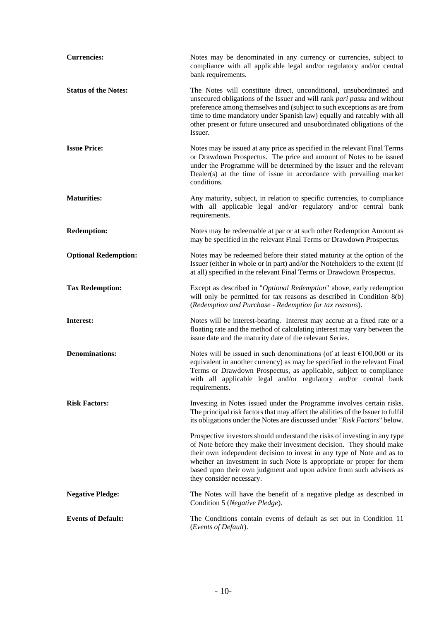| <b>Currencies:</b>          | Notes may be denominated in any currency or currencies, subject to<br>compliance with all applicable legal and/or regulatory and/or central<br>bank requirements.                                                                                                                                                                                                                                       |
|-----------------------------|---------------------------------------------------------------------------------------------------------------------------------------------------------------------------------------------------------------------------------------------------------------------------------------------------------------------------------------------------------------------------------------------------------|
| <b>Status of the Notes:</b> | The Notes will constitute direct, unconditional, unsubordinated and<br>unsecured obligations of the Issuer and will rank pari passu and without<br>preference among themselves and (subject to such exceptions as are from<br>time to time mandatory under Spanish law) equally and rateably with all<br>other present or future unsecured and unsubordinated obligations of the<br>Issuer.             |
| <b>Issue Price:</b>         | Notes may be issued at any price as specified in the relevant Final Terms<br>or Drawdown Prospectus. The price and amount of Notes to be issued<br>under the Programme will be determined by the Issuer and the relevant<br>Dealer(s) at the time of issue in accordance with prevailing market<br>conditions.                                                                                          |
| <b>Maturities:</b>          | Any maturity, subject, in relation to specific currencies, to compliance<br>with all applicable legal and/or regulatory and/or central bank<br>requirements.                                                                                                                                                                                                                                            |
| <b>Redemption:</b>          | Notes may be redeemable at par or at such other Redemption Amount as<br>may be specified in the relevant Final Terms or Drawdown Prospectus.                                                                                                                                                                                                                                                            |
| <b>Optional Redemption:</b> | Notes may be redeemed before their stated maturity at the option of the<br>Issuer (either in whole or in part) and/or the Noteholders to the extent (if<br>at all) specified in the relevant Final Terms or Drawdown Prospectus.                                                                                                                                                                        |
| <b>Tax Redemption:</b>      | Except as described in "Optional Redemption" above, early redemption<br>will only be permitted for tax reasons as described in Condition 8(b)<br>(Redemption and Purchase - Redemption for tax reasons).                                                                                                                                                                                                |
| Interest:                   | Notes will be interest-bearing. Interest may accrue at a fixed rate or a<br>floating rate and the method of calculating interest may vary between the<br>issue date and the maturity date of the relevant Series.                                                                                                                                                                                       |
| <b>Denominations:</b>       | Notes will be issued in such denominations (of at least $\epsilon$ 100,000 or its<br>equivalent in another currency) as may be specified in the relevant Final<br>Terms or Drawdown Prospectus, as applicable, subject to compliance<br>with all applicable legal and/or regulatory and/or central bank<br>requirements.                                                                                |
| <b>Risk Factors:</b>        | Investing in Notes issued under the Programme involves certain risks.<br>The principal risk factors that may affect the abilities of the Issuer to fulfil<br>its obligations under the Notes are discussed under "Risk Factors" below.                                                                                                                                                                  |
|                             | Prospective investors should understand the risks of investing in any type<br>of Note before they make their investment decision. They should make<br>their own independent decision to invest in any type of Note and as to<br>whether an investment in such Note is appropriate or proper for them<br>based upon their own judgment and upon advice from such advisers as<br>they consider necessary. |
| <b>Negative Pledge:</b>     | The Notes will have the benefit of a negative pledge as described in<br>Condition 5 (Negative Pledge).                                                                                                                                                                                                                                                                                                  |
| <b>Events of Default:</b>   | The Conditions contain events of default as set out in Condition 11<br>(Events of Default).                                                                                                                                                                                                                                                                                                             |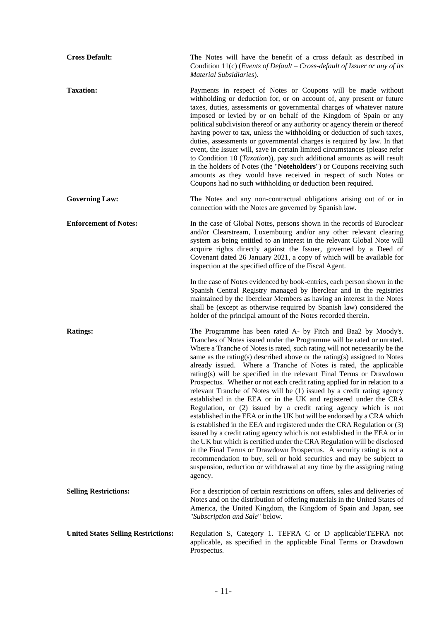| <b>Cross Default:</b>                      | The Notes will have the benefit of a cross default as described in<br>Condition 11(c) (Events of Default – Cross-default of Issuer or any of its<br>Material Subsidiaries).                                                                                                                                                                                                                                                                                                                                                                                                                                                                                                                                                                                                                                                                                                                                                                                                                                                                                                                                                                                                                                                                                                                           |
|--------------------------------------------|-------------------------------------------------------------------------------------------------------------------------------------------------------------------------------------------------------------------------------------------------------------------------------------------------------------------------------------------------------------------------------------------------------------------------------------------------------------------------------------------------------------------------------------------------------------------------------------------------------------------------------------------------------------------------------------------------------------------------------------------------------------------------------------------------------------------------------------------------------------------------------------------------------------------------------------------------------------------------------------------------------------------------------------------------------------------------------------------------------------------------------------------------------------------------------------------------------------------------------------------------------------------------------------------------------|
| <b>Taxation:</b>                           | Payments in respect of Notes or Coupons will be made without<br>withholding or deduction for, or on account of, any present or future<br>taxes, duties, assessments or governmental charges of whatever nature<br>imposed or levied by or on behalf of the Kingdom of Spain or any<br>political subdivision thereof or any authority or agency therein or thereof<br>having power to tax, unless the withholding or deduction of such taxes,<br>duties, assessments or governmental charges is required by law. In that<br>event, the Issuer will, save in certain limited circumstances (please refer<br>to Condition 10 (Taxation)), pay such additional amounts as will result<br>in the holders of Notes (the "Noteholders") or Coupons receiving such<br>amounts as they would have received in respect of such Notes or<br>Coupons had no such withholding or deduction been required.                                                                                                                                                                                                                                                                                                                                                                                                          |
| <b>Governing Law:</b>                      | The Notes and any non-contractual obligations arising out of or in<br>connection with the Notes are governed by Spanish law.                                                                                                                                                                                                                                                                                                                                                                                                                                                                                                                                                                                                                                                                                                                                                                                                                                                                                                                                                                                                                                                                                                                                                                          |
| <b>Enforcement of Notes:</b>               | In the case of Global Notes, persons shown in the records of Euroclear<br>and/or Clearstream, Luxembourg and/or any other relevant clearing<br>system as being entitled to an interest in the relevant Global Note will<br>acquire rights directly against the Issuer, governed by a Deed of<br>Covenant dated 26 January 2021, a copy of which will be available for<br>inspection at the specified office of the Fiscal Agent.                                                                                                                                                                                                                                                                                                                                                                                                                                                                                                                                                                                                                                                                                                                                                                                                                                                                      |
|                                            | In the case of Notes evidenced by book-entries, each person shown in the<br>Spanish Central Registry managed by Iberclear and in the registries<br>maintained by the Iberclear Members as having an interest in the Notes<br>shall be (except as otherwise required by Spanish law) considered the<br>holder of the principal amount of the Notes recorded therein.                                                                                                                                                                                                                                                                                                                                                                                                                                                                                                                                                                                                                                                                                                                                                                                                                                                                                                                                   |
| <b>Ratings:</b>                            | The Programme has been rated A- by Fitch and Baa2 by Moody's.<br>Tranches of Notes issued under the Programme will be rated or unrated.<br>Where a Tranche of Notes is rated, such rating will not necessarily be the<br>same as the rating(s) described above or the rating(s) assigned to Notes<br>already issued. Where a Tranche of Notes is rated, the applicable<br>rating(s) will be specified in the relevant Final Terms or Drawdown<br>Prospectus. Whether or not each credit rating applied for in relation to a<br>relevant Tranche of Notes will be (1) issued by a credit rating agency<br>established in the EEA or in the UK and registered under the CRA<br>Regulation, or (2) issued by a credit rating agency which is not<br>established in the EEA or in the UK but will be endorsed by a CRA which<br>is established in the EEA and registered under the CRA Regulation or (3)<br>issued by a credit rating agency which is not established in the EEA or in<br>the UK but which is certified under the CRA Regulation will be disclosed<br>in the Final Terms or Drawdown Prospectus. A security rating is not a<br>recommendation to buy, sell or hold securities and may be subject to<br>suspension, reduction or withdrawal at any time by the assigning rating<br>agency. |
| <b>Selling Restrictions:</b>               | For a description of certain restrictions on offers, sales and deliveries of<br>Notes and on the distribution of offering materials in the United States of<br>America, the United Kingdom, the Kingdom of Spain and Japan, see<br>"Subscription and Sale" below.                                                                                                                                                                                                                                                                                                                                                                                                                                                                                                                                                                                                                                                                                                                                                                                                                                                                                                                                                                                                                                     |
| <b>United States Selling Restrictions:</b> | Regulation S, Category 1. TEFRA C or D applicable/TEFRA not<br>applicable, as specified in the applicable Final Terms or Drawdown<br>Prospectus.                                                                                                                                                                                                                                                                                                                                                                                                                                                                                                                                                                                                                                                                                                                                                                                                                                                                                                                                                                                                                                                                                                                                                      |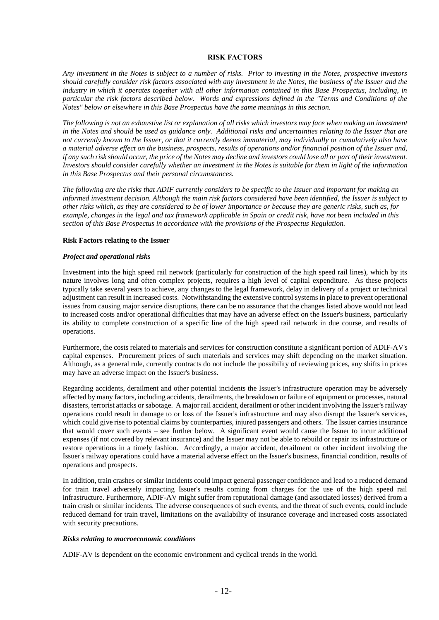## **RISK FACTORS**

*Any investment in the Notes is subject to a number of risks. Prior to investing in the Notes, prospective investors should carefully consider risk factors associated with any investment in the Notes, the business of the Issuer and the industry in which it operates together with all other information contained in this Base Prospectus, including, in particular the risk factors described below. Words and expressions defined in the "Terms and Conditions of the Notes" below or elsewhere in this Base Prospectus have the same meanings in this section.*

*The following is not an exhaustive list or explanation of all risks which investors may face when making an investment in the Notes and should be used as guidance only. Additional risks and uncertainties relating to the Issuer that are not currently known to the Issuer, or that it currently deems immaterial, may individually or cumulatively also have a material adverse effect on the business, prospects, results of operations and/or financial position of the Issuer and, if any such risk should occur, the price of the Notes may decline and investors could lose all or part of their investment. Investors should consider carefully whether an investment in the Notes is suitable for them in light of the information in this Base Prospectus and their personal circumstances.*

*The following are the risks that ADIF currently considers to be specific to the Issuer and important for making an informed investment decision. Although the main risk factors considered have been identified, the Issuer is subject to other risks which, as they are considered to be of lower importance or because they are generic risks, such as, for example, changes in the legal and tax framework applicable in Spain or credit risk, have not been included in this section of this Base Prospectus in accordance with the provisions of the Prospectus Regulation.*

## **Risk Factors relating to the Issuer**

## *Project and operational risks*

Investment into the high speed rail network (particularly for construction of the high speed rail lines), which by its nature involves long and often complex projects, requires a high level of capital expenditure. As these projects typically take several years to achieve, any changes to the legal framework, delay in delivery of a project or technical adjustment can result in increased costs. Notwithstanding the extensive control systems in place to prevent operational issues from causing major service disruptions, there can be no assurance that the changes listed above would not lead to increased costs and/or operational difficulties that may have an adverse effect on the Issuer's business, particularly its ability to complete construction of a specific line of the high speed rail network in due course, and results of operations.

Furthermore, the costs related to materials and services for construction constitute a significant portion of ADIF-AV's capital expenses. Procurement prices of such materials and services may shift depending on the market situation. Although, as a general rule, currently contracts do not include the possibility of reviewing prices, any shifts in prices may have an adverse impact on the Issuer's business.

Regarding accidents, derailment and other potential incidents the Issuer's infrastructure operation may be adversely affected by many factors, including accidents, derailments, the breakdown or failure of equipment or processes, natural disasters, terrorist attacks or sabotage. A major rail accident, derailment or other incident involving the Issuer's railway operations could result in damage to or loss of the Issuer's infrastructure and may also disrupt the Issuer's services, which could give rise to potential claims by counterparties, injured passengers and others. The Issuer carries insurance that would cover such events – see further below. A significant event would cause the Issuer to incur additional expenses (if not covered by relevant insurance) and the Issuer may not be able to rebuild or repair its infrastructure or restore operations in a timely fashion. Accordingly, a major accident, derailment or other incident involving the Issuer's railway operations could have a material adverse effect on the Issuer's business, financial condition, results of operations and prospects.

In addition, train crashes or similar incidents could impact general passenger confidence and lead to a reduced demand for train travel adversely impacting Issuer's results coming from charges for the use of the high speed rail infrastructure. Furthermore, ADIF-AV might suffer from reputational damage (and associated losses) derived from a train crash or similar incidents. The adverse consequences of such events, and the threat of such events, could include reduced demand for train travel, limitations on the availability of insurance coverage and increased costs associated with security precautions.

#### *Risks relating to macroeconomic conditions*

ADIF-AV is dependent on the economic environment and cyclical trends in the world.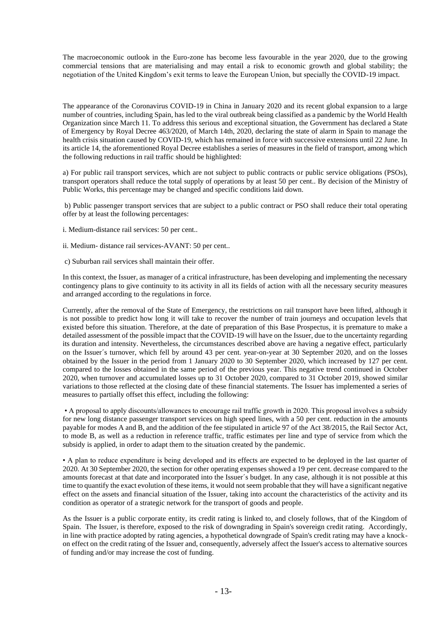The macroeconomic outlook in the Euro-zone has become less favourable in the year 2020, due to the growing commercial tensions that are materialising and may entail a risk to economic growth and global stability; the negotiation of the United Kingdom's exit terms to leave the European Union, but specially the COVID-19 impact.

The appearance of the Coronavirus COVID-19 in China in January 2020 and its recent global expansion to a large number of countries, including Spain, has led to the viral outbreak being classified as a pandemic by the World Health Organization since March 11. To address this serious and exceptional situation, the Government has declared a State of Emergency by Royal Decree 463/2020, of March 14th, 2020, declaring the state of alarm in Spain to manage the health crisis situation caused by COVID-19, which has remained in force with successive extensions until 22 June. In its article 14, the aforementioned Royal Decree establishes a series of measures in the field of transport, among which the following reductions in rail traffic should be highlighted:

a) For public rail transport services, which are not subject to public contracts or public service obligations (PSOs), transport operators shall reduce the total supply of operations by at least 50 per cent.. By decision of the Ministry of Public Works, this percentage may be changed and specific conditions laid down.

b) Public passenger transport services that are subject to a public contract or PSO shall reduce their total operating offer by at least the following percentages:

- i. Medium-distance rail services: 50 per cent..
- ii. Medium- distance rail services-AVANT: 50 per cent..
- c) Suburban rail services shall maintain their offer.

In this context, the Issuer, as manager of a critical infrastructure, has been developing and implementing the necessary contingency plans to give continuity to its activity in all its fields of action with all the necessary security measures and arranged according to the regulations in force.

Currently, after the removal of the State of Emergency, the restrictions on rail transport have been lifted, although it is not possible to predict how long it will take to recover the number of train journeys and occupation levels that existed before this situation. Therefore, at the date of preparation of this Base Prospectus, it is premature to make a detailed assessment of the possible impact that the COVID-19 will have on the Issuer, due to the uncertainty regarding its duration and intensity. Nevertheless, the circumstances described above are having a negative effect, particularly on the Issuer´s turnover, which fell by around 43 per cent. year-on-year at 30 September 2020, and on the losses obtained by the Issuer in the period from 1 January 2020 to 30 September 2020, which increased by 127 per cent. compared to the losses obtained in the same period of the previous year. This negative trend continued in October 2020, when turnover and accumulated losses up to 31 October 2020, compared to 31 October 2019, showed similar variations to those reflected at the closing date of these financial statements. The Issuer has implemented a series of measures to partially offset this effect, including the following:

• A proposal to apply discounts/allowances to encourage rail traffic growth in 2020. This proposal involves a subsidy for new long distance passenger transport services on high speed lines, with a 50 per cent. reduction in the amounts payable for modes A and B, and the addition of the fee stipulated in article 97 of the Act 38/2015, the Rail Sector Act, to mode B, as well as a reduction in reference traffic, traffic estimates per line and type of service from which the subsidy is applied, in order to adapt them to the situation created by the pandemic.

• A plan to reduce expenditure is being developed and its effects are expected to be deployed in the last quarter of 2020. At 30 September 2020, the section for other operating expenses showed a 19 per cent. decrease compared to the amounts forecast at that date and incorporated into the Issuer´s budget. In any case, although it is not possible at this time to quantify the exact evolution of these items, it would not seem probable that they will have a significant negative effect on the assets and financial situation of the Issuer, taking into account the characteristics of the activity and its condition as operator of a strategic network for the transport of goods and people.

As the Issuer is a public corporate entity, its credit rating is linked to, and closely follows, that of the Kingdom of Spain. The Issuer, is therefore, exposed to the risk of downgrading in Spain's sovereign credit rating. Accordingly, in line with practice adopted by rating agencies, a hypothetical downgrade of Spain's credit rating may have a knockon effect on the credit rating of the Issuer and, consequently, adversely affect the Issuer's access to alternative sources of funding and/or may increase the cost of funding.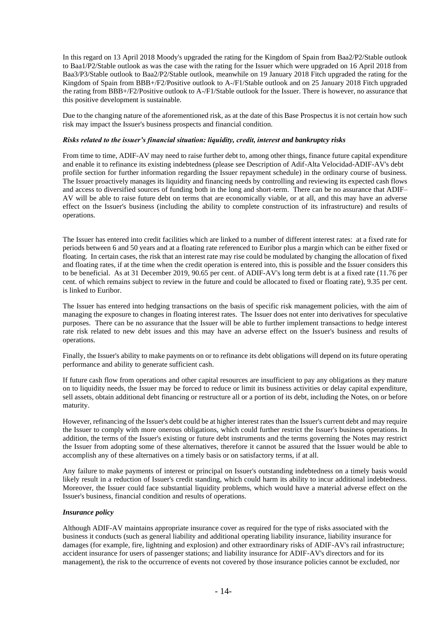In this regard on 13 April 2018 Moody's upgraded the rating for the Kingdom of Spain from Baa2/P2/Stable outlook to Baa1/P2/Stable outlook as was the case with the rating for the Issuer which were upgraded on 16 April 2018 from Baa3/P3/Stable outlook to Baa2/P2/Stable outlook, meanwhile on 19 January 2018 Fitch upgraded the rating for the Kingdom of Spain from BBB+/F2/Positive outlook to A-/F1/Stable outlook and on 25 January 2018 Fitch upgraded the rating from BBB+/F2/Positive outlook to A-/F1/Stable outlook for the Issuer. There is however, no assurance that this positive development is sustainable.

Due to the changing nature of the aforementioned risk, as at the date of this Base Prospectus it is not certain how such risk may impact the Issuer's business prospects and financial condition.

## *Risks related to the issuer's financial situation: liquidity, credit, interest and bankruptcy risks*

From time to time, ADIF-AV may need to raise further debt to, among other things, finance future capital expenditure and enable it to refinance its existing indebtedness (please see Description of Adif-Alta Velocidad-ADIF-AV's debt profile section for further information regarding the Issuer repayment schedule) in the ordinary course of business. The Issuer proactively manages its liquidity and financing needs by controlling and reviewing its expected cash flows and access to diversified sources of funding both in the long and short-term. There can be no assurance that ADIF– AV will be able to raise future debt on terms that are economically viable, or at all, and this may have an adverse effect on the Issuer's business (including the ability to complete construction of its infrastructure) and results of operations.

The Issuer has entered into credit facilities which are linked to a number of different interest rates: at a fixed rate for periods between 6 and 50 years and at a floating rate referenced to Euribor plus a margin which can be either fixed or floating. In certain cases, the risk that an interest rate may rise could be modulated by changing the allocation of fixed and floating rates, if at the time when the credit operation is entered into, this is possible and the Issuer considers this to be beneficial. As at 31 December 2019, 90.65 per cent. of ADIF-AV's long term debt is at a fixed rate (11.76 per cent. of which remains subject to review in the future and could be allocated to fixed or floating rate), 9.35 per cent. is linked to Euribor.

The Issuer has entered into hedging transactions on the basis of specific risk management policies, with the aim of managing the exposure to changes in floating interest rates. The Issuer does not enter into derivatives for speculative purposes. There can be no assurance that the Issuer will be able to further implement transactions to hedge interest rate risk related to new debt issues and this may have an adverse effect on the Issuer's business and results of operations.

Finally, the Issuer's ability to make payments on or to refinance its debt obligations will depend on its future operating performance and ability to generate sufficient cash.

If future cash flow from operations and other capital resources are insufficient to pay any obligations as they mature on to liquidity needs, the Issuer may be forced to reduce or limit its business activities or delay capital expenditure, sell assets, obtain additional debt financing or restructure all or a portion of its debt, including the Notes, on or before maturity.

However, refinancing of the Issuer's debt could be at higher interest rates than the Issuer's current debt and may require the Issuer to comply with more onerous obligations, which could further restrict the Issuer's business operations. In addition, the terms of the Issuer's existing or future debt instruments and the terms governing the Notes may restrict the Issuer from adopting some of these alternatives, therefore it cannot be assured that the Issuer would be able to accomplish any of these alternatives on a timely basis or on satisfactory terms, if at all.

Any failure to make payments of interest or principal on Issuer's outstanding indebtedness on a timely basis would likely result in a reduction of Issuer's credit standing, which could harm its ability to incur additional indebtedness. Moreover, the Issuer could face substantial liquidity problems, which would have a material adverse effect on the Issuer's business, financial condition and results of operations.

## *Insurance policy*

Although ADIF-AV maintains appropriate insurance cover as required for the type of risks associated with the business it conducts (such as general liability and additional operating liability insurance, liability insurance for damages (for example, fire, lightning and explosion) and other extraordinary risks of ADIF-AV's rail infrastructure; accident insurance for users of passenger stations; and liability insurance for ADIF-AV's directors and for its management), the risk to the occurrence of events not covered by those insurance policies cannot be excluded, nor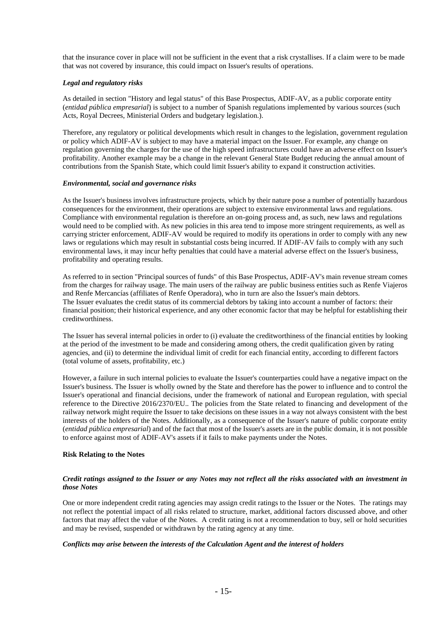that the insurance cover in place will not be sufficient in the event that a risk crystallises. If a claim were to be made that was not covered by insurance, this could impact on Issuer's results of operations.

## *Legal and regulatory risks*

As detailed in section "History and legal status" of this Base Prospectus, ADIF-AV, as a public corporate entity (*entidad pública empresarial*) is subject to a number of Spanish regulations implemented by various sources (such Acts, Royal Decrees, Ministerial Orders and budgetary legislation.).

Therefore, any regulatory or political developments which result in changes to the legislation, government regulation or policy which ADIF-AV is subject to may have a material impact on the Issuer. For example, any change on regulation governing the charges for the use of the high speed infrastructures could have an adverse effect on Issuer's profitability. Another example may be a change in the relevant General State Budget reducing the annual amount of contributions from the Spanish State, which could limit Issuer's ability to expand it construction activities.

## *Environmental, social and governance risks*

As the Issuer's business involves infrastructure projects, which by their nature pose a number of potentially hazardous consequences for the environment, their operations are subject to extensive environmental laws and regulations. Compliance with environmental regulation is therefore an on-going process and, as such, new laws and regulations would need to be complied with. As new policies in this area tend to impose more stringent requirements, as well as carrying stricter enforcement, ADIF-AV would be required to modify its operations in order to comply with any new laws or regulations which may result in substantial costs being incurred. If ADIF-AV fails to comply with any such environmental laws, it may incur hefty penalties that could have a material adverse effect on the Issuer's business, profitability and operating results.

As referred to in section "Principal sources of funds" of this Base Prospectus, ADIF-AV's main revenue stream comes from the charges for railway usage. The main users of the railway are public business entities such as Renfe Viajeros and Renfe Mercancías (affiliates of Renfe Operadora), who in turn are also the Issuer's main debtors. The Issuer evaluates the credit status of its commercial debtors by taking into account a number of factors: their financial position; their historical experience, and any other economic factor that may be helpful for establishing their creditworthiness.

The Issuer has several internal policies in order to (i) evaluate the creditworthiness of the financial entities by looking at the period of the investment to be made and considering among others, the credit qualification given by rating agencies, and (ii) to determine the individual limit of credit for each financial entity, according to different factors (total volume of assets, profitability, etc.)

However, a failure in such internal policies to evaluate the Issuer's counterparties could have a negative impact on the Issuer's business. The Issuer is wholly owned by the State and therefore has the power to influence and to control the Issuer's operational and financial decisions, under the framework of national and European regulation, with special reference to the Directive 2016/2370/EU.. The policies from the State related to financing and development of the railway network might require the Issuer to take decisions on these issues in a way not always consistent with the best interests of the holders of the Notes. Additionally, as a consequence of the Issuer's nature of public corporate entity (*entidad pública empresarial*) and of the fact that most of the Issuer's assets are in the public domain, it is not possible to enforce against most of ADIF-AV's assets if it fails to make payments under the Notes.

## **Risk Relating to the Notes**

## *Credit ratings assigned to the Issuer or any Notes may not reflect all the risks associated with an investment in those Notes*

One or more independent credit rating agencies may assign credit ratings to the Issuer or the Notes. The ratings may not reflect the potential impact of all risks related to structure, market, additional factors discussed above, and other factors that may affect the value of the Notes. A credit rating is not a recommendation to buy, sell or hold securities and may be revised, suspended or withdrawn by the rating agency at any time.

## *Conflicts may arise between the interests of the Calculation Agent and the interest of holders*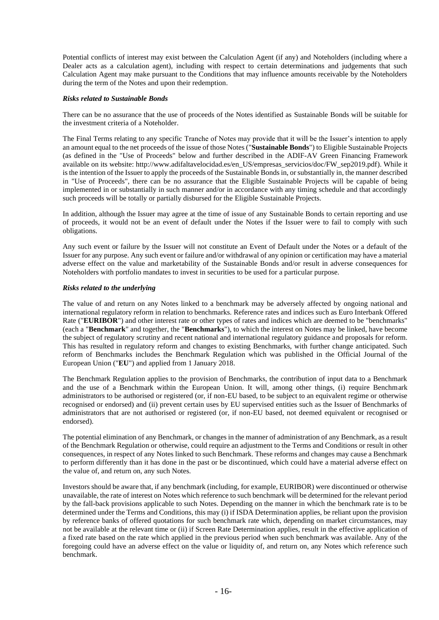Potential conflicts of interest may exist between the Calculation Agent (if any) and Noteholders (including where a Dealer acts as a calculation agent), including with respect to certain determinations and judgements that such Calculation Agent may make pursuant to the Conditions that may influence amounts receivable by the Noteholders during the term of the Notes and upon their redemption.

## *Risks related to Sustainable Bonds*

There can be no assurance that the use of proceeds of the Notes identified as Sustainable Bonds will be suitable for the investment criteria of a Noteholder.

The Final Terms relating to any specific Tranche of Notes may provide that it will be the Issuer's intention to apply an amount equal to the net proceeds of the issue of those Notes ("**Sustainable Bonds**") to Eligible Sustainable Projects (as defined in the "Use of Proceeds" below and further described in the ADIF-AV Green Financing Framework available on its website: http://www.adifaltavelocidad.es/en\_US/empresas\_servicios/doc/FW\_sep2019.pdf). While it is the intention of the Issuer to apply the proceeds of the Sustainable Bonds in, or substantially in, the manner described in "Use of Proceeds", there can be no assurance that the Eligible Sustainable Projects will be capable of being implemented in or substantially in such manner and/or in accordance with any timing schedule and that accordingly such proceeds will be totally or partially disbursed for the Eligible Sustainable Projects.

In addition, although the Issuer may agree at the time of issue of any Sustainable Bonds to certain reporting and use of proceeds, it would not be an event of default under the Notes if the Issuer were to fail to comply with such obligations.

Any such event or failure by the Issuer will not constitute an Event of Default under the Notes or a default of the Issuer for any purpose. Any such event or failure and/or withdrawal of any opinion or certification may have a material adverse effect on the value and marketability of the Sustainable Bonds and/or result in adverse consequences for Noteholders with portfolio mandates to invest in securities to be used for a particular purpose.

## *Risks related to the underlying*

The value of and return on any Notes linked to a benchmark may be adversely affected by ongoing national and international regulatory reform in relation to benchmarks. Reference rates and indices such as Euro Interbank Offered Rate ("**EURIBOR**") and other interest rate or other types of rates and indices which are deemed to be "benchmarks" (each a "**Benchmark**" and together, the "**Benchmarks**"), to which the interest on Notes may be linked, have become the subject of regulatory scrutiny and recent national and international regulatory guidance and proposals for reform. This has resulted in regulatory reform and changes to existing Benchmarks, with further change anticipated. Such reform of Benchmarks includes the Benchmark Regulation which was published in the Official Journal of the European Union ("**EU**") and applied from 1 January 2018.

The Benchmark Regulation applies to the provision of Benchmarks, the contribution of input data to a Benchmark and the use of a Benchmark within the European Union. It will, among other things, (i) require Benchmark administrators to be authorised or registered (or, if non-EU based, to be subject to an equivalent regime or otherwise recognised or endorsed) and (ii) prevent certain uses by EU supervised entities such as the Issuer of Benchmarks of administrators that are not authorised or registered (or, if non-EU based, not deemed equivalent or recognised or endorsed).

The potential elimination of any Benchmark, or changes in the manner of administration of any Benchmark, as a result of the Benchmark Regulation or otherwise, could require an adjustment to the Terms and Conditions or result in other consequences, in respect of any Notes linked to such Benchmark. These reforms and changes may cause a Benchmark to perform differently than it has done in the past or be discontinued, which could have a material adverse effect on the value of, and return on, any such Notes.

Investors should be aware that, if any benchmark (including, for example, EURIBOR) were discontinued or otherwise unavailable, the rate of interest on Notes which reference to such benchmark will be determined for the relevant period by the fall-back provisions applicable to such Notes. Depending on the manner in which the benchmark rate is to be determined under the Terms and Conditions, this may (i) if ISDA Determination applies, be reliant upon the provision by reference banks of offered quotations for such benchmark rate which, depending on market circumstances, may not be available at the relevant time or (ii) if Screen Rate Determination applies, result in the effective application of a fixed rate based on the rate which applied in the previous period when such benchmark was available. Any of the foregoing could have an adverse effect on the value or liquidity of, and return on, any Notes which reference such benchmark.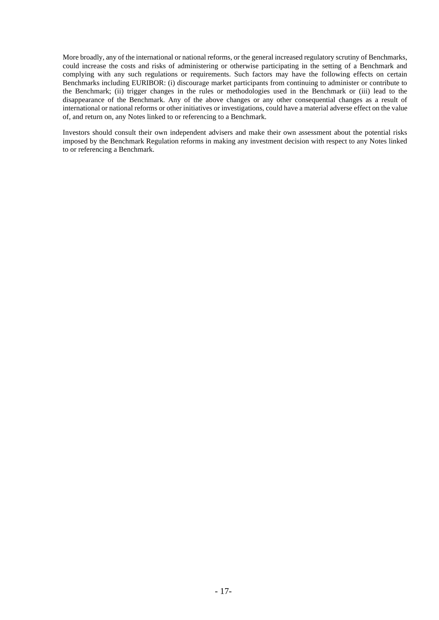More broadly, any of the international or national reforms, or the general increased regulatory scrutiny of Benchmarks, could increase the costs and risks of administering or otherwise participating in the setting of a Benchmark and complying with any such regulations or requirements. Such factors may have the following effects on certain Benchmarks including EURIBOR: (i) discourage market participants from continuing to administer or contribute to the Benchmark; (ii) trigger changes in the rules or methodologies used in the Benchmark or (iii) lead to the disappearance of the Benchmark. Any of the above changes or any other consequential changes as a result of international or national reforms or other initiatives or investigations, could have a material adverse effect on the value of, and return on, any Notes linked to or referencing to a Benchmark.

Investors should consult their own independent advisers and make their own assessment about the potential risks imposed by the Benchmark Regulation reforms in making any investment decision with respect to any Notes linked to or referencing a Benchmark.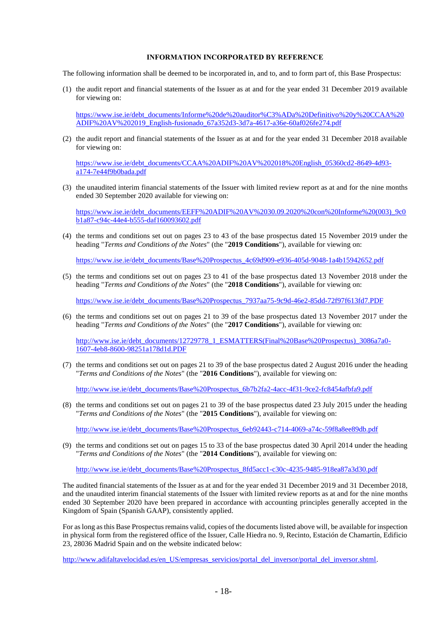### **INFORMATION INCORPORATED BY REFERENCE**

The following information shall be deemed to be incorporated in, and to, and to form part of, this Base Prospectus:

(1) the audit report and financial statements of the Issuer as at and for the year ended 31 December 2019 available for viewing on:

[https://www.ise.ie/debt\\_documents/Informe%20de%20auditor%C3%ADa%20Definitivo%20y%20CCAA%20](https://www.ise.ie/debt_documents/Informe%20de%20auditor%C3%ADa%20Definitivo%20y%20CCAA%20ADIF%20AV%202019_English-fusionado_67a352d3-3d7a-4617-a36e-60af026fe274.pdf) [ADIF%20AV%202019\\_English-fusionado\\_67a352d3-3d7a-4617-a36e-60af026fe274.pdf](https://www.ise.ie/debt_documents/Informe%20de%20auditor%C3%ADa%20Definitivo%20y%20CCAA%20ADIF%20AV%202019_English-fusionado_67a352d3-3d7a-4617-a36e-60af026fe274.pdf)

(2) the audit report and financial statements of the Issuer as at and for the year ended 31 December 2018 available for viewing on:

[https://www.ise.ie/debt\\_documents/CCAA%20ADIF%20AV%202018%20English\\_05360cd2-8649-4d93](https://www.ise.ie/debt_documents/CCAA%20ADIF%20AV%202018%20English_05360cd2-8649-4d93-a174-7e44f9b0bada.pdf) [a174-7e44f9b0bada.pdf](https://www.ise.ie/debt_documents/CCAA%20ADIF%20AV%202018%20English_05360cd2-8649-4d93-a174-7e44f9b0bada.pdf)

(3) the unaudited interim financial statements of the Issuer with limited review report as at and for the nine months ended 30 September 2020 available for viewing on:

[https://www.ise.ie/debt\\_documents/EEFF%20ADIF%20AV%2030.09.2020%20con%20Informe%20\(003\)\\_9c0](https://www.ise.ie/debt_documents/EEFF%20ADIF%20AV%2030.09.2020%20con%20Informe%20(003)_9c0b1a87-c94c-44e4-b555-daf160093602.pdf) [b1a87-c94c-44e4-b555-daf160093602.pdf](https://www.ise.ie/debt_documents/EEFF%20ADIF%20AV%2030.09.2020%20con%20Informe%20(003)_9c0b1a87-c94c-44e4-b555-daf160093602.pdf)

(4) the terms and conditions set out on pages 23 to 43 of the base prospectus dated 15 November 2019 under the heading "*Terms and Conditions of the Notes*" (the "**2019 Conditions**"), available for viewing on:

https://www.ise.ie/debt\_documents/Base%20Prospectus\_4c69d909-e936-405d-9048-1a4b15942652.pdf

(5) the terms and conditions set out on pages 23 to 41 of the base prospectus dated 13 November 2018 under the heading "*Terms and Conditions of the Notes*" (the "**2018 Conditions**"), available for viewing on:

[https://www.ise.ie/debt\\_documents/Base%20Prospectus\\_7937aa75-9c9d-46e2-85dd-72f97f613fd7.PDF](https://www.ise.ie/debt_documents/Base%20Prospectus_7937aa75-9c9d-46e2-85dd-72f97f613fd7.PDF)

(6) the terms and conditions set out on pages 21 to 39 of the base prospectus dated 13 November 2017 under the heading "*Terms and Conditions of the Notes*" (the "**2017 Conditions**"), available for viewing on:

[http://www.ise.ie/debt\\_documents/12729778\\_1\\_ESMATTERS\(Final%20Base%20Prospectus\)\\_3086a7a0-](http://www.ise.ie/debt_documents/12729778_1_ESMATTERS(Final%20Base%20Prospectus)_3086a7a0-1607-4eb8-8600-98251a178d1d.PDF) [1607-4eb8-8600-98251a178d1d.PDF](http://www.ise.ie/debt_documents/12729778_1_ESMATTERS(Final%20Base%20Prospectus)_3086a7a0-1607-4eb8-8600-98251a178d1d.PDF)

(7) the terms and conditions set out on pages 21 to 39 of the base prospectus dated 2 August 2016 under the heading "*Terms and Conditions of the Notes*" (the "**2016 Conditions**"), available for viewing on:

[http://www.ise.ie/debt\\_documents/Base%20Prospectus\\_6b7b2fa2-4acc-4f31-9ce2-fc8454afbfa9.pdf](http://www.ise.ie/debt_documents/Base%20Prospectus_6b7b2fa2-4acc-4f31-9ce2-fc8454afbfa9.pdf)

(8) the terms and conditions set out on pages 21 to 39 of the base prospectus dated 23 July 2015 under the heading "*Terms and Conditions of the Notes*" (the "**2015 Conditions**"), available for viewing on:

[http://www.ise.ie/debt\\_documents/Base%20Prospectus\\_6eb92443-c714-4069-a74c-59f8a8ee89db.pdf](http://www.ise.ie/debt_documents/Base%20Prospectus_6eb92443-c714-4069-a74c-59f8a8ee89db.pdf)

(9) the terms and conditions set out on pages 15 to 33 of the base prospectus dated 30 April 2014 under the heading "*Terms and Conditions of the Notes*" (the "**2014 Conditions**"), available for viewing on:

[http://www.ise.ie/debt\\_documents/Base%20Prospectus\\_8fd5acc1-c30c-4235-9485-918ea87a3d30.pdf](http://www.ise.ie/debt_documents/Base%20Prospectus_8fd5acc1-c30c-4235-9485-918ea87a3d30.pdf)

The audited financial statements of the Issuer as at and for the year ended 31 December 2019 and 31 December 2018, and the unaudited interim financial statements of the Issuer with limited review reports as at and for the nine months ended 30 September 2020 have been prepared in accordance with accounting principles generally accepted in the Kingdom of Spain (Spanish GAAP), consistently applied.

For as long as this Base Prospectus remains valid, copies of the documents listed above will, be available for inspection in physical form from the registered office of the Issuer, Calle Hiedra no. 9, Recinto, Estación de Chamartín, Edificio 23, 28036 Madrid Spain and on the website indicated below:

[http://www.adifaltavelocidad.es/en\\_US/empresas\\_servicios/portal\\_del\\_inversor/portal\\_del\\_inversor.shtml.](http://www.adifaltavelocidad.es/en_US/empresas_servicios/portal_del_inversor/portal_del_inversor.shtml)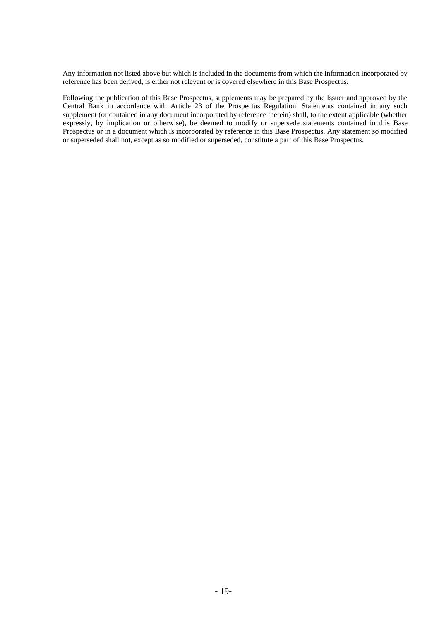Any information not listed above but which is included in the documents from which the information incorporated by reference has been derived, is either not relevant or is covered elsewhere in this Base Prospectus.

Following the publication of this Base Prospectus, supplements may be prepared by the Issuer and approved by the Central Bank in accordance with Article 23 of the Prospectus Regulation. Statements contained in any such supplement (or contained in any document incorporated by reference therein) shall, to the extent applicable (whether expressly, by implication or otherwise), be deemed to modify or supersede statements contained in this Base Prospectus or in a document which is incorporated by reference in this Base Prospectus. Any statement so modified or superseded shall not, except as so modified or superseded, constitute a part of this Base Prospectus.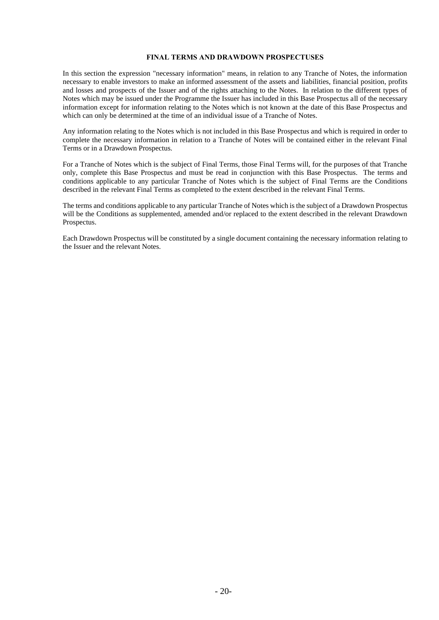## **FINAL TERMS AND DRAWDOWN PROSPECTUSES**

In this section the expression "necessary information" means, in relation to any Tranche of Notes, the information necessary to enable investors to make an informed assessment of the assets and liabilities, financial position, profits and losses and prospects of the Issuer and of the rights attaching to the Notes. In relation to the different types of Notes which may be issued under the Programme the Issuer has included in this Base Prospectus all of the necessary information except for information relating to the Notes which is not known at the date of this Base Prospectus and which can only be determined at the time of an individual issue of a Tranche of Notes.

Any information relating to the Notes which is not included in this Base Prospectus and which is required in order to complete the necessary information in relation to a Tranche of Notes will be contained either in the relevant Final Terms or in a Drawdown Prospectus.

For a Tranche of Notes which is the subject of Final Terms, those Final Terms will, for the purposes of that Tranche only, complete this Base Prospectus and must be read in conjunction with this Base Prospectus. The terms and conditions applicable to any particular Tranche of Notes which is the subject of Final Terms are the Conditions described in the relevant Final Terms as completed to the extent described in the relevant Final Terms.

The terms and conditions applicable to any particular Tranche of Notes which is the subject of a Drawdown Prospectus will be the Conditions as supplemented, amended and/or replaced to the extent described in the relevant Drawdown Prospectus.

Each Drawdown Prospectus will be constituted by a single document containing the necessary information relating to the Issuer and the relevant Notes.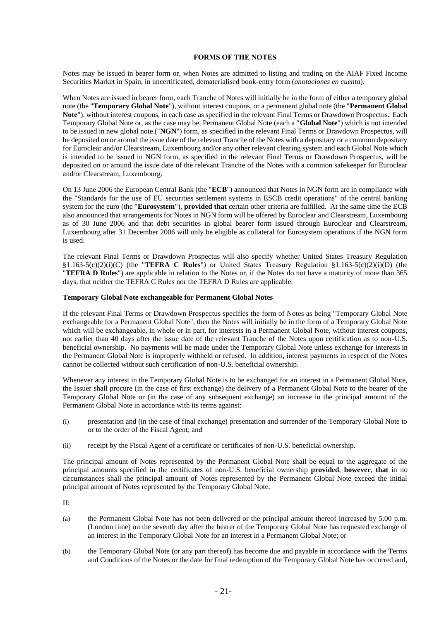## **FORMS OF THE NOTES**

Notes may be issued in bearer form or, when Notes are admitted to listing and trading on the AIAF Fixed Income Securities Market in Spain, in uncertificated, dematerialised book-entry form (*anotaciones en cuenta*).

When Notes are issued in bearer form, each Tranche of Notes will initially be in the form of either a temporary global note (the "**Temporary Global Note**"), without interest coupons, or a permanent global note (the "**Permanent Global Note**"), without interest coupons, in each case as specified in the relevant Final Terms or Drawdown Prospectus. Each Temporary Global Note or, as the case may be, Permanent Global Note (each a "**Global Note**") which is not intended to be issued in new global note ("**NGN**") form, as specified in the relevant Final Terms or Drawdown Prospectus, will be deposited on or around the issue date of the relevant Tranche of the Notes with a depositary or a common depositary for Euroclear and/or Clearstream, Luxembourg and/or any other relevant clearing system and each Global Note which is intended to be issued in NGN form, as specified in the relevant Final Terms or Drawdown Prospectus, will be deposited on or around the issue date of the relevant Tranche of the Notes with a common safekeeper for Euroclear and/or Clearstream, Luxembourg.

On 13 June 2006 the European Central Bank (the "**ECB**") announced that Notes in NGN form are in compliance with the "Standards for the use of EU securities settlement systems in ESCB credit operations" of the central banking system for the euro (the "**Eurosystem**"), **provided that** certain other criteria are fulfilled. At the same time the ECB also announced that arrangements for Notes in NGN form will be offered by Euroclear and Clearstream, Luxembourg as of 30 June 2006 and that debt securities in global bearer form issued through Euroclear and Clearstream, Luxembourg after 31 December 2006 will only be eligible as collateral for Eurosystem operations if the NGN form is used.

The relevant Final Terms or Drawdown Prospectus will also specify whether United States Treasury Regulation §1.163-5(c)(2)(i)(C) (the "**TEFRA C Rules**") or United States Treasury Regulation §1.163-5(c)(2)(i)(D) (the "**TEFRA D Rules**") are applicable in relation to the Notes or, if the Notes do not have a maturity of more than 365 days, that neither the TEFRA C Rules nor the TEFRA D Rules are applicable.

## **Temporary Global Note exchangeable for Permanent Global Notes**

If the relevant Final Terms or Drawdown Prospectus specifies the form of Notes as being "Temporary Global Note exchangeable for a Permanent Global Note", then the Notes will initially be in the form of a Temporary Global Note which will be exchangeable, in whole or in part, for interests in a Permanent Global Note, without interest coupons, not earlier than 40 days after the issue date of the relevant Tranche of the Notes upon certification as to non-U.S. beneficial ownership. No payments will be made under the Temporary Global Note unless exchange for interests in the Permanent Global Note is improperly withheld or refused. In addition, interest payments in respect of the Notes cannot be collected without such certification of non-U.S. beneficial ownership.

Whenever any interest in the Temporary Global Note is to be exchanged for an interest in a Permanent Global Note, the Issuer shall procure (in the case of first exchange) the delivery of a Permanent Global Note to the bearer of the Temporary Global Note or (in the case of any subsequent exchange) an increase in the principal amount of the Permanent Global Note in accordance with its terms against:

- (i) presentation and (in the case of final exchange) presentation and surrender of the Temporary Global Note to or to the order of the Fiscal Agent; and
- (ii) receipt by the Fiscal Agent of a certificate or certificates of non-U.S. beneficial ownership.

The principal amount of Notes represented by the Permanent Global Note shall be equal to the aggregate of the principal amounts specified in the certificates of non-U.S. beneficial ownership **provided**, **however**, **that** in no circumstances shall the principal amount of Notes represented by the Permanent Global Note exceed the initial principal amount of Notes represented by the Temporary Global Note.

If:

- (a) the Permanent Global Note has not been delivered or the principal amount thereof increased by 5.00 p.m. (London time) on the seventh day after the bearer of the Temporary Global Note has requested exchange of an interest in the Temporary Global Note for an interest in a Permanent Global Note; or
- (b) the Temporary Global Note (or any part thereof) has become due and payable in accordance with the Terms and Conditions of the Notes or the date for final redemption of the Temporary Global Note has occurred and,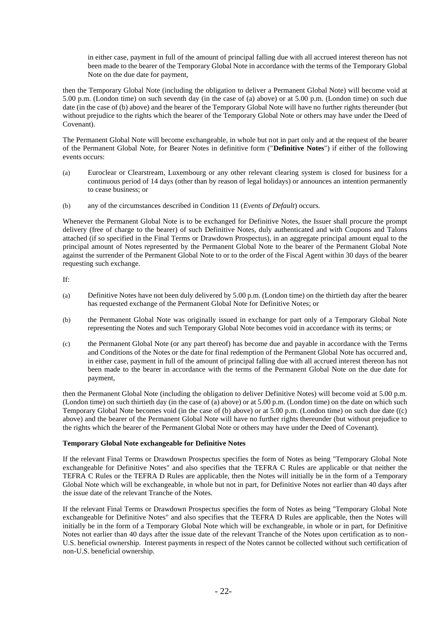in either case, payment in full of the amount of principal falling due with all accrued interest thereon has not been made to the bearer of the Temporary Global Note in accordance with the terms of the Temporary Global Note on the due date for payment,

then the Temporary Global Note (including the obligation to deliver a Permanent Global Note) will become void at 5.00 p.m. (London time) on such seventh day (in the case of (a) above) or at 5.00 p.m. (London time) on such due date (in the case of (b) above) and the bearer of the Temporary Global Note will have no further rights thereunder (but without prejudice to the rights which the bearer of the Temporary Global Note or others may have under the Deed of Covenant).

The Permanent Global Note will become exchangeable, in whole but not in part only and at the request of the bearer of the Permanent Global Note, for Bearer Notes in definitive form ("**Definitive Notes**") if either of the following events occurs:

- (a) Euroclear or Clearstream, Luxembourg or any other relevant clearing system is closed for business for a continuous period of 14 days (other than by reason of legal holidays) or announces an intention permanently to cease business; or
- (b) any of the circumstances described in Condition 11 (*Events of Default*) occurs.

Whenever the Permanent Global Note is to be exchanged for Definitive Notes, the Issuer shall procure the prompt delivery (free of charge to the bearer) of such Definitive Notes, duly authenticated and with Coupons and Talons attached (if so specified in the Final Terms or Drawdown Prospectus), in an aggregate principal amount equal to the principal amount of Notes represented by the Permanent Global Note to the bearer of the Permanent Global Note against the surrender of the Permanent Global Note to or to the order of the Fiscal Agent within 30 days of the bearer requesting such exchange.

If:

- (a) Definitive Notes have not been duly delivered by 5.00 p.m. (London time) on the thirtieth day after the bearer has requested exchange of the Permanent Global Note for Definitive Notes; or
- (b) the Permanent Global Note was originally issued in exchange for part only of a Temporary Global Note representing the Notes and such Temporary Global Note becomes void in accordance with its terms; or
- (c) the Permanent Global Note (or any part thereof) has become due and payable in accordance with the Terms and Conditions of the Notes or the date for final redemption of the Permanent Global Note has occurred and, in either case, payment in full of the amount of principal falling due with all accrued interest thereon has not been made to the bearer in accordance with the terms of the Permanent Global Note on the due date for payment,

then the Permanent Global Note (including the obligation to deliver Definitive Notes) will become void at 5.00 p.m. (London time) on such thirtieth day (in the case of (a) above) or at 5.00 p.m. (London time) on the date on which such Temporary Global Note becomes void (in the case of (b) above) or at  $\overline{5.00}$  p.m. (London time) on such due date ((c) above) and the bearer of the Permanent Global Note will have no further rights thereunder (but without prejudice to the rights which the bearer of the Permanent Global Note or others may have under the Deed of Covenant).

# **Temporary Global Note exchangeable for Definitive Notes**

If the relevant Final Terms or Drawdown Prospectus specifies the form of Notes as being "Temporary Global Note exchangeable for Definitive Notes" and also specifies that the TEFRA C Rules are applicable or that neither the TEFRA C Rules or the TEFRA D Rules are applicable, then the Notes will initially be in the form of a Temporary Global Note which will be exchangeable, in whole but not in part, for Definitive Notes not earlier than 40 days after the issue date of the relevant Tranche of the Notes.

If the relevant Final Terms or Drawdown Prospectus specifies the form of Notes as being "Temporary Global Note exchangeable for Definitive Notes" and also specifies that the TEFRA D Rules are applicable, then the Notes will initially be in the form of a Temporary Global Note which will be exchangeable, in whole or in part, for Definitive Notes not earlier than 40 days after the issue date of the relevant Tranche of the Notes upon certification as to non-U.S. beneficial ownership. Interest payments in respect of the Notes cannot be collected without such certification of non-U.S. beneficial ownership.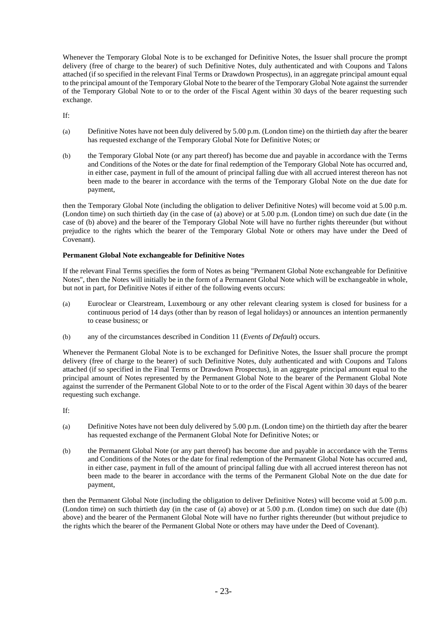Whenever the Temporary Global Note is to be exchanged for Definitive Notes, the Issuer shall procure the prompt delivery (free of charge to the bearer) of such Definitive Notes, duly authenticated and with Coupons and Talons attached (if so specified in the relevant Final Terms or Drawdown Prospectus), in an aggregate principal amount equal to the principal amount of the Temporary Global Note to the bearer of the Temporary Global Note against the surrender of the Temporary Global Note to or to the order of the Fiscal Agent within 30 days of the bearer requesting such exchange.

If:

- (a) Definitive Notes have not been duly delivered by 5.00 p.m. (London time) on the thirtieth day after the bearer has requested exchange of the Temporary Global Note for Definitive Notes; or
- (b) the Temporary Global Note (or any part thereof) has become due and payable in accordance with the Terms and Conditions of the Notes or the date for final redemption of the Temporary Global Note has occurred and, in either case, payment in full of the amount of principal falling due with all accrued interest thereon has not been made to the bearer in accordance with the terms of the Temporary Global Note on the due date for payment,

then the Temporary Global Note (including the obligation to deliver Definitive Notes) will become void at 5.00 p.m. (London time) on such thirtieth day (in the case of (a) above) or at 5.00 p.m. (London time) on such due date (in the case of (b) above) and the bearer of the Temporary Global Note will have no further rights thereunder (but without prejudice to the rights which the bearer of the Temporary Global Note or others may have under the Deed of Covenant).

## **Permanent Global Note exchangeable for Definitive Notes**

If the relevant Final Terms specifies the form of Notes as being "Permanent Global Note exchangeable for Definitive Notes", then the Notes will initially be in the form of a Permanent Global Note which will be exchangeable in whole, but not in part, for Definitive Notes if either of the following events occurs:

- (a) Euroclear or Clearstream, Luxembourg or any other relevant clearing system is closed for business for a continuous period of 14 days (other than by reason of legal holidays) or announces an intention permanently to cease business; or
- (b) any of the circumstances described in Condition 11 (*Events of Default*) occurs.

Whenever the Permanent Global Note is to be exchanged for Definitive Notes, the Issuer shall procure the prompt delivery (free of charge to the bearer) of such Definitive Notes, duly authenticated and with Coupons and Talons attached (if so specified in the Final Terms or Drawdown Prospectus), in an aggregate principal amount equal to the principal amount of Notes represented by the Permanent Global Note to the bearer of the Permanent Global Note against the surrender of the Permanent Global Note to or to the order of the Fiscal Agent within 30 days of the bearer requesting such exchange.

If:

- (a) Definitive Notes have not been duly delivered by 5.00 p.m. (London time) on the thirtieth day after the bearer has requested exchange of the Permanent Global Note for Definitive Notes; or
- (b) the Permanent Global Note (or any part thereof) has become due and payable in accordance with the Terms and Conditions of the Notes or the date for final redemption of the Permanent Global Note has occurred and, in either case, payment in full of the amount of principal falling due with all accrued interest thereon has not been made to the bearer in accordance with the terms of the Permanent Global Note on the due date for payment,

then the Permanent Global Note (including the obligation to deliver Definitive Notes) will become void at 5.00 p.m. (London time) on such thirtieth day (in the case of (a) above) or at 5.00 p.m. (London time) on such due date ((b) above) and the bearer of the Permanent Global Note will have no further rights thereunder (but without prejudice to the rights which the bearer of the Permanent Global Note or others may have under the Deed of Covenant).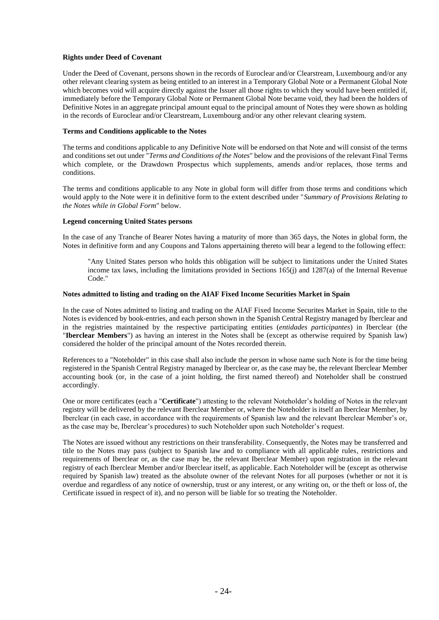## **Rights under Deed of Covenant**

Under the Deed of Covenant, persons shown in the records of Euroclear and/or Clearstream, Luxembourg and/or any other relevant clearing system as being entitled to an interest in a Temporary Global Note or a Permanent Global Note which becomes void will acquire directly against the Issuer all those rights to which they would have been entitled if, immediately before the Temporary Global Note or Permanent Global Note became void, they had been the holders of Definitive Notes in an aggregate principal amount equal to the principal amount of Notes they were shown as holding in the records of Euroclear and/or Clearstream, Luxembourg and/or any other relevant clearing system.

## **Terms and Conditions applicable to the Notes**

The terms and conditions applicable to any Definitive Note will be endorsed on that Note and will consist of the terms and conditions set out under "*Terms and Conditions of the Notes*" below and the provisions of the relevant Final Terms which complete, or the Drawdown Prospectus which supplements, amends and/or replaces, those terms and conditions.

The terms and conditions applicable to any Note in global form will differ from those terms and conditions which would apply to the Note were it in definitive form to the extent described under "*Summary of Provisions Relating to the Notes while in Global Form*" below.

## **Legend concerning United States persons**

In the case of any Tranche of Bearer Notes having a maturity of more than 365 days, the Notes in global form, the Notes in definitive form and any Coupons and Talons appertaining thereto will bear a legend to the following effect:

"Any United States person who holds this obligation will be subject to limitations under the United States income tax laws, including the limitations provided in Sections 165(j) and 1287(a) of the Internal Revenue Code."

## **Notes admitted to listing and trading on the AIAF Fixed Income Securities Market in Spain**

In the case of Notes admitted to listing and trading on the AIAF Fixed Income Securites Market in Spain, title to the Notes is evidenced by book-entries, and each person shown in the Spanish Central Registry managed by Iberclear and in the registries maintained by the respective participating entities (*entidades participantes*) in Iberclear (the "**Iberclear Members**") as having an interest in the Notes shall be (except as otherwise required by Spanish law) considered the holder of the principal amount of the Notes recorded therein.

References to a "Noteholder" in this case shall also include the person in whose name such Note is for the time being registered in the Spanish Central Registry managed by Iberclear or, as the case may be, the relevant Iberclear Member accounting book (or, in the case of a joint holding, the first named thereof) and Noteholder shall be construed accordingly.

One or more certificates (each a "**Certificate**") attesting to the relevant Noteholder's holding of Notes in the relevant registry will be delivered by the relevant Iberclear Member or, where the Noteholder is itself an Iberclear Member, by Iberclear (in each case, in accordance with the requirements of Spanish law and the relevant Iberclear Member's or, as the case may be, Iberclear's procedures) to such Noteholder upon such Noteholder's request.

The Notes are issued without any restrictions on their transferability. Consequently, the Notes may be transferred and title to the Notes may pass (subject to Spanish law and to compliance with all applicable rules, restrictions and requirements of Iberclear or, as the case may be, the relevant Iberclear Member) upon registration in the relevant registry of each Iberclear Member and/or Iberclear itself, as applicable. Each Noteholder will be (except as otherwise required by Spanish law) treated as the absolute owner of the relevant Notes for all purposes (whether or not it is overdue and regardless of any notice of ownership, trust or any interest, or any writing on, or the theft or loss of, the Certificate issued in respect of it), and no person will be liable for so treating the Noteholder.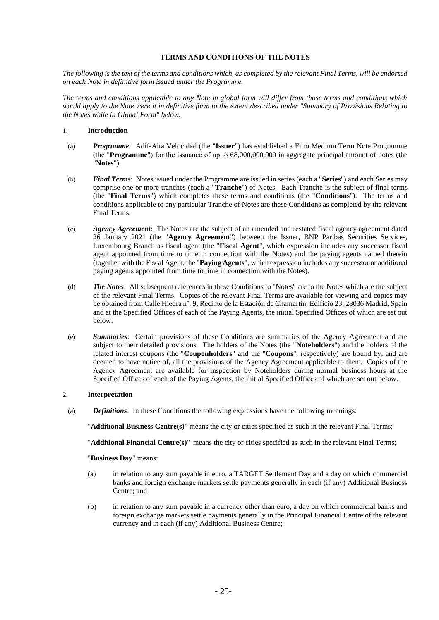## **TERMS AND CONDITIONS OF THE NOTES**

*The following is the text of the terms and conditions which, as completed by the relevant Final Terms, will be endorsed on each Note in definitive form issued under the Programme.*

*The terms and conditions applicable to any Note in global form will differ from those terms and conditions which would apply to the Note were it in definitive form to the extent described under "Summary of Provisions Relating to the Notes while in Global Form" below.*

## 1. **Introduction**

- (a) *Programme*: Adif-Alta Velocidad (the "**Issuer**") has established a Euro Medium Term Note Programme (the "**Programme**") for the issuance of up to  $\epsilon$ 8,000,000,000 in aggregate principal amount of notes (the "**Notes**").
- (b) *Final Terms*: Notes issued under the Programme are issued in series (each a "**Series**") and each Series may comprise one or more tranches (each a "**Tranche**") of Notes. Each Tranche is the subject of final terms (the "**Final Terms**") which completes these terms and conditions (the "**Conditions**"). The terms and conditions applicable to any particular Tranche of Notes are these Conditions as completed by the relevant Final Terms.
- (c) *Agency Agreement*: The Notes are the subject of an amended and restated fiscal agency agreement dated 26 January 2021 (the "**Agency Agreement**") between the Issuer, BNP Paribas Securities Services, Luxembourg Branch as fiscal agent (the "**Fiscal Agent**", which expression includes any successor fiscal agent appointed from time to time in connection with the Notes) and the paying agents named therein (together with the Fiscal Agent, the "**Paying Agents**", which expression includes any successor or additional paying agents appointed from time to time in connection with the Notes).
- (d) *The Notes*: All subsequent references in these Conditions to "Notes" are to the Notes which are the subject of the relevant Final Terms. Copies of the relevant Final Terms are available for viewing and copies may be obtained from Calle Hiedra nº. 9, Recinto de la Estación de Chamartín, Edificio 23, 28036 Madrid, Spain and at the Specified Offices of each of the Paying Agents, the initial Specified Offices of which are set out below.
- (e) *Summaries*: Certain provisions of these Conditions are summaries of the Agency Agreement and are subject to their detailed provisions. The holders of the Notes (the "**Noteholders**") and the holders of the related interest coupons (the "**Couponholders**" and the "**Coupons**", respectively) are bound by, and are deemed to have notice of, all the provisions of the Agency Agreement applicable to them. Copies of the Agency Agreement are available for inspection by Noteholders during normal business hours at the Specified Offices of each of the Paying Agents, the initial Specified Offices of which are set out below.

# 2. **Interpretation**

(a) *Definitions*: In these Conditions the following expressions have the following meanings:

"**Additional Business Centre(s)**" means the city or cities specified as such in the relevant Final Terms;

"**Additional Financial Centre(s)**" means the city or cities specified as such in the relevant Final Terms;

## "**Business Day**" means:

- (a) in relation to any sum payable in euro, a TARGET Settlement Day and a day on which commercial banks and foreign exchange markets settle payments generally in each (if any) Additional Business Centre; and
- (b) in relation to any sum payable in a currency other than euro, a day on which commercial banks and foreign exchange markets settle payments generally in the Principal Financial Centre of the relevant currency and in each (if any) Additional Business Centre;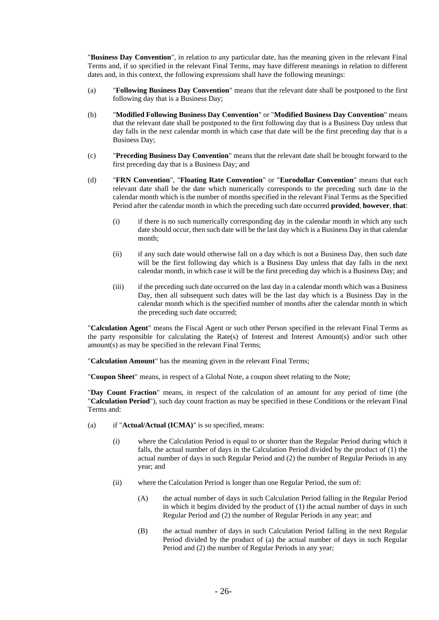"**Business Day Convention**", in relation to any particular date, has the meaning given in the relevant Final Terms and, if so specified in the relevant Final Terms, may have different meanings in relation to different dates and, in this context, the following expressions shall have the following meanings:

- (a) "**Following Business Day Convention**" means that the relevant date shall be postponed to the first following day that is a Business Day;
- (b) "**Modified Following Business Day Convention**" or "**Modified Business Day Convention**" means that the relevant date shall be postponed to the first following day that is a Business Day unless that day falls in the next calendar month in which case that date will be the first preceding day that is a Business Day;
- (c) "**Preceding Business Day Convention**" means that the relevant date shall be brought forward to the first preceding day that is a Business Day; and
- (d) "**FRN Convention**", "**Floating Rate Convention**" or "**Eurodollar Convention**" means that each relevant date shall be the date which numerically corresponds to the preceding such date in the calendar month which is the number of months specified in the relevant Final Terms as the Specified Period after the calendar month in which the preceding such date occurred **provided**, **however**, **that**:
	- (i) if there is no such numerically corresponding day in the calendar month in which any such date should occur, then such date will be the last day which is a Business Day in that calendar month;
	- (ii) if any such date would otherwise fall on a day which is not a Business Day, then such date will be the first following day which is a Business Day unless that day falls in the next calendar month, in which case it will be the first preceding day which is a Business Day; and
	- (iii) if the preceding such date occurred on the last day in a calendar month which was a Business Day, then all subsequent such dates will be the last day which is a Business Day in the calendar month which is the specified number of months after the calendar month in which the preceding such date occurred;

"**Calculation Agent**" means the Fiscal Agent or such other Person specified in the relevant Final Terms as the party responsible for calculating the Rate(s) of Interest and Interest Amount(s) and/or such other amount(s) as may be specified in the relevant Final Terms;

"**Calculation Amount**" has the meaning given in the relevant Final Terms;

"**Coupon Sheet**" means, in respect of a Global Note, a coupon sheet relating to the Note;

"**Day Count Fraction**" means, in respect of the calculation of an amount for any period of time (the "**Calculation Period**"), such day count fraction as may be specified in these Conditions or the relevant Final Terms and:

- (a) if "**Actual/Actual (ICMA)**" is so specified, means:
	- (i) where the Calculation Period is equal to or shorter than the Regular Period during which it falls, the actual number of days in the Calculation Period divided by the product of (1) the actual number of days in such Regular Period and (2) the number of Regular Periods in any year; and
	- (ii) where the Calculation Period is longer than one Regular Period, the sum of:
		- (A) the actual number of days in such Calculation Period falling in the Regular Period in which it begins divided by the product of (1) the actual number of days in such Regular Period and (2) the number of Regular Periods in any year; and
		- (B) the actual number of days in such Calculation Period falling in the next Regular Period divided by the product of (a) the actual number of days in such Regular Period and (2) the number of Regular Periods in any year;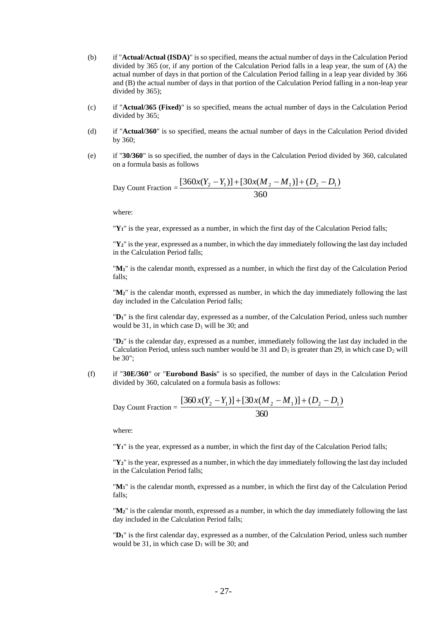- (b) if "**Actual/Actual (ISDA)**" is so specified, means the actual number of days in the Calculation Period divided by 365 (or, if any portion of the Calculation Period falls in a leap year, the sum of (A) the actual number of days in that portion of the Calculation Period falling in a leap year divided by 366 and (B) the actual number of days in that portion of the Calculation Period falling in a non-leap year divided by 365);
- (c) if "**Actual/365 (Fixed)**" is so specified, means the actual number of days in the Calculation Period divided by 365;
- (d) if "**Actual/360**" is so specified, means the actual number of days in the Calculation Period divided by 360;
- (e) if "**30/360**" is so specified, the number of days in the Calculation Period divided by 360, calculated on a formula basis as follows

Day Count Fraction = 
$$
\frac{[360x(Y_2 - Y_1)] + [30x(M_2 - M_1)] + (D_2 - D_1)}{360}
$$

where:

"**Y1**" is the year, expressed as a number, in which the first day of the Calculation Period falls;

"**Y2**" is the year, expressed as a number, in which the day immediately following the last day included in the Calculation Period falls;

"**M1**" is the calendar month, expressed as a number, in which the first day of the Calculation Period falls;

"**M2**" is the calendar month, expressed as number, in which the day immediately following the last day included in the Calculation Period falls;

"**D1**" is the first calendar day, expressed as a number, of the Calculation Period, unless such number would be 31, in which case  $D_1$  will be 30; and

"**D2**" is the calendar day, expressed as a number, immediately following the last day included in the Calculation Period, unless such number would be 31 and  $D_1$  is greater than 29, in which case  $D_2$  will be 30";

(f) if "**30E/360**" or "**Eurobond Basis**" is so specified, the number of days in the Calculation Period divided by 360, calculated on a formula basis as follows:

Day Count Fraction = 
$$
\frac{[360x(Y_2 - Y_1)] + [30x(M_2 - M_1)] + (D_2 - D_1)}{360}
$$

where:

"**Y1**" is the year, expressed as a number, in which the first day of the Calculation Period falls;

"**Y2**" is the year, expressed as a number, in which the day immediately following the last day included in the Calculation Period falls;

"**M1**" is the calendar month, expressed as a number, in which the first day of the Calculation Period falls;

"**M2**" is the calendar month, expressed as a number, in which the day immediately following the last day included in the Calculation Period falls;

"**D1**" is the first calendar day, expressed as a number, of the Calculation Period, unless such number would be 31, in which case  $D_1$  will be 30; and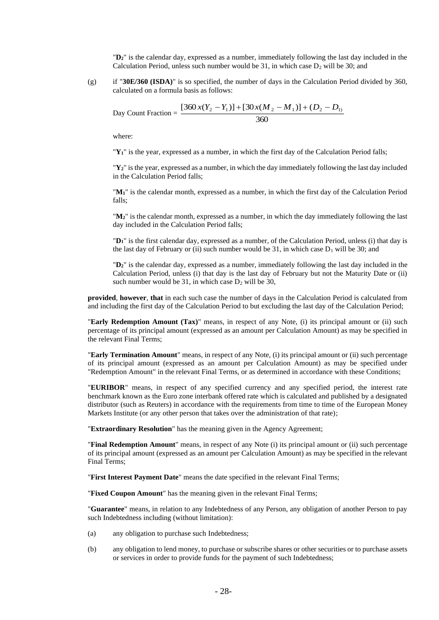"**D2**" is the calendar day, expressed as a number, immediately following the last day included in the Calculation Period, unless such number would be 31, in which case  $D_2$  will be 30; and

(g) if "**30E/360 (ISDA)**" is so specified, the number of days in the Calculation Period divided by 360, calculated on a formula basis as follows:

Day Count Fraction = 
$$
\frac{[360x(Y_2 - Y_1)] + [30x(M_2 - M_1)] + (D_2 - D_1)}{360}
$$

where:

"**Y1**" is the year, expressed as a number, in which the first day of the Calculation Period falls;

"**Y2**" is the year, expressed as a number, in which the day immediately following the last day included in the Calculation Period falls;

"**M1**" is the calendar month, expressed as a number, in which the first day of the Calculation Period falls;

"**M2**" is the calendar month, expressed as a number, in which the day immediately following the last day included in the Calculation Period falls;

"**D1**" is the first calendar day, expressed as a number, of the Calculation Period, unless (i) that day is the last day of February or (ii) such number would be 31, in which case  $D_1$  will be 30; and

"**D2**" is the calendar day, expressed as a number, immediately following the last day included in the Calculation Period, unless (i) that day is the last day of February but not the Maturity Date or (ii) such number would be 31, in which case  $D_2$  will be 30,

**provided**, **however**, **that** in each such case the number of days in the Calculation Period is calculated from and including the first day of the Calculation Period to but excluding the last day of the Calculation Period;

"**Early Redemption Amount (Tax)**" means, in respect of any Note, (i) its principal amount or (ii) such percentage of its principal amount (expressed as an amount per Calculation Amount) as may be specified in the relevant Final Terms;

"**Early Termination Amount**" means, in respect of any Note, (i) its principal amount or (ii) such percentage of its principal amount (expressed as an amount per Calculation Amount) as may be specified under "Redemption Amount" in the relevant Final Terms, or as determined in accordance with these Conditions;

"**EURIBOR**" means, in respect of any specified currency and any specified period, the interest rate benchmark known as the Euro zone interbank offered rate which is calculated and published by a designated distributor (such as Reuters) in accordance with the requirements from time to time of the European Money Markets Institute (or any other person that takes over the administration of that rate);

"**Extraordinary Resolution**" has the meaning given in the Agency Agreement;

"**Final Redemption Amount**" means, in respect of any Note (i) its principal amount or (ii) such percentage of its principal amount (expressed as an amount per Calculation Amount) as may be specified in the relevant Final Terms;

"**First Interest Payment Date**" means the date specified in the relevant Final Terms;

"**Fixed Coupon Amount**" has the meaning given in the relevant Final Terms;

"**Guarantee**" means, in relation to any Indebtedness of any Person, any obligation of another Person to pay such Indebtedness including (without limitation):

- (a) any obligation to purchase such Indebtedness;
- (b) any obligation to lend money, to purchase or subscribe shares or other securities or to purchase assets or services in order to provide funds for the payment of such Indebtedness;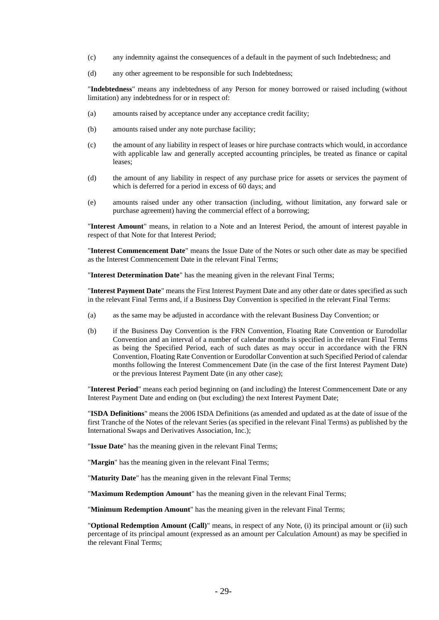- (c) any indemnity against the consequences of a default in the payment of such Indebtedness; and
- (d) any other agreement to be responsible for such Indebtedness;

"**Indebtedness**" means any indebtedness of any Person for money borrowed or raised including (without limitation) any indebtedness for or in respect of:

- (a) amounts raised by acceptance under any acceptance credit facility;
- (b) amounts raised under any note purchase facility;
- (c) the amount of any liability in respect of leases or hire purchase contracts which would, in accordance with applicable law and generally accepted accounting principles, be treated as finance or capital leases;
- (d) the amount of any liability in respect of any purchase price for assets or services the payment of which is deferred for a period in excess of 60 days; and
- (e) amounts raised under any other transaction (including, without limitation, any forward sale or purchase agreement) having the commercial effect of a borrowing;

"**Interest Amount**" means, in relation to a Note and an Interest Period, the amount of interest payable in respect of that Note for that Interest Period;

"**Interest Commencement Date**" means the Issue Date of the Notes or such other date as may be specified as the Interest Commencement Date in the relevant Final Terms;

"**Interest Determination Date**" has the meaning given in the relevant Final Terms;

"**Interest Payment Date**" means the First Interest Payment Date and any other date or dates specified as such in the relevant Final Terms and, if a Business Day Convention is specified in the relevant Final Terms:

- (a) as the same may be adjusted in accordance with the relevant Business Day Convention; or
- (b) if the Business Day Convention is the FRN Convention, Floating Rate Convention or Eurodollar Convention and an interval of a number of calendar months is specified in the relevant Final Terms as being the Specified Period, each of such dates as may occur in accordance with the FRN Convention, Floating Rate Convention or Eurodollar Convention at such Specified Period of calendar months following the Interest Commencement Date (in the case of the first Interest Payment Date) or the previous Interest Payment Date (in any other case);

"**Interest Period**" means each period beginning on (and including) the Interest Commencement Date or any Interest Payment Date and ending on (but excluding) the next Interest Payment Date;

"**ISDA Definitions**" means the 2006 ISDA Definitions (as amended and updated as at the date of issue of the first Tranche of the Notes of the relevant Series (as specified in the relevant Final Terms) as published by the International Swaps and Derivatives Association, Inc.);

"**Issue Date**" has the meaning given in the relevant Final Terms;

"**Margin**" has the meaning given in the relevant Final Terms;

"**Maturity Date**" has the meaning given in the relevant Final Terms;

"**Maximum Redemption Amount**" has the meaning given in the relevant Final Terms;

"**Minimum Redemption Amount**" has the meaning given in the relevant Final Terms;

"**Optional Redemption Amount (Call)**" means, in respect of any Note, (i) its principal amount or (ii) such percentage of its principal amount (expressed as an amount per Calculation Amount) as may be specified in the relevant Final Terms;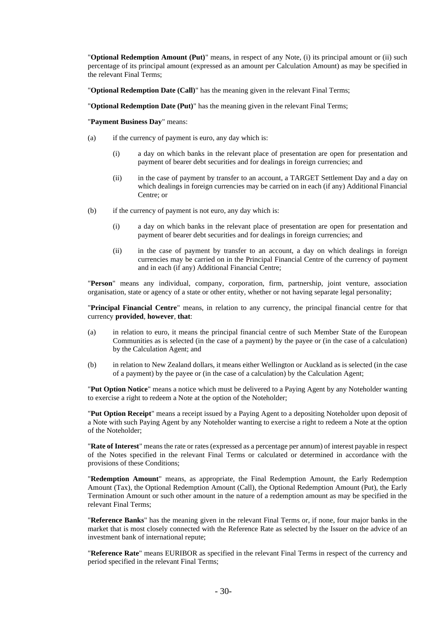"**Optional Redemption Amount (Put)**" means, in respect of any Note, (i) its principal amount or (ii) such percentage of its principal amount (expressed as an amount per Calculation Amount) as may be specified in the relevant Final Terms;

"**Optional Redemption Date (Call)**" has the meaning given in the relevant Final Terms;

"**Optional Redemption Date (Put)**" has the meaning given in the relevant Final Terms;

"**Payment Business Day**" means:

- (a) if the currency of payment is euro, any day which is:
	- (i) a day on which banks in the relevant place of presentation are open for presentation and payment of bearer debt securities and for dealings in foreign currencies; and
	- (ii) in the case of payment by transfer to an account, a TARGET Settlement Day and a day on which dealings in foreign currencies may be carried on in each (if any) Additional Financial Centre; or
- (b) if the currency of payment is not euro, any day which is:
	- (i) a day on which banks in the relevant place of presentation are open for presentation and payment of bearer debt securities and for dealings in foreign currencies; and
	- (ii) in the case of payment by transfer to an account, a day on which dealings in foreign currencies may be carried on in the Principal Financial Centre of the currency of payment and in each (if any) Additional Financial Centre;

"**Person**" means any individual, company, corporation, firm, partnership, joint venture, association organisation, state or agency of a state or other entity, whether or not having separate legal personality;

"**Principal Financial Centre**" means, in relation to any currency, the principal financial centre for that currency **provided**, **however**, **that**:

- (a) in relation to euro, it means the principal financial centre of such Member State of the European Communities as is selected (in the case of a payment) by the payee or (in the case of a calculation) by the Calculation Agent; and
- (b) in relation to New Zealand dollars, it means either Wellington or Auckland as is selected (in the case of a payment) by the payee or (in the case of a calculation) by the Calculation Agent;

"**Put Option Notice**" means a notice which must be delivered to a Paying Agent by any Noteholder wanting to exercise a right to redeem a Note at the option of the Noteholder;

"**Put Option Receipt**" means a receipt issued by a Paying Agent to a depositing Noteholder upon deposit of a Note with such Paying Agent by any Noteholder wanting to exercise a right to redeem a Note at the option of the Noteholder;

"**Rate of Interest**" means the rate or rates (expressed as a percentage per annum) of interest payable in respect of the Notes specified in the relevant Final Terms or calculated or determined in accordance with the provisions of these Conditions;

"**Redemption Amount**" means, as appropriate, the Final Redemption Amount, the Early Redemption Amount (Tax), the Optional Redemption Amount (Call), the Optional Redemption Amount (Put), the Early Termination Amount or such other amount in the nature of a redemption amount as may be specified in the relevant Final Terms;

"**Reference Banks**" has the meaning given in the relevant Final Terms or, if none, four major banks in the market that is most closely connected with the Reference Rate as selected by the Issuer on the advice of an investment bank of international repute;

"**Reference Rate**" means EURIBOR as specified in the relevant Final Terms in respect of the currency and period specified in the relevant Final Terms;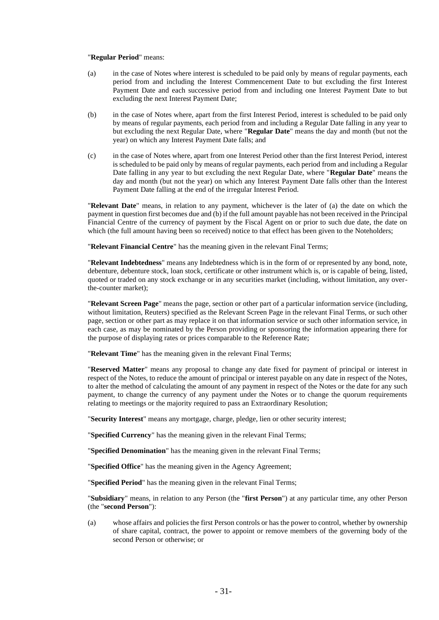#### "**Regular Period**" means:

- (a) in the case of Notes where interest is scheduled to be paid only by means of regular payments, each period from and including the Interest Commencement Date to but excluding the first Interest Payment Date and each successive period from and including one Interest Payment Date to but excluding the next Interest Payment Date;
- (b) in the case of Notes where, apart from the first Interest Period, interest is scheduled to be paid only by means of regular payments, each period from and including a Regular Date falling in any year to but excluding the next Regular Date, where "**Regular Date**" means the day and month (but not the year) on which any Interest Payment Date falls; and
- (c) in the case of Notes where, apart from one Interest Period other than the first Interest Period, interest is scheduled to be paid only by means of regular payments, each period from and including a Regular Date falling in any year to but excluding the next Regular Date, where "**Regular Date**" means the day and month (but not the year) on which any Interest Payment Date falls other than the Interest Payment Date falling at the end of the irregular Interest Period.

"**Relevant Date**" means, in relation to any payment, whichever is the later of (a) the date on which the payment in question first becomes due and (b) if the full amount payable has not been received in the Principal Financial Centre of the currency of payment by the Fiscal Agent on or prior to such due date, the date on which (the full amount having been so received) notice to that effect has been given to the Noteholders;

"**Relevant Financial Centre**" has the meaning given in the relevant Final Terms;

"**Relevant Indebtedness**" means any Indebtedness which is in the form of or represented by any bond, note, debenture, debenture stock, loan stock, certificate or other instrument which is, or is capable of being, listed, quoted or traded on any stock exchange or in any securities market (including, without limitation, any overthe-counter market);

"**Relevant Screen Page**" means the page, section or other part of a particular information service (including, without limitation, Reuters) specified as the Relevant Screen Page in the relevant Final Terms, or such other page, section or other part as may replace it on that information service or such other information service, in each case, as may be nominated by the Person providing or sponsoring the information appearing there for the purpose of displaying rates or prices comparable to the Reference Rate;

"**Relevant Time**" has the meaning given in the relevant Final Terms;

"**Reserved Matter**" means any proposal to change any date fixed for payment of principal or interest in respect of the Notes, to reduce the amount of principal or interest payable on any date in respect of the Notes, to alter the method of calculating the amount of any payment in respect of the Notes or the date for any such payment, to change the currency of any payment under the Notes or to change the quorum requirements relating to meetings or the majority required to pass an Extraordinary Resolution;

"**Security Interest**" means any mortgage, charge, pledge, lien or other security interest;

"**Specified Currency**" has the meaning given in the relevant Final Terms;

"**Specified Denomination**" has the meaning given in the relevant Final Terms;

"**Specified Office**" has the meaning given in the Agency Agreement;

"**Specified Period**" has the meaning given in the relevant Final Terms;

"**Subsidiary**" means, in relation to any Person (the "**first Person**") at any particular time, any other Person (the "**second Person**"):

(a) whose affairs and policies the first Person controls or has the power to control, whether by ownership of share capital, contract, the power to appoint or remove members of the governing body of the second Person or otherwise; or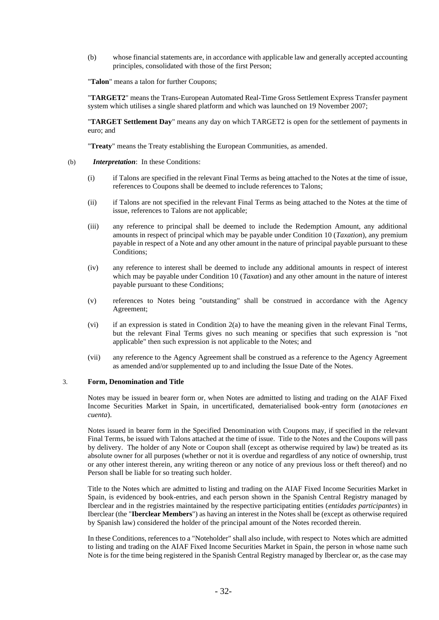(b) whose financial statements are, in accordance with applicable law and generally accepted accounting principles, consolidated with those of the first Person;

"**Talon**" means a talon for further Coupons;

"**TARGET2**" means the Trans-European Automated Real-Time Gross Settlement Express Transfer payment system which utilises a single shared platform and which was launched on 19 November 2007;

"**TARGET Settlement Day**" means any day on which TARGET2 is open for the settlement of payments in euro; and

"**Treaty**" means the Treaty establishing the European Communities, as amended.

- (b) *Interpretation*: In these Conditions:
	- (i) if Talons are specified in the relevant Final Terms as being attached to the Notes at the time of issue, references to Coupons shall be deemed to include references to Talons;
	- (ii) if Talons are not specified in the relevant Final Terms as being attached to the Notes at the time of issue, references to Talons are not applicable;
	- (iii) any reference to principal shall be deemed to include the Redemption Amount, any additional amounts in respect of principal which may be payable under Condition 10 (*Taxation*), any premium payable in respect of a Note and any other amount in the nature of principal payable pursuant to these Conditions;
	- (iv) any reference to interest shall be deemed to include any additional amounts in respect of interest which may be payable under Condition 10 (*Taxation*) and any other amount in the nature of interest payable pursuant to these Conditions;
	- (v) references to Notes being "outstanding" shall be construed in accordance with the Agency Agreement;
	- (vi) if an expression is stated in Condition 2(a) to have the meaning given in the relevant Final Terms, but the relevant Final Terms gives no such meaning or specifies that such expression is "not applicable" then such expression is not applicable to the Notes; and
	- (vii) any reference to the Agency Agreement shall be construed as a reference to the Agency Agreement as amended and/or supplemented up to and including the Issue Date of the Notes.

#### 3. **Form, Denomination and Title**

Notes may be issued in bearer form or, when Notes are admitted to listing and trading on the AIAF Fixed Income Securities Market in Spain, in uncertificated, dematerialised book-entry form (*anotaciones en cuenta*).

Notes issued in bearer form in the Specified Denomination with Coupons may, if specified in the relevant Final Terms, be issued with Talons attached at the time of issue. Title to the Notes and the Coupons will pass by delivery. The holder of any Note or Coupon shall (except as otherwise required by law) be treated as its absolute owner for all purposes (whether or not it is overdue and regardless of any notice of ownership, trust or any other interest therein, any writing thereon or any notice of any previous loss or theft thereof) and no Person shall be liable for so treating such holder.

Title to the Notes which are admitted to listing and trading on the AIAF Fixed Income Securities Market in Spain, is evidenced by book-entries, and each person shown in the Spanish Central Registry managed by Iberclear and in the registries maintained by the respective participating entities (*entidades participantes*) in Iberclear (the "**Iberclear Members**") as having an interest in the Notes shall be (except as otherwise required by Spanish law) considered the holder of the principal amount of the Notes recorded therein.

In these Conditions, references to a "Noteholder" shall also include, with respect to Notes which are admitted to listing and trading on the AIAF Fixed Income Securities Market in Spain, the person in whose name such Note is for the time being registered in the Spanish Central Registry managed by Iberclear or, as the case may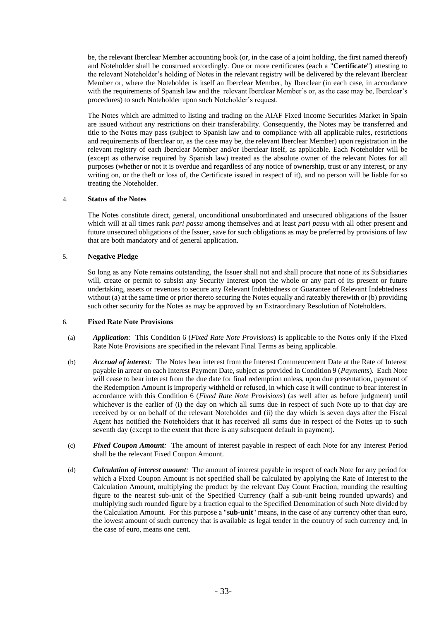be, the relevant Iberclear Member accounting book (or, in the case of a joint holding, the first named thereof) and Noteholder shall be construed accordingly. One or more certificates (each a "**Certificate**") attesting to the relevant Noteholder's holding of Notes in the relevant registry will be delivered by the relevant Iberclear Member or, where the Noteholder is itself an Iberclear Member, by Iberclear (in each case, in accordance with the requirements of Spanish law and the relevant Iberclear Member's or, as the case may be, Iberclear's procedures) to such Noteholder upon such Noteholder's request.

The Notes which are admitted to listing and trading on the AIAF Fixed Income Securities Market in Spain are issued without any restrictions on their transferability. Consequently, the Notes may be transferred and title to the Notes may pass (subject to Spanish law and to compliance with all applicable rules, restrictions and requirements of Iberclear or, as the case may be, the relevant Iberclear Member) upon registration in the relevant registry of each Iberclear Member and/or Iberclear itself, as applicable. Each Noteholder will be (except as otherwise required by Spanish law) treated as the absolute owner of the relevant Notes for all purposes (whether or not it is overdue and regardless of any notice of ownership, trust or any interest, or any writing on, or the theft or loss of, the Certificate issued in respect of it), and no person will be liable for so treating the Noteholder.

## 4. **Status of the Notes**

The Notes constitute direct, general, unconditional unsubordinated and unsecured obligations of the Issuer which will at all times rank *pari passu* among themselves and at least *pari passu* with all other present and future unsecured obligations of the Issuer, save for such obligations as may be preferred by provisions of law that are both mandatory and of general application.

## 5. **Negative Pledge**

So long as any Note remains outstanding, the Issuer shall not and shall procure that none of its Subsidiaries will, create or permit to subsist any Security Interest upon the whole or any part of its present or future undertaking, assets or revenues to secure any Relevant Indebtedness or Guarantee of Relevant Indebtedness without (a) at the same time or prior thereto securing the Notes equally and rateably therewith or (b) providing such other security for the Notes as may be approved by an Extraordinary Resolution of Noteholders.

#### 6. **Fixed Rate Note Provisions**

- (a) *Application:* This Condition 6 (*Fixed Rate Note Provisions*) is applicable to the Notes only if the Fixed Rate Note Provisions are specified in the relevant Final Terms as being applicable.
- (b) *Accrual of interest:* The Notes bear interest from the Interest Commencement Date at the Rate of Interest payable in arrear on each Interest Payment Date, subject as provided in Condition 9 (*Payments*). Each Note will cease to bear interest from the due date for final redemption unless, upon due presentation, payment of the Redemption Amount is improperly withheld or refused, in which case it will continue to bear interest in accordance with this Condition 6 (*Fixed Rate Note Provisions*) (as well after as before judgment) until whichever is the earlier of (i) the day on which all sums due in respect of such Note up to that day are received by or on behalf of the relevant Noteholder and (ii) the day which is seven days after the Fiscal Agent has notified the Noteholders that it has received all sums due in respect of the Notes up to such seventh day (except to the extent that there is any subsequent default in payment).
- (c) *Fixed Coupon Amount:* The amount of interest payable in respect of each Note for any Interest Period shall be the relevant Fixed Coupon Amount.
- (d) *Calculation of interest amount:* The amount of interest payable in respect of each Note for any period for which a Fixed Coupon Amount is not specified shall be calculated by applying the Rate of Interest to the Calculation Amount, multiplying the product by the relevant Day Count Fraction, rounding the resulting figure to the nearest sub-unit of the Specified Currency (half a sub-unit being rounded upwards) and multiplying such rounded figure by a fraction equal to the Specified Denomination of such Note divided by the Calculation Amount. For this purpose a "**sub-unit**" means, in the case of any currency other than euro, the lowest amount of such currency that is available as legal tender in the country of such currency and, in the case of euro, means one cent.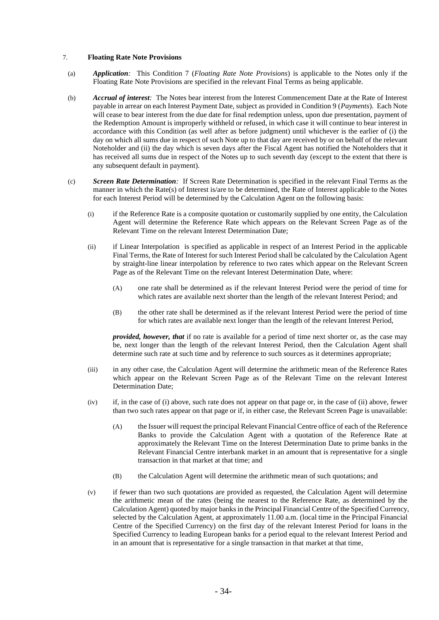## 7. **Floating Rate Note Provisions**

- (a) *Application:* This Condition 7 (*Floating Rate Note Provisions*) is applicable to the Notes only if the Floating Rate Note Provisions are specified in the relevant Final Terms as being applicable.
- (b) *Accrual of interest:* The Notes bear interest from the Interest Commencement Date at the Rate of Interest payable in arrear on each Interest Payment Date, subject as provided in Condition 9 (*Payments*). Each Note will cease to bear interest from the due date for final redemption unless, upon due presentation, payment of the Redemption Amount is improperly withheld or refused, in which case it will continue to bear interest in accordance with this Condition (as well after as before judgment) until whichever is the earlier of (i) the day on which all sums due in respect of such Note up to that day are received by or on behalf of the relevant Noteholder and (ii) the day which is seven days after the Fiscal Agent has notified the Noteholders that it has received all sums due in respect of the Notes up to such seventh day (except to the extent that there is any subsequent default in payment).
- (c) *Screen Rate Determination:* If Screen Rate Determination is specified in the relevant Final Terms as the manner in which the Rate(s) of Interest is/are to be determined, the Rate of Interest applicable to the Notes for each Interest Period will be determined by the Calculation Agent on the following basis:
	- (i) if the Reference Rate is a composite quotation or customarily supplied by one entity, the Calculation Agent will determine the Reference Rate which appears on the Relevant Screen Page as of the Relevant Time on the relevant Interest Determination Date;
	- (ii) if Linear Interpolation is specified as applicable in respect of an Interest Period in the applicable Final Terms, the Rate of Interest for such Interest Period shall be calculated by the Calculation Agent by straight-line linear interpolation by reference to two rates which appear on the Relevant Screen Page as of the Relevant Time on the relevant Interest Determination Date, where:
		- (A) one rate shall be determined as if the relevant Interest Period were the period of time for which rates are available next shorter than the length of the relevant Interest Period; and
		- (B) the other rate shall be determined as if the relevant Interest Period were the period of time for which rates are available next longer than the length of the relevant Interest Period,

*provided, however, that* if no rate is available for a period of time next shorter or, as the case may be, next longer than the length of the relevant Interest Period, then the Calculation Agent shall determine such rate at such time and by reference to such sources as it determines appropriate;

- (iii) in any other case, the Calculation Agent will determine the arithmetic mean of the Reference Rates which appear on the Relevant Screen Page as of the Relevant Time on the relevant Interest Determination Date;
- (iv) if, in the case of (i) above, such rate does not appear on that page or, in the case of (ii) above, fewer than two such rates appear on that page or if, in either case, the Relevant Screen Page is unavailable:
	- (A) the Issuer will request the principal Relevant Financial Centre office of each of the Reference Banks to provide the Calculation Agent with a quotation of the Reference Rate at approximately the Relevant Time on the Interest Determination Date to prime banks in the Relevant Financial Centre interbank market in an amount that is representative for a single transaction in that market at that time; and
	- (B) the Calculation Agent will determine the arithmetic mean of such quotations; and
- (v) if fewer than two such quotations are provided as requested, the Calculation Agent will determine the arithmetic mean of the rates (being the nearest to the Reference Rate, as determined by the Calculation Agent) quoted by major banks in the Principal Financial Centre of the Specified Currency, selected by the Calculation Agent, at approximately 11.00 a.m. (local time in the Principal Financial Centre of the Specified Currency) on the first day of the relevant Interest Period for loans in the Specified Currency to leading European banks for a period equal to the relevant Interest Period and in an amount that is representative for a single transaction in that market at that time,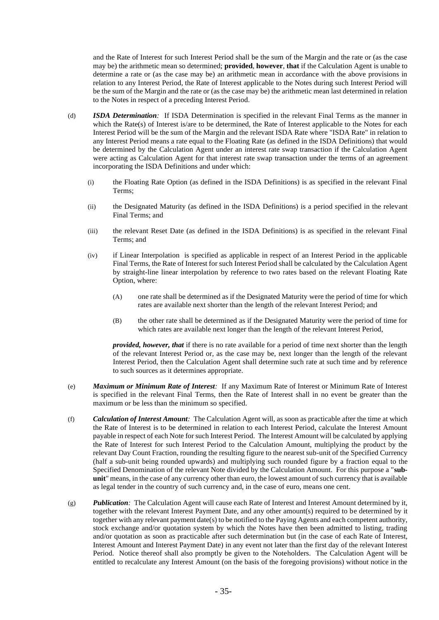and the Rate of Interest for such Interest Period shall be the sum of the Margin and the rate or (as the case may be) the arithmetic mean so determined; **provided**, **however**, **that** if the Calculation Agent is unable to determine a rate or (as the case may be) an arithmetic mean in accordance with the above provisions in relation to any Interest Period, the Rate of Interest applicable to the Notes during such Interest Period will be the sum of the Margin and the rate or (as the case may be) the arithmetic mean last determined in relation to the Notes in respect of a preceding Interest Period.

- (d) *ISDA Determination:* If ISDA Determination is specified in the relevant Final Terms as the manner in which the Rate(s) of Interest is/are to be determined, the Rate of Interest applicable to the Notes for each Interest Period will be the sum of the Margin and the relevant ISDA Rate where "ISDA Rate" in relation to any Interest Period means a rate equal to the Floating Rate (as defined in the ISDA Definitions) that would be determined by the Calculation Agent under an interest rate swap transaction if the Calculation Agent were acting as Calculation Agent for that interest rate swap transaction under the terms of an agreement incorporating the ISDA Definitions and under which:
	- (i) the Floating Rate Option (as defined in the ISDA Definitions) is as specified in the relevant Final Terms;
	- (ii) the Designated Maturity (as defined in the ISDA Definitions) is a period specified in the relevant Final Terms; and
	- (iii) the relevant Reset Date (as defined in the ISDA Definitions) is as specified in the relevant Final Terms; and
	- (iv) if Linear Interpolation is specified as applicable in respect of an Interest Period in the applicable Final Terms, the Rate of Interest for such Interest Period shall be calculated by the Calculation Agent by straight-line linear interpolation by reference to two rates based on the relevant Floating Rate Option, where:
		- (A) one rate shall be determined as if the Designated Maturity were the period of time for which rates are available next shorter than the length of the relevant Interest Period; and
		- (B) the other rate shall be determined as if the Designated Maturity were the period of time for which rates are available next longer than the length of the relevant Interest Period,

*provided, however, that* if there is no rate available for a period of time next shorter than the length of the relevant Interest Period or, as the case may be, next longer than the length of the relevant Interest Period, then the Calculation Agent shall determine such rate at such time and by reference to such sources as it determines appropriate.

- (e) *Maximum or Minimum Rate of Interest:* If any Maximum Rate of Interest or Minimum Rate of Interest is specified in the relevant Final Terms, then the Rate of Interest shall in no event be greater than the maximum or be less than the minimum so specified.
- (f) *Calculation of Interest Amount:* The Calculation Agent will, as soon as practicable after the time at which the Rate of Interest is to be determined in relation to each Interest Period, calculate the Interest Amount payable in respect of each Note for such Interest Period. The Interest Amount will be calculated by applying the Rate of Interest for such Interest Period to the Calculation Amount, multiplying the product by the relevant Day Count Fraction, rounding the resulting figure to the nearest sub-unit of the Specified Currency (half a sub-unit being rounded upwards) and multiplying such rounded figure by a fraction equal to the Specified Denomination of the relevant Note divided by the Calculation Amount. For this purpose a "**subunit**" means, in the case of any currency other than euro, the lowest amount of such currency that is available as legal tender in the country of such currency and, in the case of euro, means one cent.
- (g) *Publication:* The Calculation Agent will cause each Rate of Interest and Interest Amount determined by it, together with the relevant Interest Payment Date, and any other amount(s) required to be determined by it together with any relevant payment date(s) to be notified to the Paying Agents and each competent authority, stock exchange and/or quotation system by which the Notes have then been admitted to listing, trading and/or quotation as soon as practicable after such determination but (in the case of each Rate of Interest, Interest Amount and Interest Payment Date) in any event not later than the first day of the relevant Interest Period. Notice thereof shall also promptly be given to the Noteholders. The Calculation Agent will be entitled to recalculate any Interest Amount (on the basis of the foregoing provisions) without notice in the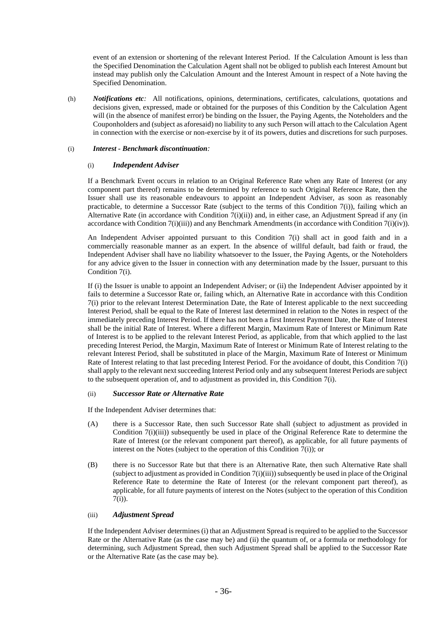event of an extension or shortening of the relevant Interest Period. If the Calculation Amount is less than the Specified Denomination the Calculation Agent shall not be obliged to publish each Interest Amount but instead may publish only the Calculation Amount and the Interest Amount in respect of a Note having the Specified Denomination.

(h) *Notifications etc:* All notifications, opinions, determinations, certificates, calculations, quotations and decisions given, expressed, made or obtained for the purposes of this Condition by the Calculation Agent will (in the absence of manifest error) be binding on the Issuer, the Paying Agents, the Noteholders and the Couponholders and (subject as aforesaid) no liability to any such Person will attach to the Calculation Agent in connection with the exercise or non-exercise by it of its powers, duties and discretions for such purposes.

## (i) *Interest - Benchmark discontinuation:*

## (i) *Independent Adviser*

If a Benchmark Event occurs in relation to an Original Reference Rate when any Rate of Interest (or any component part thereof) remains to be determined by reference to such Original Reference Rate, then the Issuer shall use its reasonable endeavours to appoint an Independent Adviser, as soon as reasonably practicable, to determine a Successor Rate (subject to the terms of this Condition 7(i)), failing which an Alternative Rate (in accordance with Condition 7(i)(ii)) and, in either case, an Adjustment Spread if any (in accordance with Condition 7(i)(iii)) and any Benchmark Amendments (in accordance with Condition 7(i)(iv)).

An Independent Adviser appointed pursuant to this Condition 7(i) shall act in good faith and in a commercially reasonable manner as an expert. In the absence of willful default, bad faith or fraud, the Independent Adviser shall have no liability whatsoever to the Issuer, the Paying Agents, or the Noteholders for any advice given to the Issuer in connection with any determination made by the Issuer, pursuant to this Condition 7(i).

If (i) the Issuer is unable to appoint an Independent Adviser; or (ii) the Independent Adviser appointed by it fails to determine a Successor Rate or, failing which, an Alternative Rate in accordance with this Condition 7(i) prior to the relevant Interest Determination Date, the Rate of Interest applicable to the next succeeding Interest Period, shall be equal to the Rate of Interest last determined in relation to the Notes in respect of the immediately preceding Interest Period. If there has not been a first Interest Payment Date, the Rate of Interest shall be the initial Rate of Interest. Where a different Margin, Maximum Rate of Interest or Minimum Rate of Interest is to be applied to the relevant Interest Period, as applicable, from that which applied to the last preceding Interest Period, the Margin, Maximum Rate of Interest or Minimum Rate of Interest relating to the relevant Interest Period, shall be substituted in place of the Margin, Maximum Rate of Interest or Minimum Rate of Interest relating to that last preceding Interest Period. For the avoidance of doubt, this Condition 7(i) shall apply to the relevant next succeeding Interest Period only and any subsequent Interest Periods are subject to the subsequent operation of, and to adjustment as provided in, this Condition 7(i).

#### (ii) *Successor Rate or Alternative Rate*

If the Independent Adviser determines that:

- (A) there is a Successor Rate, then such Successor Rate shall (subject to adjustment as provided in Condition 7(i)(iii)) subsequently be used in place of the Original Reference Rate to determine the Rate of Interest (or the relevant component part thereof), as applicable, for all future payments of interest on the Notes (subject to the operation of this Condition 7(i)); or
- (B) there is no Successor Rate but that there is an Alternative Rate, then such Alternative Rate shall (subject to adjustment as provided in Condition  $7(i)(iii)$ ) subsequently be used in place of the Original Reference Rate to determine the Rate of Interest (or the relevant component part thereof), as applicable, for all future payments of interest on the Notes (subject to the operation of this Condition 7(i)).

## (iii) *Adjustment Spread*

If the Independent Adviser determines (i) that an Adjustment Spread is required to be applied to the Successor Rate or the Alternative Rate (as the case may be) and (ii) the quantum of, or a formula or methodology for determining, such Adjustment Spread, then such Adjustment Spread shall be applied to the Successor Rate or the Alternative Rate (as the case may be).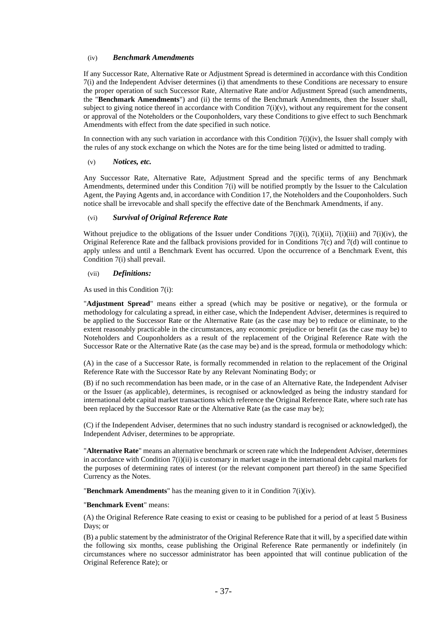#### (iv) *Benchmark Amendments*

If any Successor Rate, Alternative Rate or Adjustment Spread is determined in accordance with this Condition 7(i) and the Independent Adviser determines (i) that amendments to these Conditions are necessary to ensure the proper operation of such Successor Rate, Alternative Rate and/or Adjustment Spread (such amendments, the "**Benchmark Amendments**") and (ii) the terms of the Benchmark Amendments, then the Issuer shall, subject to giving notice thereof in accordance with Condition  $7(i)(v)$ , without any requirement for the consent or approval of the Noteholders or the Couponholders, vary these Conditions to give effect to such Benchmark Amendments with effect from the date specified in such notice.

In connection with any such variation in accordance with this Condition  $7(i)(iv)$ , the Issuer shall comply with the rules of any stock exchange on which the Notes are for the time being listed or admitted to trading.

#### (v) *Notices, etc.*

Any Successor Rate, Alternative Rate, Adjustment Spread and the specific terms of any Benchmark Amendments, determined under this Condition 7(i) will be notified promptly by the Issuer to the Calculation Agent, the Paying Agents and, in accordance with Condition 17, the Noteholders and the Couponholders. Such notice shall be irrevocable and shall specify the effective date of the Benchmark Amendments, if any.

#### (vi) *Survival of Original Reference Rate*

Without prejudice to the obligations of the Issuer under Conditions  $7(i)(i)$ ,  $7(i)(ii)$ ,  $7(i)(iii)$  and  $7(i)(iv)$ , the Original Reference Rate and the fallback provisions provided for in Conditions 7(c) and 7(d) will continue to apply unless and until a Benchmark Event has occurred. Upon the occurrence of a Benchmark Event, this Condition 7(i) shall prevail.

#### (vii) *Definitions:*

As used in this Condition 7(i):

"**Adjustment Spread**" means either a spread (which may be positive or negative), or the formula or methodology for calculating a spread, in either case, which the Independent Adviser, determines is required to be applied to the Successor Rate or the Alternative Rate (as the case may be) to reduce or eliminate, to the extent reasonably practicable in the circumstances, any economic prejudice or benefit (as the case may be) to Noteholders and Couponholders as a result of the replacement of the Original Reference Rate with the Successor Rate or the Alternative Rate (as the case may be) and is the spread, formula or methodology which:

(A) in the case of a Successor Rate, is formally recommended in relation to the replacement of the Original Reference Rate with the Successor Rate by any Relevant Nominating Body; or

(B) if no such recommendation has been made, or in the case of an Alternative Rate, the Independent Adviser or the Issuer (as applicable), determines, is recognised or acknowledged as being the industry standard for international debt capital market transactions which reference the Original Reference Rate, where such rate has been replaced by the Successor Rate or the Alternative Rate (as the case may be);

(C) if the Independent Adviser, determines that no such industry standard is recognised or acknowledged), the Independent Adviser, determines to be appropriate.

"**Alternative Rate**" means an alternative benchmark or screen rate which the Independent Adviser, determines in accordance with Condition 7(i)(ii) is customary in market usage in the international debt capital markets for the purposes of determining rates of interest (or the relevant component part thereof) in the same Specified Currency as the Notes.

"**Benchmark Amendments**" has the meaning given to it in Condition 7(i)(iv).

#### "**Benchmark Event**" means:

(A) the Original Reference Rate ceasing to exist or ceasing to be published for a period of at least 5 Business Days; or

(B) a public statement by the administrator of the Original Reference Rate that it will, by a specified date within the following six months, cease publishing the Original Reference Rate permanently or indefinitely (in circumstances where no successor administrator has been appointed that will continue publication of the Original Reference Rate); or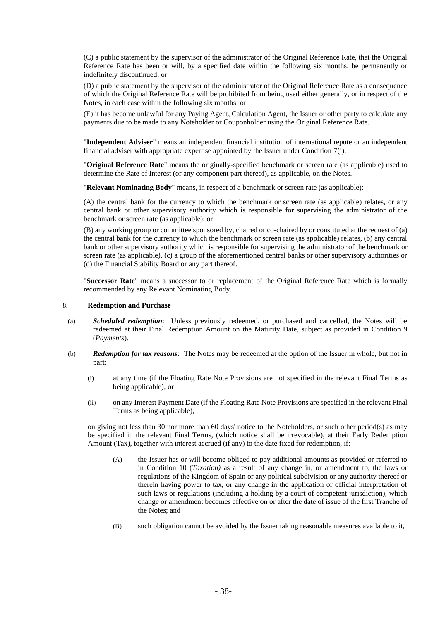(C) a public statement by the supervisor of the administrator of the Original Reference Rate, that the Original Reference Rate has been or will, by a specified date within the following six months, be permanently or indefinitely discontinued; or

(D) a public statement by the supervisor of the administrator of the Original Reference Rate as a consequence of which the Original Reference Rate will be prohibited from being used either generally, or in respect of the Notes, in each case within the following six months; or

(E) it has become unlawful for any Paying Agent, Calculation Agent, the Issuer or other party to calculate any payments due to be made to any Noteholder or Couponholder using the Original Reference Rate.

"**Independent Adviser**" means an independent financial institution of international repute or an independent financial adviser with appropriate expertise appointed by the Issuer under Condition 7(i).

"**Original Reference Rate**" means the originally-specified benchmark or screen rate (as applicable) used to determine the Rate of Interest (or any component part thereof), as applicable, on the Notes.

"**Relevant Nominating Body**" means, in respect of a benchmark or screen rate (as applicable):

(A) the central bank for the currency to which the benchmark or screen rate (as applicable) relates, or any central bank or other supervisory authority which is responsible for supervising the administrator of the benchmark or screen rate (as applicable); or

(B) any working group or committee sponsored by, chaired or co-chaired by or constituted at the request of (a) the central bank for the currency to which the benchmark or screen rate (as applicable) relates, (b) any central bank or other supervisory authority which is responsible for supervising the administrator of the benchmark or screen rate (as applicable), (c) a group of the aforementioned central banks or other supervisory authorities or (d) the Financial Stability Board or any part thereof.

"**Successor Rate**" means a successor to or replacement of the Original Reference Rate which is formally recommended by any Relevant Nominating Body.

#### 8. **Redemption and Purchase**

- (a) *Scheduled redemption*: Unless previously redeemed, or purchased and cancelled, the Notes will be redeemed at their Final Redemption Amount on the Maturity Date, subject as provided in Condition 9 (*Payments*).
- (b) *Redemption for tax reasons:* The Notes may be redeemed at the option of the Issuer in whole, but not in part:
	- (i) at any time (if the Floating Rate Note Provisions are not specified in the relevant Final Terms as being applicable); or
	- (ii) on any Interest Payment Date (if the Floating Rate Note Provisions are specified in the relevant Final Terms as being applicable),

on giving not less than 30 nor more than 60 days' notice to the Noteholders, or such other period(s) as may be specified in the relevant Final Terms, (which notice shall be irrevocable), at their Early Redemption Amount (Tax), together with interest accrued (if any) to the date fixed for redemption, if:

- (A) the Issuer has or will become obliged to pay additional amounts as provided or referred to in Condition 10 (*Taxation)* as a result of any change in, or amendment to, the laws or regulations of the Kingdom of Spain or any political subdivision or any authority thereof or therein having power to tax, or any change in the application or official interpretation of such laws or regulations (including a holding by a court of competent jurisdiction), which change or amendment becomes effective on or after the date of issue of the first Tranche of the Notes; and
- (B) such obligation cannot be avoided by the Issuer taking reasonable measures available to it,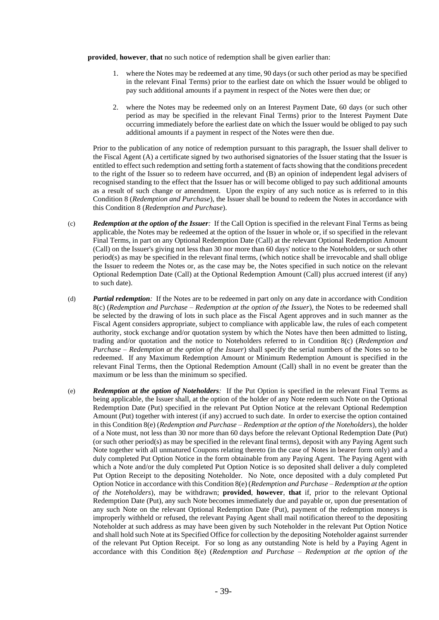**provided**, **however**, **that** no such notice of redemption shall be given earlier than:

- 1. where the Notes may be redeemed at any time, 90 days (or such other period as may be specified in the relevant Final Terms) prior to the earliest date on which the Issuer would be obliged to pay such additional amounts if a payment in respect of the Notes were then due; or
- 2. where the Notes may be redeemed only on an Interest Payment Date, 60 days (or such other period as may be specified in the relevant Final Terms) prior to the Interest Payment Date occurring immediately before the earliest date on which the Issuer would be obliged to pay such additional amounts if a payment in respect of the Notes were then due.

Prior to the publication of any notice of redemption pursuant to this paragraph, the Issuer shall deliver to the Fiscal Agent (A) a certificate signed by two authorised signatories of the Issuer stating that the Issuer is entitled to effect such redemption and setting forth a statement of facts showing that the conditions precedent to the right of the Issuer so to redeem have occurred, and (B) an opinion of independent legal advisers of recognised standing to the effect that the Issuer has or will become obliged to pay such additional amounts as a result of such change or amendment. Upon the expiry of any such notice as is referred to in this Condition 8 (*Redemption and Purchase*), the Issuer shall be bound to redeem the Notes in accordance with this Condition 8 (*Redemption and Purchase*).

- (c) *Redemption at the option of the Issuer:* If the Call Option is specified in the relevant Final Terms as being applicable, the Notes may be redeemed at the option of the Issuer in whole or, if so specified in the relevant Final Terms, in part on any Optional Redemption Date (Call) at the relevant Optional Redemption Amount (Call) on the Issuer's giving not less than 30 nor more than 60 days' notice to the Noteholders, or such other period(s) as may be specified in the relevant final terms, (which notice shall be irrevocable and shall oblige the Issuer to redeem the Notes or, as the case may be, the Notes specified in such notice on the relevant Optional Redemption Date (Call) at the Optional Redemption Amount (Call) plus accrued interest (if any) to such date).
- (d) *Partial redemption:* If the Notes are to be redeemed in part only on any date in accordance with Condition 8(c) (*Redemption and Purchase – Redemption at the option of the Issuer*), the Notes to be redeemed shall be selected by the drawing of lots in such place as the Fiscal Agent approves and in such manner as the Fiscal Agent considers appropriate, subject to compliance with applicable law, the rules of each competent authority, stock exchange and/or quotation system by which the Notes have then been admitted to listing, trading and/or quotation and the notice to Noteholders referred to in Condition 8(c) (*Redemption and Purchase – Redemption at the option of the Issuer*) shall specify the serial numbers of the Notes so to be redeemed. If any Maximum Redemption Amount or Minimum Redemption Amount is specified in the relevant Final Terms, then the Optional Redemption Amount (Call) shall in no event be greater than the maximum or be less than the minimum so specified.
- (e) *Redemption at the option of Noteholders:* If the Put Option is specified in the relevant Final Terms as being applicable, the Issuer shall, at the option of the holder of any Note redeem such Note on the Optional Redemption Date (Put) specified in the relevant Put Option Notice at the relevant Optional Redemption Amount (Put) together with interest (if any) accrued to such date. In order to exercise the option contained in this Condition 8(e) (*Redemption and Purchase – Redemption at the option of the Noteholders*), the holder of a Note must, not less than 30 nor more than 60 days before the relevant Optional Redemption Date (Put) (or such other period(s) as may be specified in the relevant final terms), deposit with any Paying Agent such Note together with all unmatured Coupons relating thereto (in the case of Notes in bearer form only) and a duly completed Put Option Notice in the form obtainable from any Paying Agent. The Paying Agent with which a Note and/or the duly completed Put Option Notice is so deposited shall deliver a duly completed Put Option Receipt to the depositing Noteholder. No Note, once deposited with a duly completed Put Option Notice in accordance with this Condition 8(e) (*Redemption and Purchase – Redemption at the option of the Noteholders*), may be withdrawn; **provided**, **however**, **that** if, prior to the relevant Optional Redemption Date (Put), any such Note becomes immediately due and payable or, upon due presentation of any such Note on the relevant Optional Redemption Date (Put), payment of the redemption moneys is improperly withheld or refused, the relevant Paying Agent shall mail notification thereof to the depositing Noteholder at such address as may have been given by such Noteholder in the relevant Put Option Notice and shall hold such Note at its Specified Office for collection by the depositing Noteholder against surrender of the relevant Put Option Receipt. For so long as any outstanding Note is held by a Paying Agent in accordance with this Condition 8(e) (*Redemption and Purchase – Redemption at the option of the*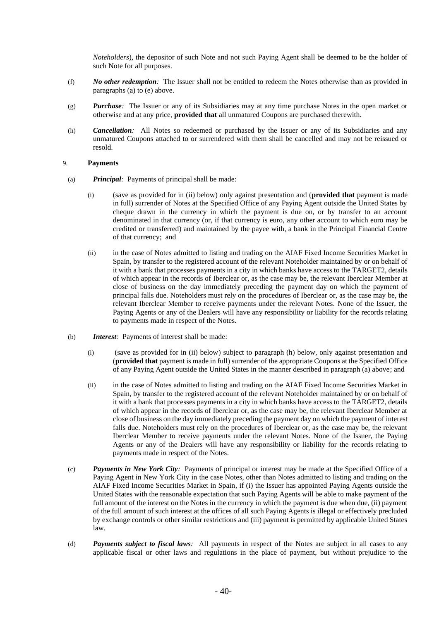*Noteholders*), the depositor of such Note and not such Paying Agent shall be deemed to be the holder of such Note for all purposes.

- (f) *No other redemption:* The Issuer shall not be entitled to redeem the Notes otherwise than as provided in paragraphs (a) to (e) above.
- (g) *Purchase:* The Issuer or any of its Subsidiaries may at any time purchase Notes in the open market or otherwise and at any price, **provided that** all unmatured Coupons are purchased therewith.
- (h) *Cancellation:* All Notes so redeemed or purchased by the Issuer or any of its Subsidiaries and any unmatured Coupons attached to or surrendered with them shall be cancelled and may not be reissued or resold.

#### 9. **Payments**

- (a) *Principal:* Payments of principal shall be made:
	- (i) (save as provided for in (ii) below) only against presentation and (**provided that** payment is made in full) surrender of Notes at the Specified Office of any Paying Agent outside the United States by cheque drawn in the currency in which the payment is due on, or by transfer to an account denominated in that currency (or, if that currency is euro, any other account to which euro may be credited or transferred) and maintained by the payee with, a bank in the Principal Financial Centre of that currency; and
	- (ii) in the case of Notes admitted to listing and trading on the AIAF Fixed Income Securities Market in Spain, by transfer to the registered account of the relevant Noteholder maintained by or on behalf of it with a bank that processes payments in a city in which banks have access to the TARGET2, details of which appear in the records of Iberclear or, as the case may be, the relevant Iberclear Member at close of business on the day immediately preceding the payment day on which the payment of principal falls due. Noteholders must rely on the procedures of Iberclear or, as the case may be, the relevant Iberclear Member to receive payments under the relevant Notes. None of the Issuer, the Paying Agents or any of the Dealers will have any responsibility or liability for the records relating to payments made in respect of the Notes.
- (b) *Interest:* Payments of interest shall be made:
	- (i) (save as provided for in (ii) below) subject to paragraph (h) below, only against presentation and (**provided that** payment is made in full) surrender of the appropriate Coupons at the Specified Office of any Paying Agent outside the United States in the manner described in paragraph (a) above; and
	- (ii) in the case of Notes admitted to listing and trading on the AIAF Fixed Income Securities Market in Spain, by transfer to the registered account of the relevant Noteholder maintained by or on behalf of it with a bank that processes payments in a city in which banks have access to the TARGET2, details of which appear in the records of Iberclear or, as the case may be, the relevant Iberclear Member at close of business on the day immediately preceding the payment day on which the payment of interest falls due. Noteholders must rely on the procedures of Iberclear or, as the case may be, the relevant Iberclear Member to receive payments under the relevant Notes. None of the Issuer, the Paying Agents or any of the Dealers will have any responsibility or liability for the records relating to payments made in respect of the Notes.
- (c) *Payments in New York City:* Payments of principal or interest may be made at the Specified Office of a Paying Agent in New York City in the case Notes, other than Notes admitted to listing and trading on the AIAF Fixed Income Securities Market in Spain, if (i) the Issuer has appointed Paying Agents outside the United States with the reasonable expectation that such Paying Agents will be able to make payment of the full amount of the interest on the Notes in the currency in which the payment is due when due, (ii) payment of the full amount of such interest at the offices of all such Paying Agents is illegal or effectively precluded by exchange controls or other similar restrictions and (iii) payment is permitted by applicable United States law.
- (d) *Payments subject to fiscal laws:* All payments in respect of the Notes are subject in all cases to any applicable fiscal or other laws and regulations in the place of payment, but without prejudice to the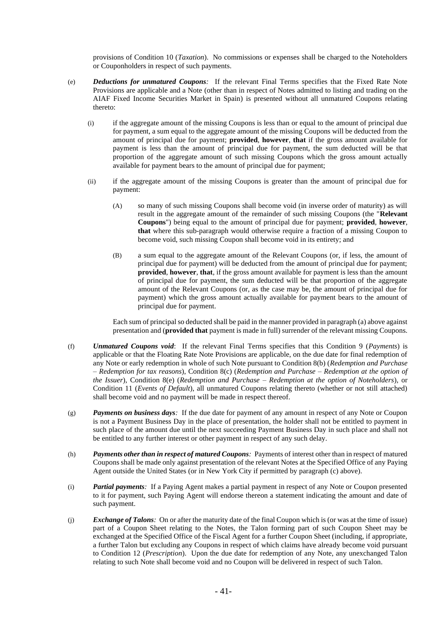provisions of Condition 10 (*Taxation*). No commissions or expenses shall be charged to the Noteholders or Couponholders in respect of such payments.

- (e) *Deductions for unmatured Coupons:* If the relevant Final Terms specifies that the Fixed Rate Note Provisions are applicable and a Note (other than in respect of Notes admitted to listing and trading on the AIAF Fixed Income Securities Market in Spain) is presented without all unmatured Coupons relating thereto:
	- (i) if the aggregate amount of the missing Coupons is less than or equal to the amount of principal due for payment, a sum equal to the aggregate amount of the missing Coupons will be deducted from the amount of principal due for payment; **provided**, **however**, **that** if the gross amount available for payment is less than the amount of principal due for payment, the sum deducted will be that proportion of the aggregate amount of such missing Coupons which the gross amount actually available for payment bears to the amount of principal due for payment;
	- (ii) if the aggregate amount of the missing Coupons is greater than the amount of principal due for payment:
		- (A) so many of such missing Coupons shall become void (in inverse order of maturity) as will result in the aggregate amount of the remainder of such missing Coupons (the "**Relevant Coupons**") being equal to the amount of principal due for payment; **provided**, **however**, **that** where this sub-paragraph would otherwise require a fraction of a missing Coupon to become void, such missing Coupon shall become void in its entirety; and
		- (B) a sum equal to the aggregate amount of the Relevant Coupons (or, if less, the amount of principal due for payment) will be deducted from the amount of principal due for payment; **provided**, **however**, **that**, if the gross amount available for payment is less than the amount of principal due for payment, the sum deducted will be that proportion of the aggregate amount of the Relevant Coupons (or, as the case may be, the amount of principal due for payment) which the gross amount actually available for payment bears to the amount of principal due for payment.

Each sum of principal so deducted shall be paid in the manner provided in paragraph (a) above against presentation and (**provided that** payment is made in full) surrender of the relevant missing Coupons.

- (f) *Unmatured Coupons void*: If the relevant Final Terms specifies that this Condition 9 (*Payments*) is applicable or that the Floating Rate Note Provisions are applicable, on the due date for final redemption of any Note or early redemption in whole of such Note pursuant to Condition 8(b) (*Redemption and Purchase – Redemption for tax reasons*), Condition 8(c) (*Redemption and Purchase – Redemption at the option of the Issuer*), Condition 8(e) (*Redemption and Purchase – Redemption at the option of Noteholders*), or Condition 11 (*Events of Default*), all unmatured Coupons relating thereto (whether or not still attached) shall become void and no payment will be made in respect thereof.
- (g) *Payments on business days:* If the due date for payment of any amount in respect of any Note or Coupon is not a Payment Business Day in the place of presentation, the holder shall not be entitled to payment in such place of the amount due until the next succeeding Payment Business Day in such place and shall not be entitled to any further interest or other payment in respect of any such delay.
- (h) *Payments other than in respect of matured Coupons:* Payments of interest other than in respect of matured Coupons shall be made only against presentation of the relevant Notes at the Specified Office of any Paying Agent outside the United States (or in New York City if permitted by paragraph (c) above).
- (i) *Partial payments:* If a Paying Agent makes a partial payment in respect of any Note or Coupon presented to it for payment, such Paying Agent will endorse thereon a statement indicating the amount and date of such payment.
- (j) *Exchange of Talons:* On or after the maturity date of the final Coupon which is (or was at the time of issue) part of a Coupon Sheet relating to the Notes, the Talon forming part of such Coupon Sheet may be exchanged at the Specified Office of the Fiscal Agent for a further Coupon Sheet (including, if appropriate, a further Talon but excluding any Coupons in respect of which claims have already become void pursuant to Condition 12 (*Prescription*). Upon the due date for redemption of any Note, any unexchanged Talon relating to such Note shall become void and no Coupon will be delivered in respect of such Talon.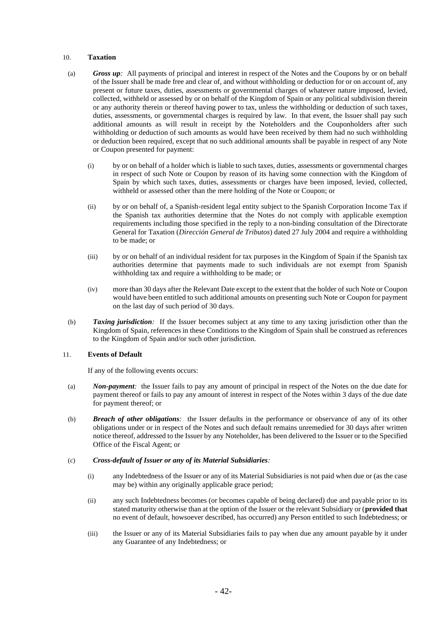#### 10. **Taxation**

- (a) *Gross up:* All payments of principal and interest in respect of the Notes and the Coupons by or on behalf of the Issuer shall be made free and clear of, and without withholding or deduction for or on account of, any present or future taxes, duties, assessments or governmental charges of whatever nature imposed, levied, collected, withheld or assessed by or on behalf of the Kingdom of Spain or any political subdivision therein or any authority therein or thereof having power to tax, unless the withholding or deduction of such taxes, duties, assessments, or governmental charges is required by law. In that event, the Issuer shall pay such additional amounts as will result in receipt by the Noteholders and the Couponholders after such withholding or deduction of such amounts as would have been received by them had no such withholding or deduction been required, except that no such additional amounts shall be payable in respect of any Note or Coupon presented for payment:
	- (i) by or on behalf of a holder which is liable to such taxes, duties, assessments or governmental charges in respect of such Note or Coupon by reason of its having some connection with the Kingdom of Spain by which such taxes, duties, assessments or charges have been imposed, levied, collected, withheld or assessed other than the mere holding of the Note or Coupon; or
	- (ii) by or on behalf of, a Spanish-resident legal entity subject to the Spanish Corporation Income Tax if the Spanish tax authorities determine that the Notes do not comply with applicable exemption requirements including those specified in the reply to a non-binding consultation of the Directorate General for Taxation (*Dirección General de Tributos*) dated 27 July 2004 and require a withholding to be made; or
	- (iii) by or on behalf of an individual resident for tax purposes in the Kingdom of Spain if the Spanish tax authorities determine that payments made to such individuals are not exempt from Spanish withholding tax and require a withholding to be made; or
	- (iv) more than 30 days after the Relevant Date except to the extent that the holder of such Note or Coupon would have been entitled to such additional amounts on presenting such Note or Coupon for payment on the last day of such period of 30 days.
- (b) *Taxing jurisdiction:* If the Issuer becomes subject at any time to any taxing jurisdiction other than the Kingdom of Spain, references in these Conditions to the Kingdom of Spain shall be construed as references to the Kingdom of Spain and/or such other jurisdiction.

#### 11. **Events of Default**

If any of the following events occurs:

- (a) *Non-payment:* the Issuer fails to pay any amount of principal in respect of the Notes on the due date for payment thereof or fails to pay any amount of interest in respect of the Notes within 3 days of the due date for payment thereof; or
- (b) *Breach of other obligations:* the Issuer defaults in the performance or observance of any of its other obligations under or in respect of the Notes and such default remains unremedied for 30 days after written notice thereof, addressed to the Issuer by any Noteholder, has been delivered to the Issuer or to the Specified Office of the Fiscal Agent; or

#### (c) *Cross-default of Issuer or any of its Material Subsidiaries:*

- (i) any Indebtedness of the Issuer or any of its Material Subsidiaries is not paid when due or (as the case may be) within any originally applicable grace period;
- (ii) any such Indebtedness becomes (or becomes capable of being declared) due and payable prior to its stated maturity otherwise than at the option of the Issuer or the relevant Subsidiary or (**provided that** no event of default, howsoever described, has occurred) any Person entitled to such Indebtedness; or
- (iii) the Issuer or any of its Material Subsidiaries fails to pay when due any amount payable by it under any Guarantee of any Indebtedness; or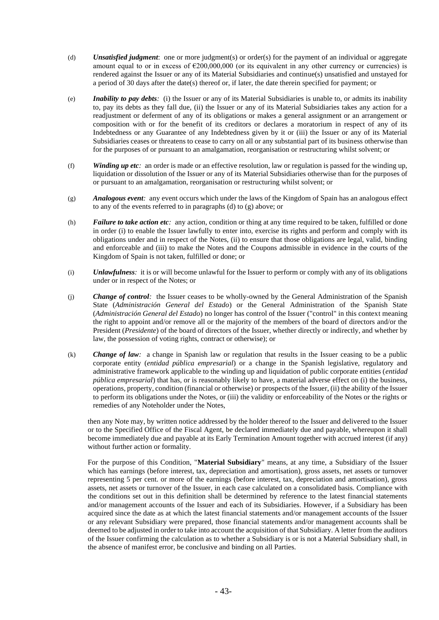- (d) *Unsatisfied judgment*: one or more judgment(s) or order(s) for the payment of an individual or aggregate amount equal to or in excess of  $\epsilon$ 200,000,000 (or its equivalent in any other currency or currencies) is rendered against the Issuer or any of its Material Subsidiaries and continue(s) unsatisfied and unstayed for a period of 30 days after the date(s) thereof or, if later, the date therein specified for payment; or
- (e) *Inability to pay debts:* (i) the Issuer or any of its Material Subsidiaries is unable to, or admits its inability to, pay its debts as they fall due, (ii) the Issuer or any of its Material Subsidiaries takes any action for a readjustment or deferment of any of its obligations or makes a general assignment or an arrangement or composition with or for the benefit of its creditors or declares a moratorium in respect of any of its Indebtedness or any Guarantee of any Indebtedness given by it or (iii) the Issuer or any of its Material Subsidiaries ceases or threatens to cease to carry on all or any substantial part of its business otherwise than for the purposes of or pursuant to an amalgamation, reorganisation or restructuring whilst solvent; or
- (f) *Winding up etc:* an order is made or an effective resolution, law or regulation is passed for the winding up, liquidation or dissolution of the Issuer or any of its Material Subsidiaries otherwise than for the purposes of or pursuant to an amalgamation, reorganisation or restructuring whilst solvent; or
- (g) *Analogous event:* any event occurs which under the laws of the Kingdom of Spain has an analogous effect to any of the events referred to in paragraphs (d) to (g) above; or
- (h) *Failure to take action etc:* any action, condition or thing at any time required to be taken, fulfilled or done in order (i) to enable the Issuer lawfully to enter into, exercise its rights and perform and comply with its obligations under and in respect of the Notes, (ii) to ensure that those obligations are legal, valid, binding and enforceable and (iii) to make the Notes and the Coupons admissible in evidence in the courts of the Kingdom of Spain is not taken, fulfilled or done; or
- (i) *Unlawfulness:* it is or will become unlawful for the Issuer to perform or comply with any of its obligations under or in respect of the Notes; or
- (j) *Change of control:* the Issuer ceases to be wholly-owned by the General Administration of the Spanish State (*Administración General del Estado*) or the General Administration of the Spanish State (*Administración General del Estado*) no longer has control of the Issuer ("control" in this context meaning the right to appoint and/or remove all or the majority of the members of the board of directors and/or the President (*Presidente*) of the board of directors of the Issuer, whether directly or indirectly, and whether by law, the possession of voting rights, contract or otherwise); or
- (k) *Change of law:* a change in Spanish law or regulation that results in the Issuer ceasing to be a public corporate entity (*entidad pública empresarial*) or a change in the Spanish legislative, regulatory and administrative framework applicable to the winding up and liquidation of public corporate entities (*entidad pública empresarial*) that has, or is reasonably likely to have, a material adverse effect on (i) the business, operations, property, condition (financial or otherwise) or prospects of the Issuer, (ii) the ability of the Issuer to perform its obligations under the Notes, or (iii) the validity or enforceability of the Notes or the rights or remedies of any Noteholder under the Notes,

then any Note may, by written notice addressed by the holder thereof to the Issuer and delivered to the Issuer or to the Specified Office of the Fiscal Agent, be declared immediately due and payable, whereupon it shall become immediately due and payable at its Early Termination Amount together with accrued interest (if any) without further action or formality.

For the purpose of this Condition, "**Material Subsidiary**" means, at any time, a Subsidiary of the Issuer which has earnings (before interest, tax, depreciation and amortisation), gross assets, net assets or turnover representing 5 per cent. or more of the earnings (before interest, tax, depreciation and amortisation), gross assets, net assets or turnover of the Issuer, in each case calculated on a consolidated basis. Compliance with the conditions set out in this definition shall be determined by reference to the latest financial statements and/or management accounts of the Issuer and each of its Subsidiaries. However, if a Subsidiary has been acquired since the date as at which the latest financial statements and/or management accounts of the Issuer or any relevant Subsidiary were prepared, those financial statements and/or management accounts shall be deemed to be adjusted in order to take into account the acquisition of that Subsidiary. A letter from the auditors of the Issuer confirming the calculation as to whether a Subsidiary is or is not a Material Subsidiary shall, in the absence of manifest error, be conclusive and binding on all Parties.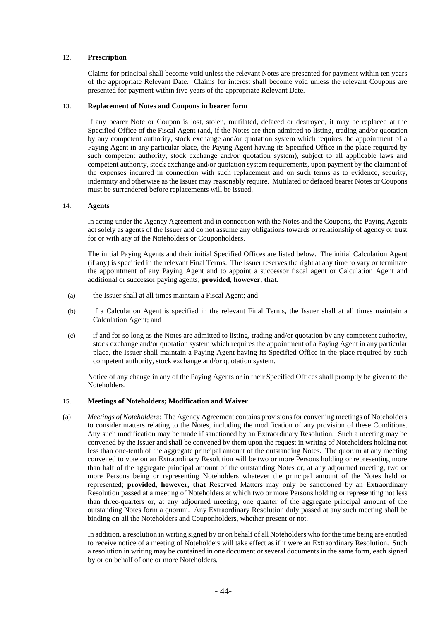#### 12. **Prescription**

Claims for principal shall become void unless the relevant Notes are presented for payment within ten years of the appropriate Relevant Date. Claims for interest shall become void unless the relevant Coupons are presented for payment within five years of the appropriate Relevant Date.

#### 13. **Replacement of Notes and Coupons in bearer form**

If any bearer Note or Coupon is lost, stolen, mutilated, defaced or destroyed, it may be replaced at the Specified Office of the Fiscal Agent (and, if the Notes are then admitted to listing, trading and/or quotation by any competent authority, stock exchange and/or quotation system which requires the appointment of a Paying Agent in any particular place, the Paying Agent having its Specified Office in the place required by such competent authority, stock exchange and/or quotation system), subject to all applicable laws and competent authority, stock exchange and/or quotation system requirements, upon payment by the claimant of the expenses incurred in connection with such replacement and on such terms as to evidence, security, indemnity and otherwise as the Issuer may reasonably require. Mutilated or defaced bearer Notes or Coupons must be surrendered before replacements will be issued.

#### 14. **Agents**

In acting under the Agency Agreement and in connection with the Notes and the Coupons, the Paying Agents act solely as agents of the Issuer and do not assume any obligations towards or relationship of agency or trust for or with any of the Noteholders or Couponholders.

The initial Paying Agents and their initial Specified Offices are listed below. The initial Calculation Agent (if any) is specified in the relevant Final Terms. The Issuer reserves the right at any time to vary or terminate the appointment of any Paying Agent and to appoint a successor fiscal agent or Calculation Agent and additional or successor paying agents; **provided**, **however**, **that***:*

- (a) the Issuer shall at all times maintain a Fiscal Agent; and
- (b) if a Calculation Agent is specified in the relevant Final Terms, the Issuer shall at all times maintain a Calculation Agent; and
- (c) if and for so long as the Notes are admitted to listing, trading and/or quotation by any competent authority, stock exchange and/or quotation system which requires the appointment of a Paying Agent in any particular place, the Issuer shall maintain a Paying Agent having its Specified Office in the place required by such competent authority, stock exchange and/or quotation system.

Notice of any change in any of the Paying Agents or in their Specified Offices shall promptly be given to the Noteholders.

#### 15. **Meetings of Noteholders; Modification and Waiver**

(a) *Meetings of Noteholders*: The Agency Agreement contains provisions for convening meetings of Noteholders to consider matters relating to the Notes, including the modification of any provision of these Conditions. Any such modification may be made if sanctioned by an Extraordinary Resolution. Such a meeting may be convened by the Issuer and shall be convened by them upon the request in writing of Noteholders holding not less than one-tenth of the aggregate principal amount of the outstanding Notes. The quorum at any meeting convened to vote on an Extraordinary Resolution will be two or more Persons holding or representing more than half of the aggregate principal amount of the outstanding Notes or, at any adjourned meeting, two or more Persons being or representing Noteholders whatever the principal amount of the Notes held or represented; **provided, however, that** Reserved Matters may only be sanctioned by an Extraordinary Resolution passed at a meeting of Noteholders at which two or more Persons holding or representing not less than three-quarters or, at any adjourned meeting, one quarter of the aggregate principal amount of the outstanding Notes form a quorum. Any Extraordinary Resolution duly passed at any such meeting shall be binding on all the Noteholders and Couponholders, whether present or not.

In addition, a resolution in writing signed by or on behalf of all Noteholders who for the time being are entitled to receive notice of a meeting of Noteholders will take effect as if it were an Extraordinary Resolution. Such a resolution in writing may be contained in one document or several documents in the same form, each signed by or on behalf of one or more Noteholders.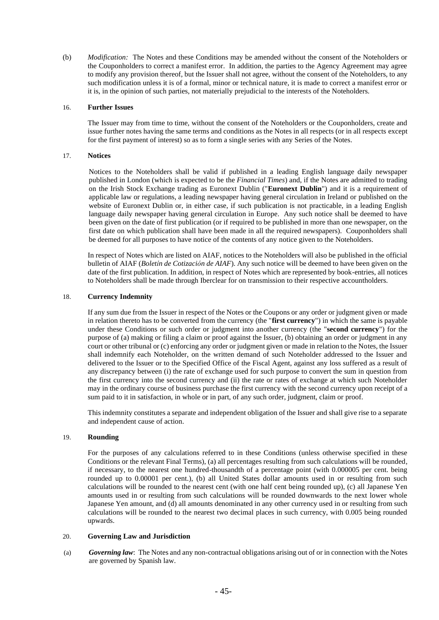(b) *Modification:* The Notes and these Conditions may be amended without the consent of the Noteholders or the Couponholders to correct a manifest error. In addition, the parties to the Agency Agreement may agree to modify any provision thereof, but the Issuer shall not agree, without the consent of the Noteholders, to any such modification unless it is of a formal, minor or technical nature, it is made to correct a manifest error or it is, in the opinion of such parties, not materially prejudicial to the interests of the Noteholders.

#### 16. **Further Issues**

The Issuer may from time to time, without the consent of the Noteholders or the Couponholders, create and issue further notes having the same terms and conditions as the Notes in all respects (or in all respects except for the first payment of interest) so as to form a single series with any Series of the Notes.

#### 17. **Notices**

Notices to the Noteholders shall be valid if published in a leading English language daily newspaper published in London (which is expected to be the *Financial Times*) and, if the Notes are admitted to trading on the Irish Stock Exchange trading as Euronext Dublin ("**Euronext Dublin**") and it is a requirement of applicable law or regulations, a leading newspaper having general circulation in Ireland or published on the website of Euronext Dublin or, in either case, if such publication is not practicable, in a leading English language daily newspaper having general circulation in Europe. Any such notice shall be deemed to have been given on the date of first publication (or if required to be published in more than one newspaper, on the first date on which publication shall have been made in all the required newspapers). Couponholders shall be deemed for all purposes to have notice of the contents of any notice given to the Noteholders.

In respect of Notes which are listed on AIAF, notices to the Noteholders will also be published in the official bulletin of AIAF (*Boletín de Cotización de AIAF*). Any such notice will be deemed to have been given on the date of the first publication. In addition, in respect of Notes which are represented by book-entries, all notices to Noteholders shall be made through Iberclear for on transmission to their respective accountholders.

#### 18. **Currency Indemnity**

If any sum due from the Issuer in respect of the Notes or the Coupons or any order or judgment given or made in relation thereto has to be converted from the currency (the "**first currency**") in which the same is payable under these Conditions or such order or judgment into another currency (the "**second currency**") for the purpose of (a) making or filing a claim or proof against the Issuer, (b) obtaining an order or judgment in any court or other tribunal or (c) enforcing any order or judgment given or made in relation to the Notes, the Issuer shall indemnify each Noteholder, on the written demand of such Noteholder addressed to the Issuer and delivered to the Issuer or to the Specified Office of the Fiscal Agent, against any loss suffered as a result of any discrepancy between (i) the rate of exchange used for such purpose to convert the sum in question from the first currency into the second currency and (ii) the rate or rates of exchange at which such Noteholder may in the ordinary course of business purchase the first currency with the second currency upon receipt of a sum paid to it in satisfaction, in whole or in part, of any such order, judgment, claim or proof.

This indemnity constitutes a separate and independent obligation of the Issuer and shall give rise to a separate and independent cause of action.

#### 19. **Rounding**

For the purposes of any calculations referred to in these Conditions (unless otherwise specified in these Conditions or the relevant Final Terms), (a) all percentages resulting from such calculations will be rounded, if necessary, to the nearest one hundred-thousandth of a percentage point (with 0.000005 per cent. being rounded up to 0.00001 per cent.), (b) all United States dollar amounts used in or resulting from such calculations will be rounded to the nearest cent (with one half cent being rounded up), (c) all Japanese Yen amounts used in or resulting from such calculations will be rounded downwards to the next lower whole Japanese Yen amount, and (d) all amounts denominated in any other currency used in or resulting from such calculations will be rounded to the nearest two decimal places in such currency, with 0.005 being rounded upwards.

#### 20. **Governing Law and Jurisdiction**

(a) *Governing law*: The Notes and any non-contractual obligations arising out of or in connection with the Notes are governed by Spanish law.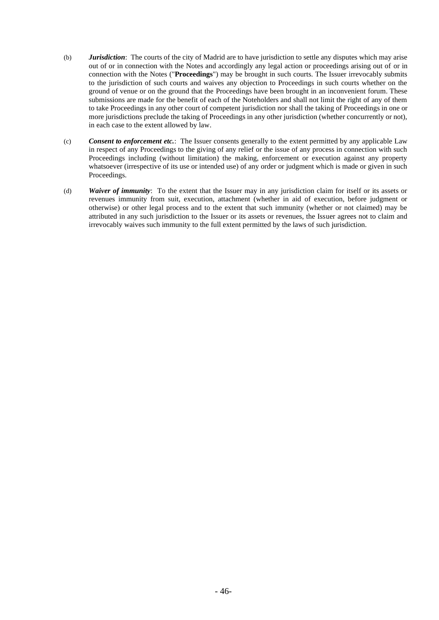- (b) *Jurisdiction*: The courts of the city of Madrid are to have jurisdiction to settle any disputes which may arise out of or in connection with the Notes and accordingly any legal action or proceedings arising out of or in connection with the Notes ("**Proceedings**") may be brought in such courts. The Issuer irrevocably submits to the jurisdiction of such courts and waives any objection to Proceedings in such courts whether on the ground of venue or on the ground that the Proceedings have been brought in an inconvenient forum. These submissions are made for the benefit of each of the Noteholders and shall not limit the right of any of them to take Proceedings in any other court of competent jurisdiction nor shall the taking of Proceedings in one or more jurisdictions preclude the taking of Proceedings in any other jurisdiction (whether concurrently or not), in each case to the extent allowed by law.
- (c) *Consent to enforcement etc.*: The Issuer consents generally to the extent permitted by any applicable Law in respect of any Proceedings to the giving of any relief or the issue of any process in connection with such Proceedings including (without limitation) the making, enforcement or execution against any property whatsoever (irrespective of its use or intended use) of any order or judgment which is made or given in such Proceedings.
- (d) *Waiver of immunity*: To the extent that the Issuer may in any jurisdiction claim for itself or its assets or revenues immunity from suit, execution, attachment (whether in aid of execution, before judgment or otherwise) or other legal process and to the extent that such immunity (whether or not claimed) may be attributed in any such jurisdiction to the Issuer or its assets or revenues, the Issuer agrees not to claim and irrevocably waives such immunity to the full extent permitted by the laws of such jurisdiction.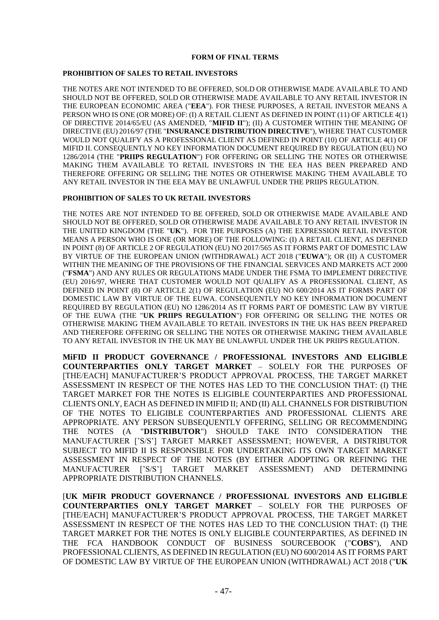#### **FORM OF FINAL TERMS**

#### **PROHIBITION OF SALES TO RETAIL INVESTORS**

THE NOTES ARE NOT INTENDED TO BE OFFERED, SOLD OR OTHERWISE MADE AVAILABLE TO AND SHOULD NOT BE OFFERED, SOLD OR OTHERWISE MADE AVAILABLE TO ANY RETAIL INVESTOR IN THE EUROPEAN ECONOMIC AREA ("**EEA**"). FOR THESE PURPOSES, A RETAIL INVESTOR MEANS A PERSON WHO IS ONE (OR MORE) OF: (I) A RETAIL CLIENT AS DEFINED IN POINT (11) OF ARTICLE 4(1) OF DIRECTIVE 2014/65/EU (AS AMENDED, "**MIFID II**"); (II) A CUSTOMER WITHIN THE MEANING OF DIRECTIVE (EU) 2016/97 (THE "**INSURANCE DISTRIBUTION DIRECTIVE**"), WHERE THAT CUSTOMER WOULD NOT QUALIFY AS A PROFESSIONAL CLIENT AS DEFINED IN POINT (10) OF ARTICLE 4(1) OF MIFID II. CONSEQUENTLY NO KEY INFORMATION DOCUMENT REQUIRED BY REGULATION (EU) NO 1286/2014 (THE "**PRIIPS REGULATION**") FOR OFFERING OR SELLING THE NOTES OR OTHERWISE MAKING THEM AVAILABLE TO RETAIL INVESTORS IN THE EEA HAS BEEN PREPARED AND THEREFORE OFFERING OR SELLING THE NOTES OR OTHERWISE MAKING THEM AVAILABLE TO ANY RETAIL INVESTOR IN THE EEA MAY BE UNLAWFUL UNDER THE PRIIPS REGULATION.

#### **PROHIBITION OF SALES TO UK RETAIL INVESTORS**

THE NOTES ARE NOT INTENDED TO BE OFFERED, SOLD OR OTHERWISE MADE AVAILABLE AND SHOULD NOT BE OFFERED, SOLD OR OTHERWISE MADE AVAILABLE TO ANY RETAIL INVESTOR IN THE UNITED KINGDOM (THE "**UK**"). FOR THE PURPOSES (A) THE EXPRESSION RETAIL INVESTOR MEANS A PERSON WHO IS ONE (OR MORE) OF THE FOLLOWING: (I) A RETAIL CLIENT, AS DEFINED IN POINT (8) OF ARTICLE 2 OF REGULATION (EU) NO 2017/565 AS IT FORMS PART OF DOMESTIC LAW BY VIRTUE OF THE EUROPEAN UNION (WITHDRAWAL) ACT 2018 ("**EUWA**"); OR (II) A CUSTOMER WITHIN THE MEANING OF THE PROVISIONS OF THE FINANCIAL SERVICES AND MARKETS ACT 2000 ("**FSMA**") AND ANY RULES OR REGULATIONS MADE UNDER THE FSMA TO IMPLEMENT DIRECTIVE (EU) 2016/97, WHERE THAT CUSTOMER WOULD NOT QUALIFY AS A PROFESSIONAL CLIENT, AS DEFINED IN POINT (8) OF ARTICLE 2(1) OF REGULATION (EU) NO 600/2014 AS IT FORMS PART OF DOMESTIC LAW BY VIRTUE OF THE EUWA. CONSEQUENTLY NO KEY INFORMATION DOCUMENT REQUIRED BY REGULATION (EU) NO 1286/2014 AS IT FORMS PART OF DOMESTIC LAW BY VIRTUE OF THE EUWA (THE "**UK PRIIPS REGULATION**") FOR OFFERING OR SELLING THE NOTES OR OTHERWISE MAKING THEM AVAILABLE TO RETAIL INVESTORS IN THE UK HAS BEEN PREPARED AND THEREFORE OFFERING OR SELLING THE NOTES OR OTHERWISE MAKING THEM AVAILABLE TO ANY RETAIL INVESTOR IN THE UK MAY BE UNLAWFUL UNDER THE UK PRIIPS REGULATION.

**MiFID II PRODUCT GOVERNANCE / PROFESSIONAL INVESTORS AND ELIGIBLE COUNTERPARTIES ONLY TARGET MARKET** – SOLELY FOR THE PURPOSES OF [THE/EACH] MANUFACTURER'S PRODUCT APPROVAL PROCESS, THE TARGET MARKET ASSESSMENT IN RESPECT OF THE NOTES HAS LED TO THE CONCLUSION THAT: (I) THE TARGET MARKET FOR THE NOTES IS ELIGIBLE COUNTERPARTIES AND PROFESSIONAL CLIENTS ONLY, EACH AS DEFINED IN MIFID II; AND (II) ALL CHANNELS FOR DISTRIBUTION OF THE NOTES TO ELIGIBLE COUNTERPARTIES AND PROFESSIONAL CLIENTS ARE APPROPRIATE. ANY PERSON SUBSEQUENTLY OFFERING, SELLING OR RECOMMENDING THE NOTES (A "**DISTRIBUTOR**") SHOULD TAKE INTO CONSIDERATION THE MANUFACTURER ['S/S'] TARGET MARKET ASSESSMENT; HOWEVER, A DISTRIBUTOR SUBJECT TO MIFID II IS RESPONSIBLE FOR UNDERTAKING ITS OWN TARGET MARKET ASSESSMENT IN RESPECT OF THE NOTES (BY EITHER ADOPTING OR REFINING THE MANUFACTURER ['S/S'] TARGET MARKET ASSESSMENT) AND DETERMINING APPROPRIATE DISTRIBUTION CHANNELS.

[**UK MiFIR PRODUCT GOVERNANCE / PROFESSIONAL INVESTORS AND ELIGIBLE COUNTERPARTIES ONLY TARGET MARKET** – SOLELY FOR THE PURPOSES OF [THE/EACH] MANUFACTURER'S PRODUCT APPROVAL PROCESS, THE TARGET MARKET ASSESSMENT IN RESPECT OF THE NOTES HAS LED TO THE CONCLUSION THAT: (I) THE TARGET MARKET FOR THE NOTES IS ONLY ELIGIBLE COUNTERPARTIES, AS DEFINED IN THE FCA HANDBOOK CONDUCT OF BUSINESS SOURCEBOOK ("**COBS**"), AND PROFESSIONAL CLIENTS, AS DEFINED IN REGULATION (EU) NO 600/2014 AS IT FORMS PART OF DOMESTIC LAW BY VIRTUE OF THE EUROPEAN UNION (WITHDRAWAL) ACT 2018 ("**UK**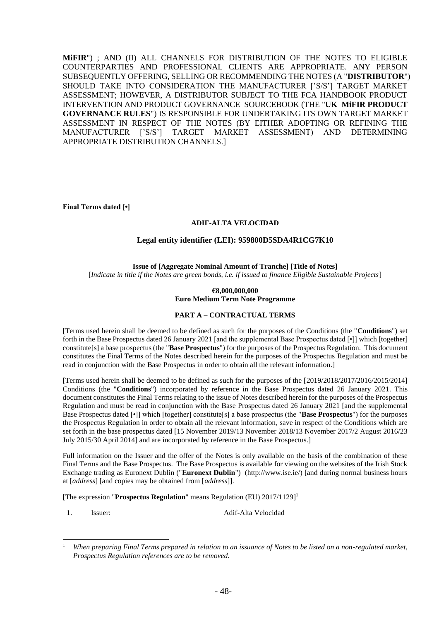**MiFIR**") ; AND (II) ALL CHANNELS FOR DISTRIBUTION OF THE NOTES TO ELIGIBLE COUNTERPARTIES AND PROFESSIONAL CLIENTS ARE APPROPRIATE. ANY PERSON SUBSEQUENTLY OFFERING, SELLING OR RECOMMENDING THE NOTES (A "**DISTRIBUTOR**") SHOULD TAKE INTO CONSIDERATION THE MANUFACTURER ['S/S'] TARGET MARKET ASSESSMENT; HOWEVER, A DISTRIBUTOR SUBJECT TO THE FCA HANDBOOK PRODUCT INTERVENTION AND PRODUCT GOVERNANCE SOURCEBOOK (THE "**UK MiFIR PRODUCT GOVERNANCE RULES**") IS RESPONSIBLE FOR UNDERTAKING ITS OWN TARGET MARKET ASSESSMENT IN RESPECT OF THE NOTES (BY EITHER ADOPTING OR REFINING THE MANUFACTURER ['S/S'] TARGET MARKET ASSESSMENT) AND DETERMINING APPROPRIATE DISTRIBUTION CHANNELS.]

**Final Terms dated [•]**

#### **ADIF-ALTA VELOCIDAD**

#### **Legal entity identifier (LEI): 959800D5SDA4R1CG7K10**

**Issue of [Aggregate Nominal Amount of Tranche] [Title of Notes]** [*Indicate in title if the Notes are green bonds, i.e. if issued to finance Eligible Sustainable Projects*]

#### **€8,000,000,000 Euro Medium Term Note Programme**

#### **PART A – CONTRACTUAL TERMS**

[Terms used herein shall be deemed to be defined as such for the purposes of the Conditions (the "**Conditions**") set forth in the Base Prospectus dated 26 January 2021 [and the supplemental Base Prospectus dated [•]] which [together] constitute[s] a base prospectus (the "**Base Prospectus**") for the purposes of the Prospectus Regulation. This document constitutes the Final Terms of the Notes described herein for the purposes of the Prospectus Regulation and must be read in conjunction with the Base Prospectus in order to obtain all the relevant information.]

[Terms used herein shall be deemed to be defined as such for the purposes of the [2019/2018/2017/2016/2015/2014] Conditions (the "**Conditions**") incorporated by reference in the Base Prospectus dated 26 January 2021. This document constitutes the Final Terms relating to the issue of Notes described herein for the purposes of the Prospectus Regulation and must be read in conjunction with the Base Prospectus dated 26 January 2021 [and the supplemental Base Prospectus dated [•]] which [together] constitute[s] a base prospectus (the "**Base Prospectus**") for the purposes the Prospectus Regulation in order to obtain all the relevant information, save in respect of the Conditions which are set forth in the base prospectus dated [15 November 2019/13 November 2018/13 November 2017/2 August 2016/23 July 2015/30 April 2014] and are incorporated by reference in the Base Prospectus.]

Full information on the Issuer and the offer of the Notes is only available on the basis of the combination of these Final Terms and the Base Prospectus. The Base Prospectus is available for viewing on the websites of the Irish Stock Exchange trading as Euronext Dublin ("**Euronext Dublin**") (http://www.ise.ie/) [and during normal business hours at [*address*] [and copies may be obtained from [*address*]].

[The expression "**Prospectus Regulation**" means Regulation (EU) 2017/1129] 1

1. Issuer: Adif-Alta Velocidad

<sup>1</sup> *When preparing Final Terms prepared in relation to an issuance of Notes to be listed on a non-regulated market, Prospectus Regulation references are to be removed.*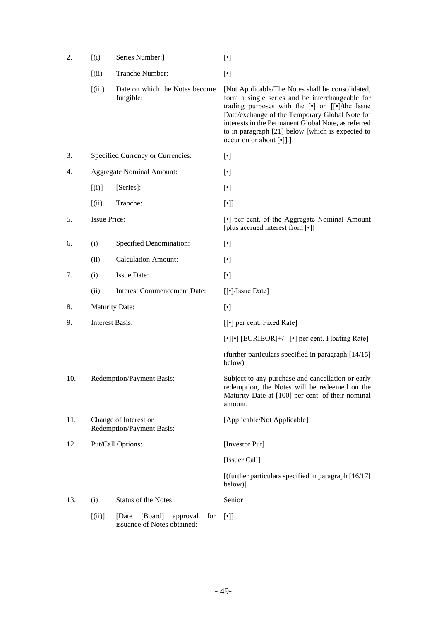| 2.  | (i)                                                | Series Number:]                                                    |                                                                                                                                                                                                                                                                                                                                                                                                                                                                                                       |  |
|-----|----------------------------------------------------|--------------------------------------------------------------------|-------------------------------------------------------------------------------------------------------------------------------------------------------------------------------------------------------------------------------------------------------------------------------------------------------------------------------------------------------------------------------------------------------------------------------------------------------------------------------------------------------|--|
|     | (iii)                                              | Tranche Number:                                                    | $[\cdot] % \centering \includegraphics[width=0.9\textwidth]{images/TrDiM-Architecture.png} % \caption{The first two different values of $d \sim \tfrac{1}{\sqrt{2}}$ and $d \sim \tfrac{1}{\sqrt{2}}$ and $d \sim \tfrac{1}{\sqrt{2}}$ for $d \sim \tfrac{1}{\sqrt{2}}$ and $d \sim \tfrac{1}{\sqrt{2}}$ for $d \sim \tfrac{1}{\sqrt{2}}$ for $d \sim \tfrac{1}{\sqrt{2}}$ for $d \sim \tfrac{1}{\sqrt{2}}$ for $d \sim \tfrac{1}{\sqrt{2}}$ for $d \sim \tfrac{1}{\sqrt{2}}$ for $d \sim \tfrac{1}{$ |  |
|     | (iii)                                              | Date on which the Notes become<br>fungible:                        | [Not Applicable/The Notes shall be consolidated,<br>form a single series and be interchangeable for<br>trading purposes with the [.] on [[.]/the Issue<br>Date/exchange of the Temporary Global Note for<br>interests in the Permanent Global Note, as referred<br>to in paragraph [21] below [which is expected to<br>occur on or about $\lceil \cdot \rceil$ .                                                                                                                                      |  |
| 3.  |                                                    | Specified Currency or Currencies:                                  | $[\cdot]$                                                                                                                                                                                                                                                                                                                                                                                                                                                                                             |  |
| 4.  |                                                    | <b>Aggregate Nominal Amount:</b>                                   | $[\cdot]$                                                                                                                                                                                                                                                                                                                                                                                                                                                                                             |  |
|     | [(i)]                                              | [Series]:                                                          | $[\cdot]$                                                                                                                                                                                                                                                                                                                                                                                                                                                                                             |  |
|     | (iii)                                              | Tranche:                                                           | $[\cdot] ]$                                                                                                                                                                                                                                                                                                                                                                                                                                                                                           |  |
| 5.  | <b>Issue Price:</b>                                |                                                                    | [•] per cent. of the Aggregate Nominal Amount<br>[plus accrued interest from [•]]                                                                                                                                                                                                                                                                                                                                                                                                                     |  |
| 6.  | (i)                                                | Specified Denomination:                                            | $[\cdot]$                                                                                                                                                                                                                                                                                                                                                                                                                                                                                             |  |
|     | (ii)                                               | <b>Calculation Amount:</b>                                         | $[\cdot]$                                                                                                                                                                                                                                                                                                                                                                                                                                                                                             |  |
| 7.  | (i)                                                | <b>Issue Date:</b>                                                 |                                                                                                                                                                                                                                                                                                                                                                                                                                                                                                       |  |
|     | (ii)                                               | <b>Interest Commencement Date:</b>                                 | [[•]/Issue Date]                                                                                                                                                                                                                                                                                                                                                                                                                                                                                      |  |
| 8.  | <b>Maturity Date:</b>                              |                                                                    | $[\cdot]$                                                                                                                                                                                                                                                                                                                                                                                                                                                                                             |  |
| 9.  | <b>Interest Basis:</b>                             |                                                                    | [[•] per cent. Fixed Rate]                                                                                                                                                                                                                                                                                                                                                                                                                                                                            |  |
|     |                                                    |                                                                    | [•][•] [EURIBOR]+/- [•] per cent. Floating Rate]                                                                                                                                                                                                                                                                                                                                                                                                                                                      |  |
|     |                                                    |                                                                    | (further particulars specified in paragraph [14/15]<br>below)                                                                                                                                                                                                                                                                                                                                                                                                                                         |  |
| 10. | Redemption/Payment Basis:                          |                                                                    | Subject to any purchase and cancellation or early<br>redemption, the Notes will be redeemed on the<br>Maturity Date at [100] per cent. of their nominal<br>amount.                                                                                                                                                                                                                                                                                                                                    |  |
| 11. | Change of Interest or<br>Redemption/Payment Basis: |                                                                    | [Applicable/Not Applicable]                                                                                                                                                                                                                                                                                                                                                                                                                                                                           |  |
| 12. |                                                    | Put/Call Options:                                                  | [Investor Put]                                                                                                                                                                                                                                                                                                                                                                                                                                                                                        |  |
|     |                                                    |                                                                    | [Issuer Call]                                                                                                                                                                                                                                                                                                                                                                                                                                                                                         |  |
|     |                                                    |                                                                    | [(further particulars specified in paragraph [16/17]<br>below)]                                                                                                                                                                                                                                                                                                                                                                                                                                       |  |
| 13. | (i)                                                | Status of the Notes:                                               | Senior                                                                                                                                                                                                                                                                                                                                                                                                                                                                                                |  |
|     | [(ii)]                                             | [Board]<br>[Date<br>approval<br>for<br>issuance of Notes obtained: | $[\cdot]$                                                                                                                                                                                                                                                                                                                                                                                                                                                                                             |  |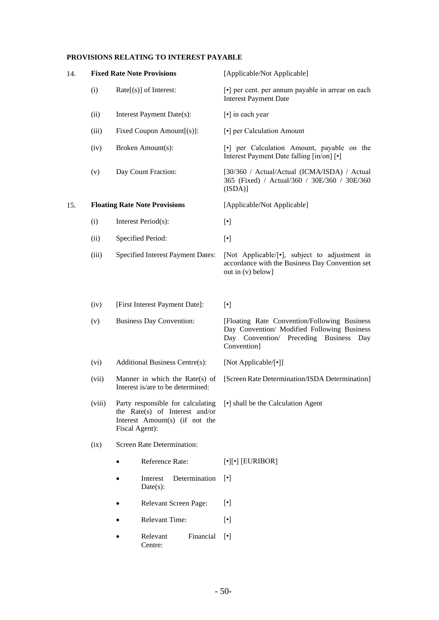### **PROVISIONS RELATING TO INTEREST PAYABLE**

| 14. |                                                                                                                                                                                                                      | <b>Fixed Rate Note Provisions</b>        | [Applicable/Not Applicable]                                                                                                                          |  |  |
|-----|----------------------------------------------------------------------------------------------------------------------------------------------------------------------------------------------------------------------|------------------------------------------|------------------------------------------------------------------------------------------------------------------------------------------------------|--|--|
|     | (i)                                                                                                                                                                                                                  | $Rate[s]$ of Interest:                   | [•] per cent. per annum payable in arrear on each<br><b>Interest Payment Date</b>                                                                    |  |  |
|     | (ii)                                                                                                                                                                                                                 | Interest Payment Date(s):                | [•] in each year                                                                                                                                     |  |  |
|     | (iii)                                                                                                                                                                                                                | Fixed Coupon Amount[(s)]:                | [•] per Calculation Amount                                                                                                                           |  |  |
|     | (iv)                                                                                                                                                                                                                 | Broken Amount(s):                        | [•] per Calculation Amount, payable on the<br>Interest Payment Date falling [in/on] [ $\cdot$ ]                                                      |  |  |
|     | Day Count Fraction:<br>(v)                                                                                                                                                                                           |                                          | [30/360 / Actual/Actual (ICMA/ISDA) / Actual<br>365 (Fixed) / Actual/360 / 30E/360 / 30E/360<br>(ISDA)]                                              |  |  |
| 15. |                                                                                                                                                                                                                      | <b>Floating Rate Note Provisions</b>     | [Applicable/Not Applicable]                                                                                                                          |  |  |
|     | (i)                                                                                                                                                                                                                  | Interest Period(s):                      | $[\cdot]$                                                                                                                                            |  |  |
|     | (ii)                                                                                                                                                                                                                 | Specified Period:                        | $[\cdot]$                                                                                                                                            |  |  |
|     | (iii)                                                                                                                                                                                                                | <b>Specified Interest Payment Dates:</b> | [Not Applicable/[•], subject to adjustment in<br>accordance with the Business Day Convention set<br>out in (v) below]                                |  |  |
|     | [First Interest Payment Date]:<br>(iv)<br><b>Business Day Convention:</b><br>(v)                                                                                                                                     |                                          | $[\cdot]$                                                                                                                                            |  |  |
|     |                                                                                                                                                                                                                      |                                          | [Floating Rate Convention/Following Business<br>Day Convention/ Modified Following Business<br>Day Convention/ Preceding Business Day<br>Convention] |  |  |
|     | (vi)                                                                                                                                                                                                                 | Additional Business Centre(s):           | [Not Applicable/[•]]                                                                                                                                 |  |  |
|     | (vii)<br>Manner in which the Rate $(s)$ of<br>Interest is/are to be determined:<br>(viii)<br>Party responsible for calculating<br>the Rate(s) of Interest and/or<br>Interest Amount(s) (if not the<br>Fiscal Agent): |                                          | [Screen Rate Determination/ISDA Determination]                                                                                                       |  |  |
|     |                                                                                                                                                                                                                      |                                          | [•] shall be the Calculation Agent                                                                                                                   |  |  |
|     | (ix)                                                                                                                                                                                                                 | Screen Rate Determination:               |                                                                                                                                                      |  |  |
|     |                                                                                                                                                                                                                      | Reference Rate:                          | $[\cdot][\cdot]$ [EURIBOR]                                                                                                                           |  |  |
|     |                                                                                                                                                                                                                      | Determination<br>Interest<br>$Date(s)$ : | $[\cdot]$                                                                                                                                            |  |  |
|     |                                                                                                                                                                                                                      | Relevant Screen Page:                    | $[\cdot]$                                                                                                                                            |  |  |
|     |                                                                                                                                                                                                                      | <b>Relevant Time:</b>                    | $[\cdot]$                                                                                                                                            |  |  |
|     |                                                                                                                                                                                                                      | Relevant<br>Financial<br>Centre:         | $\lceil \cdot \rceil$                                                                                                                                |  |  |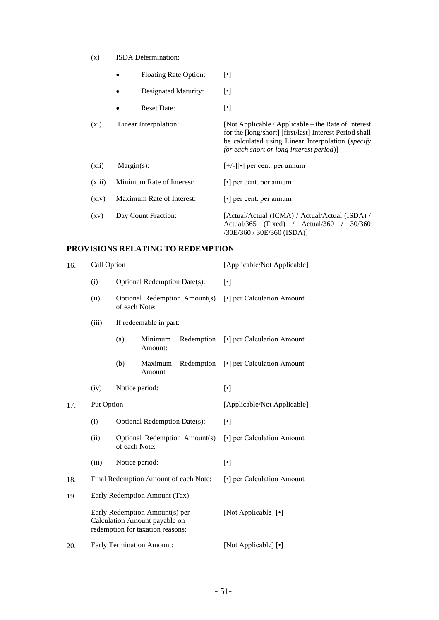- (x) ISDA Determination:
	- Floating Rate Option:  $[\cdot]$
	- Designated Maturity:  $[\cdot]$
	- Reset Date: [•]

| $(x_i)$            | Linear Interpolation:     | [Not Applicable / Applicable – the Rate of Interest<br>for the [long/short] [first/last] Interest Period shall<br>be calculated using Linear Interpolation ( <i>specify</i><br>for each short or long interest period) |
|--------------------|---------------------------|------------------------------------------------------------------------------------------------------------------------------------------------------------------------------------------------------------------------|
| (xii)              | $Margin(s)$ :             | $[+/$ - $]$ [•] per cent. per annum                                                                                                                                                                                    |
| (xiii)             | Minimum Rate of Interest: | $\lceil \cdot \rceil$ per cent. per annum                                                                                                                                                                              |
| (xiv)              | Maximum Rate of Interest: | $\lceil \cdot \rceil$ per cent. per annum                                                                                                                                                                              |
| $\left( xy\right)$ | Day Count Fraction:       | [Actual/Actual (ICMA) / Actual/Actual (ISDA) /<br>30/360<br>$Actual/365$ (Fixed) / $Actual/360$<br>/30E/360 / 30E/360 (ISDA)]                                                                                          |

## **PROVISIONS RELATING TO REDEMPTION**

| 16. | Call Option                     |                                                                                                                    |                                       |                               | [Applicable/Not Applicable] |  |
|-----|---------------------------------|--------------------------------------------------------------------------------------------------------------------|---------------------------------------|-------------------------------|-----------------------------|--|
|     | (i)                             |                                                                                                                    | Optional Redemption Date(s):          |                               | $[\cdot]$                   |  |
|     | (ii)                            | of each Note:                                                                                                      |                                       | Optional Redemption Amount(s) | [•] per Calculation Amount  |  |
|     | If redeemable in part:<br>(iii) |                                                                                                                    |                                       |                               |                             |  |
|     |                                 | (a)                                                                                                                | Minimum<br>Amount:                    | Redemption                    | [•] per Calculation Amount  |  |
|     |                                 | (b)                                                                                                                | Maximum<br>Amount                     | Redemption                    | [•] per Calculation Amount  |  |
|     | (iv)                            |                                                                                                                    |                                       |                               | $[\cdot]$                   |  |
| 17. | Put Option                      |                                                                                                                    |                                       | [Applicable/Not Applicable]   |                             |  |
|     | (i)                             | Notice period:<br>Optional Redemption Date(s):<br>Optional Redemption Amount(s)<br>of each Note:<br>Notice period: | $[\cdot]$                             |                               |                             |  |
|     | (ii)                            |                                                                                                                    |                                       |                               | [•] per Calculation Amount  |  |
|     | (iii)                           |                                                                                                                    |                                       |                               | $[\cdot]$                   |  |
| 18. |                                 |                                                                                                                    | Final Redemption Amount of each Note: |                               | [•] per Calculation Amount  |  |
| 19. |                                 |                                                                                                                    | Early Redemption Amount (Tax)         |                               |                             |  |
|     |                                 | Early Redemption Amount(s) per<br>Calculation Amount payable on<br>redemption for taxation reasons:                |                                       |                               | [Not Applicable] [•]        |  |
| 20. |                                 |                                                                                                                    | <b>Early Termination Amount:</b>      |                               | [Not Applicable] [•]        |  |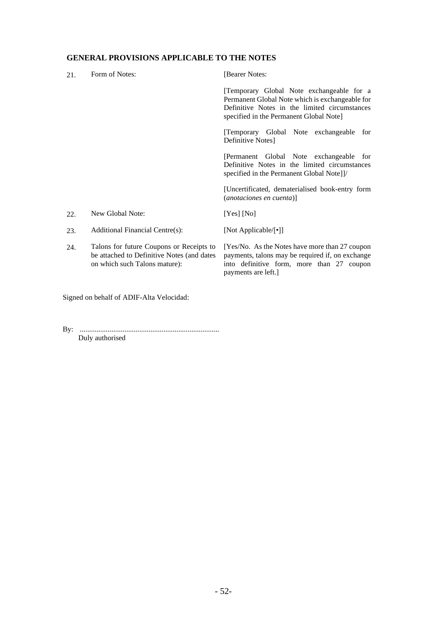## **GENERAL PROVISIONS APPLICABLE TO THE NOTES**

| 21. | Form of Notes:                                                                                                          | [Bearer Notes:                                                                                                                                                                           |
|-----|-------------------------------------------------------------------------------------------------------------------------|------------------------------------------------------------------------------------------------------------------------------------------------------------------------------------------|
|     |                                                                                                                         | [Temporary Global Note exchangeable for a<br>Permanent Global Note which is exchangeable for<br>Definitive Notes in the limited circumstances<br>specified in the Permanent Global Note] |
|     |                                                                                                                         | Temporary Global Note exchangeable<br>for<br>Definitive Notes]                                                                                                                           |
|     |                                                                                                                         | [Permanent Global Note exchangeable for<br>Definitive Notes in the limited circumstances<br>specified in the Permanent Global Note]]/                                                    |
|     |                                                                                                                         | [Uncertificated, dematerialised book-entry form<br>(anotaciones en cuenta)]                                                                                                              |
| 22. | New Global Note:                                                                                                        | $[Yes]$ [No]                                                                                                                                                                             |
| 23. | Additional Financial Centre(s):                                                                                         | [Not Applicable/[•]]                                                                                                                                                                     |
| 24. | Talons for future Coupons or Receipts to<br>be attached to Definitive Notes (and dates<br>on which such Talons mature): | [Yes/No. As the Notes have more than 27 coupon<br>payments, talons may be required if, on exchange<br>into definitive form, more than 27 coupon<br>payments are left.]                   |

Signed on behalf of ADIF-Alta Velocidad:

By: ........................................................................... Duly authorised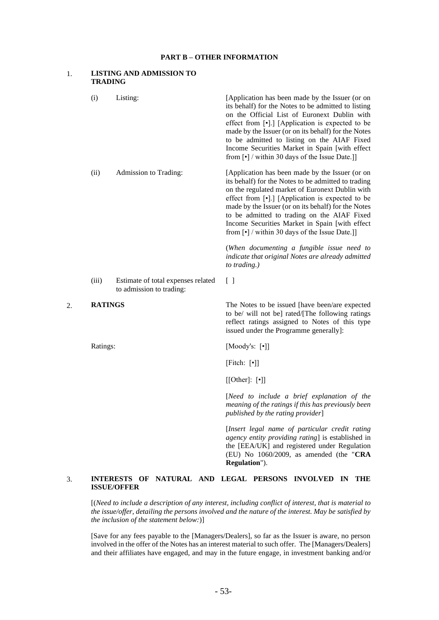#### **PART B – OTHER INFORMATION**

#### 1. **LISTING AND ADMISSION TO TRADING**

|    |                | <b>INTERESTS</b>         |                                    | OF NATURAL AND LEGAL PERSONS INVOLVED<br>$\mathbf{I}$ N<br>THE                                                                                                                                                                                                                                                                                                                                                                            |
|----|----------------|--------------------------|------------------------------------|-------------------------------------------------------------------------------------------------------------------------------------------------------------------------------------------------------------------------------------------------------------------------------------------------------------------------------------------------------------------------------------------------------------------------------------------|
|    |                |                          |                                    | [Insert legal name of particular credit rating<br>agency entity providing rating] is established in<br>the [EEA/UK] and registered under Regulation<br>(EU) No 1060/2009, as amended (the "CRA<br>Regulation").                                                                                                                                                                                                                           |
|    |                |                          |                                    | [Need to include a brief explanation of the<br>meaning of the ratings if this has previously been<br>published by the rating provider]                                                                                                                                                                                                                                                                                                    |
|    |                |                          |                                    | $[[Other]: [\cdot]$                                                                                                                                                                                                                                                                                                                                                                                                                       |
|    |                |                          |                                    | [Fitch: $[\cdot]$ ]                                                                                                                                                                                                                                                                                                                                                                                                                       |
|    | Ratings:       |                          |                                    | [Moody's: $[\cdot]$ ]                                                                                                                                                                                                                                                                                                                                                                                                                     |
| 2. | <b>RATINGS</b> |                          |                                    | The Notes to be issued [have been/are expected<br>to be/ will not be] rated/[The following ratings<br>reflect ratings assigned to Notes of this type<br>issued under the Programme generally]:                                                                                                                                                                                                                                            |
|    | (iii)          | to admission to trading: | Estimate of total expenses related | $[\ ]$                                                                                                                                                                                                                                                                                                                                                                                                                                    |
|    |                |                          |                                    | (When documenting a fungible issue need to<br>indicate that original Notes are already admitted<br>to trading.)                                                                                                                                                                                                                                                                                                                           |
|    | (ii)           | Admission to Trading:    |                                    | [Application has been made by the Issuer (or on<br>its behalf) for the Notes to be admitted to trading<br>on the regulated market of Euronext Dublin with<br>effect from [•].] [Application is expected to be<br>made by the Issuer (or on its behalf) for the Notes<br>to be admitted to trading on the AIAF Fixed<br>Income Securities Market in Spain [with effect<br>from $\lceil \cdot \rceil$ / within 30 days of the Issue Date.]] |
|    | (i)            | Listing:                 |                                    | [Application has been made by the Issuer (or on<br>its behalf) for the Notes to be admitted to listing<br>on the Official List of Euronext Dublin with<br>effect from [.] [Application is expected to be<br>made by the Issuer (or on its behalf) for the Notes<br>to be admitted to listing on the AIAF Fixed<br>Income Securities Market in Spain [with effect<br>from $\lbrack \cdot \rbrack$ / within 30 days of the Issue Date.]]    |
|    |                |                          |                                    |                                                                                                                                                                                                                                                                                                                                                                                                                                           |

# **ISSUE/OFFER**

[(*Need to include a description of any interest, including conflict of interest, that is material to the issue/offer, detailing the persons involved and the nature of the interest. May be satisfied by the inclusion of the statement below:*)]

[Save for any fees payable to the [Managers/Dealers], so far as the Issuer is aware, no person involved in the offer of the Notes has an interest material to such offer. The [Managers/Dealers] and their affiliates have engaged, and may in the future engage, in investment banking and/or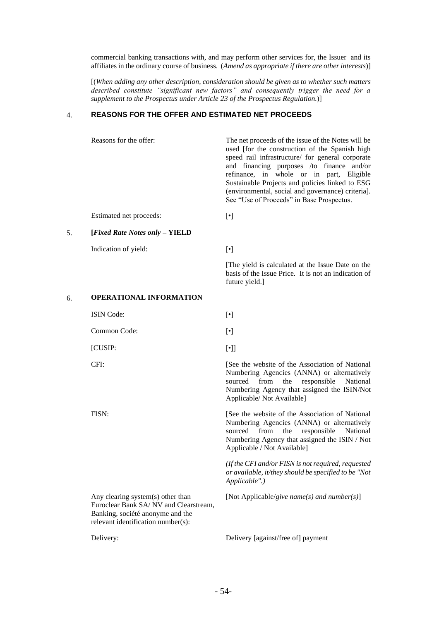commercial banking transactions with, and may perform other services for, the Issuer and its affiliates in the ordinary course of business. (*Amend as appropriate if there are other interests*)]

[(*When adding any other description, consideration should be given as to whether such matters described constitute "significant new factors" and consequently trigger the need for a supplement to the Prospectus under Article 23 of the Prospectus Regulation.*)]

#### $\overline{4}$ . **REASONS FOR THE OFFER AND ESTIMATED NET PROCEEDS**

Reasons for the offer: The net proceeds of the issue of the Notes will be used [for the construction of the Spanish high speed rail infrastructure/ for general corporate and financing purposes /to finance and/or refinance, in whole or in part, Eligible Sustainable Projects and policies linked to ESG (environmental, social and governance) criteria]. See "Use of Proceeds" in Base Prospectus.

Estimated net proceeds:  $\lceil \cdot \rceil$ 

5. **[***Fixed Rate Notes only* **– YIELD**

Indication of yield:  $\lceil \cdot \rceil$ 

[The yield is calculated at the Issue Date on the basis of the Issue Price. It is not an indication of future yield.]

#### 6. **OPERATIONAL INFORMATION**

ISIN Code: [•] Common Code: [•] [CUSIP: [•]] CFI: [See the website of the Association of National] FISN: [See the website of the Association of National Applicable / Not Available]

Any clearing system(s) other than Euroclear Bank SA/ NV and Clearstream, Banking, société anonyme and the relevant identification number(s):

Numbering Agencies (ANNA) or alternatively sourced from the responsible National Numbering Agency that assigned the ISIN/Not Applicable/ Not Available] Numbering Agencies (ANNA) or alternatively sourced from the responsible National Numbering Agency that assigned the ISIN / Not

*(If the CFI and/or FISN is not required, requested or available, it/they should be specified to be "Not Applicable".)*

[Not Applicable/*give name(s) and number(s)*]

Delivery: Delivery [against/free of] payment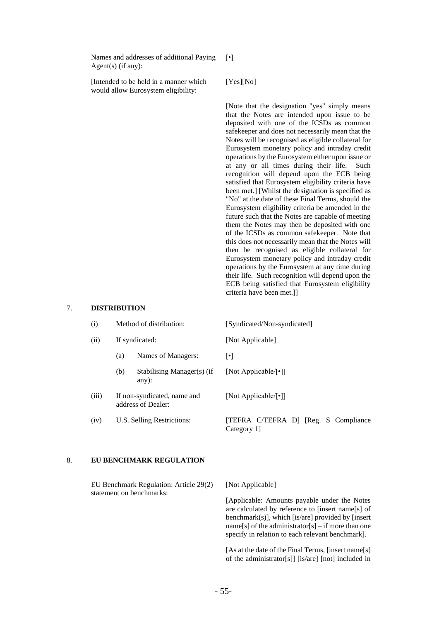Names and addresses of additional Paying Agent(s) (if any):

[Intended to be held in a manner which would allow Eurosystem eligibility:

[Yes][No]

[•]

[Note that the designation "yes" simply means that the Notes are intended upon issue to be deposited with one of the ICSDs as common safekeeper and does not necessarily mean that the Notes will be recognised as eligible collateral for Eurosystem monetary policy and intraday credit operations by the Eurosystem either upon issue or at any or all times during their life. Such recognition will depend upon the ECB being satisfied that Eurosystem eligibility criteria have been met.] [Whilst the designation is specified as "No" at the date of these Final Terms, should the Eurosystem eligibility criteria be amended in the future such that the Notes are capable of meeting them the Notes may then be deposited with one of the ICSDs as common safekeeper. Note that this does not necessarily mean that the Notes will then be recognised as eligible collateral for Eurosystem monetary policy and intraday credit operations by the Eurosystem at any time during their life. Such recognition will depend upon the ECB being satisfied that Eurosystem eligibility criteria have been met.]]

#### 7. **DISTRIBUTION**

| (i)   | Method of distribution:                           |                                        | [Syndicated/Non-syndicated]                         |  |  |
|-------|---------------------------------------------------|----------------------------------------|-----------------------------------------------------|--|--|
| (ii)  | If syndicated:                                    |                                        | [Not Applicable]                                    |  |  |
|       | (a)                                               | Names of Managers:                     | $\lceil \bullet \rceil$                             |  |  |
|       | (b)                                               | Stabilising Manager(s) (if<br>$any)$ : | [Not Applicable/ $\lceil \cdot \rceil$ ]            |  |  |
| (iii) | If non-syndicated, name and<br>address of Dealer: |                                        | [Not Applicable/[•]]                                |  |  |
| (iv)  |                                                   | U.S. Selling Restrictions:             | [TEFRA C/TEFRA D] [Reg. S Compliance]<br>Category 1 |  |  |

#### 8. **EU BENCHMARK REGULATION**

EU Benchmark Regulation: Article 29(2) statement on benchmarks:

[Not Applicable]

[Applicable: Amounts payable under the Notes are calculated by reference to [insert name[s] of benchmark(s)], which [is/are] provided by [insert name[s] of the administrator[s] – if more than one specify in relation to each relevant benchmark].

[As at the date of the Final Terms, [insert name[s] of the administrator[s]] [is/are] [not] included in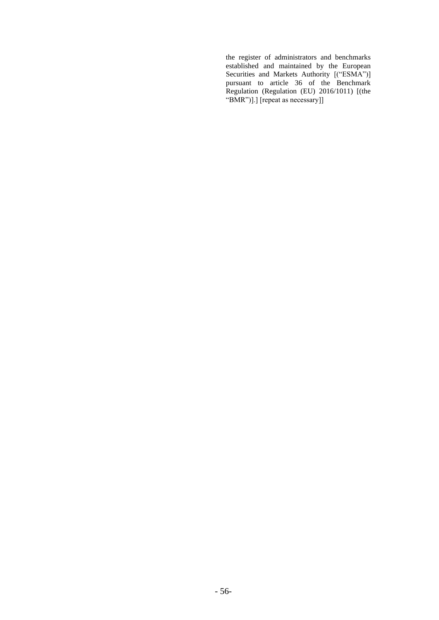the register of administrators and benchmarks established and maintained by the European Securities and Markets Authority [("ESMA")] pursuant to article 36 of the Benchmark Regulation (Regulation (EU) 2016/1011) [(the "BMR")].] [repeat as necessary]]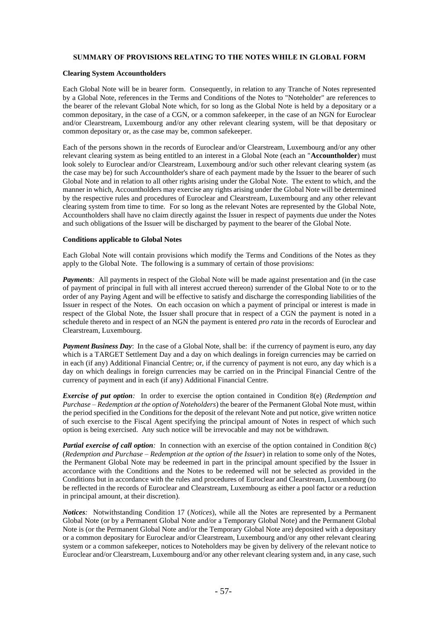#### **SUMMARY OF PROVISIONS RELATING TO THE NOTES WHILE IN GLOBAL FORM**

#### **Clearing System Accountholders**

Each Global Note will be in bearer form. Consequently, in relation to any Tranche of Notes represented by a Global Note, references in the Terms and Conditions of the Notes to "Noteholder" are references to the bearer of the relevant Global Note which, for so long as the Global Note is held by a depositary or a common depositary, in the case of a CGN, or a common safekeeper, in the case of an NGN for Euroclear and/or Clearstream, Luxembourg and/or any other relevant clearing system, will be that depositary or common depositary or, as the case may be, common safekeeper.

Each of the persons shown in the records of Euroclear and/or Clearstream, Luxembourg and/or any other relevant clearing system as being entitled to an interest in a Global Note (each an "**Accountholder**) must look solely to Euroclear and/or Clearstream, Luxembourg and/or such other relevant clearing system (as the case may be) for such Accountholder's share of each payment made by the Issuer to the bearer of such Global Note and in relation to all other rights arising under the Global Note. The extent to which, and the manner in which, Accountholders may exercise any rights arising under the Global Note will be determined by the respective rules and procedures of Euroclear and Clearstream, Luxembourg and any other relevant clearing system from time to time. For so long as the relevant Notes are represented by the Global Note, Accountholders shall have no claim directly against the Issuer in respect of payments due under the Notes and such obligations of the Issuer will be discharged by payment to the bearer of the Global Note.

#### **Conditions applicable to Global Notes**

Each Global Note will contain provisions which modify the Terms and Conditions of the Notes as they apply to the Global Note. The following is a summary of certain of those provisions:

*Payments*: All payments in respect of the Global Note will be made against presentation and (in the case of payment of principal in full with all interest accrued thereon) surrender of the Global Note to or to the order of any Paying Agent and will be effective to satisfy and discharge the corresponding liabilities of the Issuer in respect of the Notes. On each occasion on which a payment of principal or interest is made in respect of the Global Note, the Issuer shall procure that in respect of a CGN the payment is noted in a schedule thereto and in respect of an NGN the payment is entered *pro rata* in the records of Euroclear and Clearstream, Luxembourg.

*Payment Business Day*: In the case of a Global Note, shall be: if the currency of payment is euro, any day which is a TARGET Settlement Day and a day on which dealings in foreign currencies may be carried on in each (if any) Additional Financial Centre; or, if the currency of payment is not euro, any day which is a day on which dealings in foreign currencies may be carried on in the Principal Financial Centre of the currency of payment and in each (if any) Additional Financial Centre.

*Exercise of put option:* In order to exercise the option contained in Condition 8(e) (*Redemption and Purchase – Redemption at the option of Noteholders*) the bearer of the Permanent Global Note must, within the period specified in the Conditions for the deposit of the relevant Note and put notice, give written notice of such exercise to the Fiscal Agent specifying the principal amount of Notes in respect of which such option is being exercised. Any such notice will be irrevocable and may not be withdrawn.

*Partial exercise of call option:* In connection with an exercise of the option contained in Condition 8(c) (*Redemption and Purchase – Redemption at the option of the Issuer*) in relation to some only of the Notes, the Permanent Global Note may be redeemed in part in the principal amount specified by the Issuer in accordance with the Conditions and the Notes to be redeemed will not be selected as provided in the Conditions but in accordance with the rules and procedures of Euroclear and Clearstream, Luxembourg (to be reflected in the records of Euroclear and Clearstream, Luxembourg as either a pool factor or a reduction in principal amount, at their discretion).

*Notices:* Notwithstanding Condition 17 (*Notices*), while all the Notes are represented by a Permanent Global Note (or by a Permanent Global Note and/or a Temporary Global Note) and the Permanent Global Note is (or the Permanent Global Note and/or the Temporary Global Note are) deposited with a depositary or a common depositary for Euroclear and/or Clearstream, Luxembourg and/or any other relevant clearing system or a common safekeeper, notices to Noteholders may be given by delivery of the relevant notice to Euroclear and/or Clearstream, Luxembourg and/or any other relevant clearing system and, in any case, such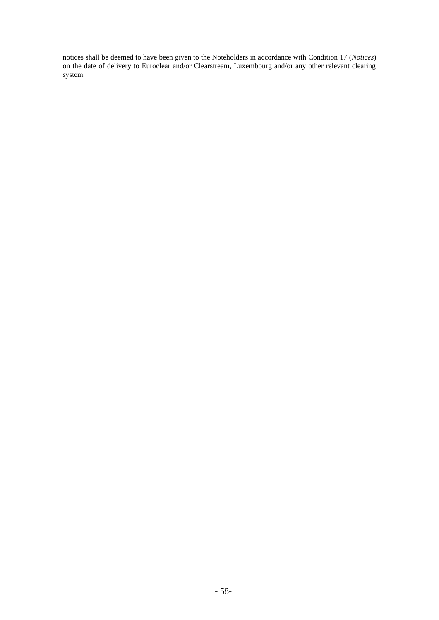notices shall be deemed to have been given to the Noteholders in accordance with Condition 17 (*Notices*) on the date of delivery to Euroclear and/or Clearstream, Luxembourg and/or any other relevant clearing system.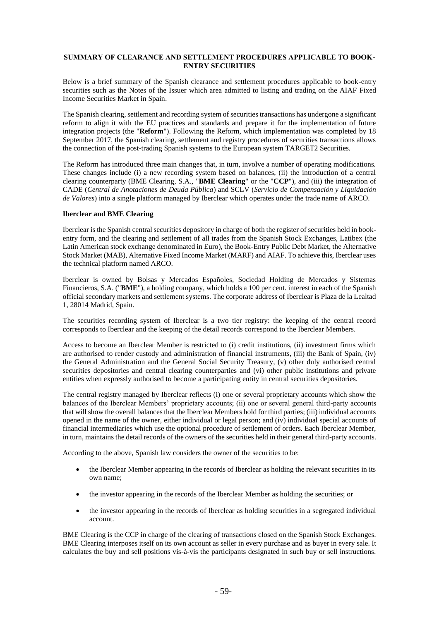#### **SUMMARY OF CLEARANCE AND SETTLEMENT PROCEDURES APPLICABLE TO BOOK-ENTRY SECURITIES**

Below is a brief summary of the Spanish clearance and settlement procedures applicable to book-entry securities such as the Notes of the Issuer which area admitted to listing and trading on the AIAF Fixed Income Securities Market in Spain.

The Spanish clearing, settlement and recording system of securities transactions has undergone a significant reform to align it with the EU practices and standards and prepare it for the implementation of future integration projects (the "**Reform**"). Following the Reform, which implementation was completed by 18 September 2017, the Spanish clearing, settlement and registry procedures of securities transactions allows the connection of the post-trading Spanish systems to the European system TARGET2 Securities.

The Reform has introduced three main changes that, in turn, involve a number of operating modifications. These changes include (i) a new recording system based on balances, (ii) the introduction of a central clearing counterparty (BME Clearing, S.A., "**BME Clearing**" or the "**CCP**"), and (iii) the integration of CADE (*Central de Anotaciones de Deuda Pública*) and SCLV (*Servicio de Compensación y Liquidación de Valores*) into a single platform managed by Iberclear which operates under the trade name of ARCO.

#### **Iberclear and BME Clearing**

Iberclear is the Spanish central securities depository in charge of both the register of securities held in bookentry form, and the clearing and settlement of all trades from the Spanish Stock Exchanges, Latibex (the Latin American stock exchange denominated in Euro), the Book-Entry Public Debt Market, the Alternative Stock Market (MAB), Alternative Fixed Income Market (MARF) and AIAF. To achieve this, Iberclear uses the technical platform named ARCO.

Iberclear is owned by Bolsas y Mercados Españoles, Sociedad Holding de Mercados y Sistemas Financieros, S.A. ("**BME**"), a holding company, which holds a 100 per cent. interest in each of the Spanish official secondary markets and settlement systems. The corporate address of Iberclear is Plaza de la Lealtad 1, 28014 Madrid, Spain.

The securities recording system of Iberclear is a two tier registry: the keeping of the central record corresponds to Iberclear and the keeping of the detail records correspond to the Iberclear Members.

Access to become an Iberclear Member is restricted to (i) credit institutions, (ii) investment firms which are authorised to render custody and administration of financial instruments, (iii) the Bank of Spain, (iv) the General Administration and the General Social Security Treasury, (v) other duly authorised central securities depositories and central clearing counterparties and (vi) other public institutions and private entities when expressly authorised to become a participating entity in central securities depositories.

The central registry managed by Iberclear reflects (i) one or several proprietary accounts which show the balances of the Iberclear Members' proprietary accounts; (ii) one or several general third-party accounts that will show the overall balances that the Iberclear Members hold for third parties; (iii) individual accounts opened in the name of the owner, either individual or legal person; and (iv) individual special accounts of financial intermediaries which use the optional procedure of settlement of orders. Each Iberclear Member, in turn, maintains the detail records of the owners of the securities held in their general third-party accounts.

According to the above, Spanish law considers the owner of the securities to be:

- the Iberclear Member appearing in the records of Iberclear as holding the relevant securities in its own name;
- the investor appearing in the records of the Iberclear Member as holding the securities; or
- the investor appearing in the records of Iberclear as holding securities in a segregated individual account.

BME Clearing is the CCP in charge of the clearing of transactions closed on the Spanish Stock Exchanges. BME Clearing interposes itself on its own account as seller in every purchase and as buyer in every sale. It calculates the buy and sell positions vis-à-vis the participants designated in such buy or sell instructions.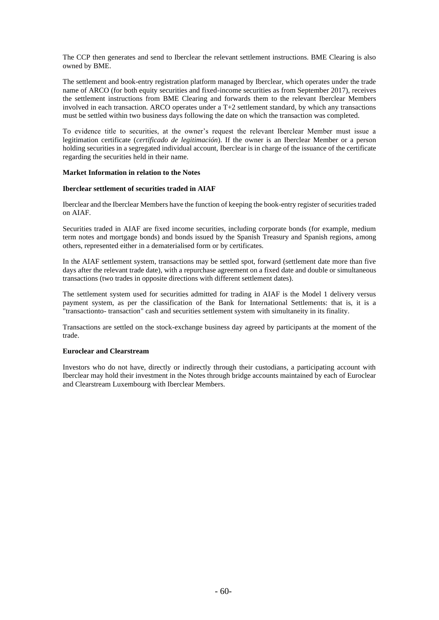The CCP then generates and send to Iberclear the relevant settlement instructions. BME Clearing is also owned by BME.

The settlement and book-entry registration platform managed by Iberclear, which operates under the trade name of ARCO (for both equity securities and fixed-income securities as from September 2017), receives the settlement instructions from BME Clearing and forwards them to the relevant Iberclear Members involved in each transaction. ARCO operates under a T+2 settlement standard, by which any transactions must be settled within two business days following the date on which the transaction was completed.

To evidence title to securities, at the owner's request the relevant Iberclear Member must issue a legitimation certificate (*certificado de legitimación*). If the owner is an Iberclear Member or a person holding securities in a segregated individual account, Iberclear is in charge of the issuance of the certificate regarding the securities held in their name.

#### **Market Information in relation to the Notes**

#### **Iberclear settlement of securities traded in AIAF**

Iberclear and the Iberclear Members have the function of keeping the book-entry register of securities traded on AIAF.

Securities traded in AIAF are fixed income securities, including corporate bonds (for example, medium term notes and mortgage bonds) and bonds issued by the Spanish Treasury and Spanish regions, among others, represented either in a dematerialised form or by certificates.

In the AIAF settlement system, transactions may be settled spot, forward (settlement date more than five days after the relevant trade date), with a repurchase agreement on a fixed date and double or simultaneous transactions (two trades in opposite directions with different settlement dates).

The settlement system used for securities admitted for trading in AIAF is the Model 1 delivery versus payment system, as per the classification of the Bank for International Settlements: that is, it is a "transactionto- transaction" cash and securities settlement system with simultaneity in its finality.

Transactions are settled on the stock-exchange business day agreed by participants at the moment of the trade.

#### **Euroclear and Clearstream**

Investors who do not have, directly or indirectly through their custodians, a participating account with Iberclear may hold their investment in the Notes through bridge accounts maintained by each of Euroclear and Clearstream Luxembourg with Iberclear Members.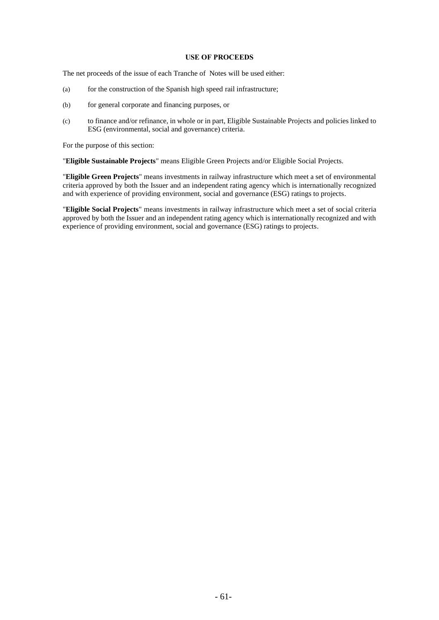#### **USE OF PROCEEDS**

The net proceeds of the issue of each Tranche of Notes will be used either:

- (a) for the construction of the Spanish high speed rail infrastructure;
- (b) for general corporate and financing purposes, or
- (c) to finance and/or refinance, in whole or in part, Eligible Sustainable Projects and policies linked to ESG (environmental, social and governance) criteria.

For the purpose of this section:

"**Eligible Sustainable Projects**" means Eligible Green Projects and/or Eligible Social Projects.

"**Eligible Green Projects**" means investments in railway infrastructure which meet a set of environmental criteria approved by both the Issuer and an independent rating agency which is internationally recognized and with experience of providing environment, social and governance (ESG) ratings to projects.

"**Eligible Social Projects**" means investments in railway infrastructure which meet a set of social criteria approved by both the Issuer and an independent rating agency which is internationally recognized and with experience of providing environment, social and governance (ESG) ratings to projects.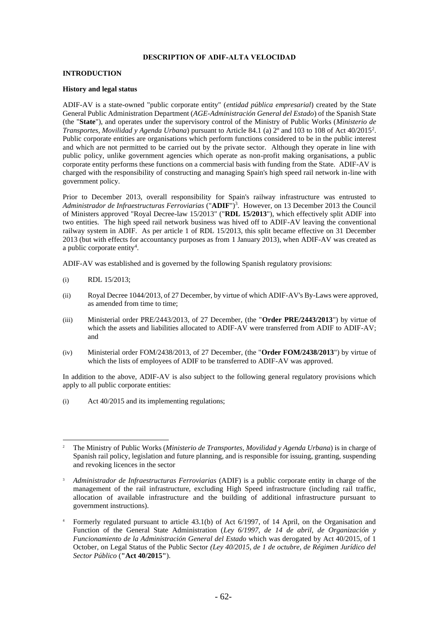#### **DESCRIPTION OF ADIF-ALTA VELOCIDAD**

#### **INTRODUCTION**

#### **History and legal status**

ADIF-AV is a state-owned "public corporate entity" (*entidad pública empresarial*) created by the State General Public Administration Department (*AGE-Administración General del Estado*) of the Spanish State (the "**State**"), and operates under the supervisory control of the Ministry of Public Works (*Ministerio de Transportes, Movilidad y Agenda Urbana*) pursuant to Article 84.1 (a) 2º and 103 to 108 of Act 40/2015<sup>2</sup> . Public corporate entities are organisations which perform functions considered to be in the public interest and which are not permitted to be carried out by the private sector. Although they operate in line with public policy, unlike government agencies which operate as non-profit making organisations, a public corporate entity performs these functions on a commercial basis with funding from the State. ADIF-AV is charged with the responsibility of constructing and managing Spain's high speed rail network in-line with government policy.

Prior to December 2013, overall responsibility for Spain's railway infrastructure was entrusted to *Administrador de Infraestructuras Ferroviarias* ("**ADIF**")<sup>3</sup> . However, on 13 December 2013 the Council of Ministers approved "Royal Decree-law 15/2013" ("**RDL 15/2013**"), which effectively split ADIF into two entities. The high speed rail network business was hived off to ADIF-AV leaving the conventional railway system in ADIF. As per article 1 of RDL 15/2013, this split became effective on 31 December 2013 (but with effects for accountancy purposes as from 1 January 2013), when ADIF-AV was created as a public corporate entity<sup>4</sup>.

ADIF-AV was established and is governed by the following Spanish regulatory provisions:

- (i) RDL 15/2013;
- (ii) Royal Decree 1044/2013, of 27 December, by virtue of which ADIF-AV's By-Laws were approved, as amended from time to time;
- (iii) Ministerial order PRE/2443/2013, of 27 December, (the "**Order PRE/2443/2013**") by virtue of which the assets and liabilities allocated to ADIF-AV were transferred from ADIF to ADIF-AV; and
- (iv) Ministerial order FOM/2438/2013, of 27 December, (the "**Order FOM/2438/2013**") by virtue of which the lists of employees of ADIF to be transferred to ADIF-AV was approved.

In addition to the above, ADIF-AV is also subject to the following general regulatory provisions which apply to all public corporate entities:

(i) Act 40/2015 and its implementing regulations;

<sup>2</sup> The Ministry of Public Works (*Ministerio de Transportes, Movilidad y Agenda Urbana*) is in charge of Spanish rail policy, legislation and future planning, and is responsible for issuing, granting, suspending and revoking licences in the sector

<sup>3</sup> *Administrador de Infraestructuras Ferroviarias* (ADIF) is a public corporate entity in charge of the management of the rail infrastructure, excluding High Speed infrastructure (including rail traffic, allocation of available infrastructure and the building of additional infrastructure pursuant to government instructions).

<sup>4</sup> Formerly regulated pursuant to article 43.1(b) of Act 6/1997, of 14 April, on the Organisation and Function of the General State Administration (*Ley 6/1997, de 14 de abril, de Organización y Funcionamiento de la Administración General del Estado* which was derogated by Act 40/2015, of 1 October, on Legal Status of the Public Sector *(Ley 40/2015, de 1 de octubre, de Régimen Jurídico del Sector Público* (**"Act 40/2015"**).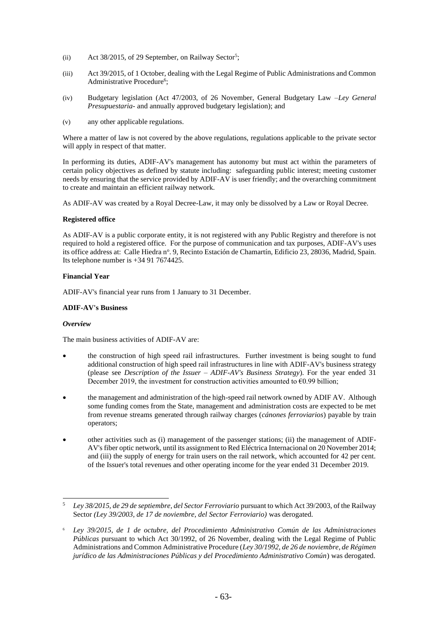- (ii) Act 38/2015, of 29 September, on Railway Sector<sup>5</sup>;
- (iii) Act 39/2015, of 1 October, dealing with the Legal Regime of Public Administrations and Common Administrative Procedure<sup>6</sup>;
- (iv) Budgetary legislation (Act 47/2003, of 26 November, General Budgetary Law –*Ley General Presupuestaria*- and annually approved budgetary legislation); and
- (v) any other applicable regulations.

Where a matter of law is not covered by the above regulations, regulations applicable to the private sector will apply in respect of that matter.

In performing its duties, ADIF-AV's management has autonomy but must act within the parameters of certain policy objectives as defined by statute including: safeguarding public interest; meeting customer needs by ensuring that the service provided by ADIF-AV is user friendly; and the overarching commitment to create and maintain an efficient railway network.

As ADIF-AV was created by a Royal Decree-Law, it may only be dissolved by a Law or Royal Decree.

#### **Registered office**

As ADIF-AV is a public corporate entity, it is not registered with any Public Registry and therefore is not required to hold a registered office. For the purpose of communication and tax purposes, ADIF-AV's uses its office address at: Calle Hiedra nº. 9, Recinto Estación de Chamartín, Edificio 23, 28036, Madrid, Spain. Its telephone number is +34 91 7674425.

#### **Financial Year**

ADIF-AV's financial year runs from 1 January to 31 December.

#### **ADIF-AV's Business**

#### *Overview*

The main business activities of ADIF-AV are:

- the construction of high speed rail infrastructures. Further investment is being sought to fund additional construction of high speed rail infrastructures in line with ADIF-AV's business strategy (please see *Description of the Issuer – ADIF-AV's Business Strategy*). For the year ended 31 December 2019, the investment for construction activities amounted to  $\epsilon$ 0.99 billion;
- the management and administration of the high-speed rail network owned by ADIF AV. Although some funding comes from the State, management and administration costs are expected to be met from revenue streams generated through railway charges (*cánones ferroviarios*) payable by train operators;
- other activities such as (i) management of the passenger stations; (ii) the management of ADIF-AV's fiber optic network, until its assignment to Red Eléctrica Internacional on 20 November 2014; and (iii) the supply of energy for train users on the rail network, which accounted for 42 per cent. of the Issuer's total revenues and other operating income for the year ended 31 December 2019.

<sup>5</sup> *Ley 38/2015, de 29 de septiembre, del Sector Ferroviario* pursuant to which Act 39/2003, of the Railway Sector *(Ley 39/2003, de 17 de noviembre, del Sector Ferroviario)* was derogated.

<sup>6</sup> *Ley 39/2015, de 1 de octubre, del Procedimiento Administrativo Común de las Administraciones Públicas* pursuant to which Act 30/1992, of 26 November, dealing with the Legal Regime of Public Administrations and Common Administrative Procedure (*Ley 30/1992, de 26 de noviembre, de Régimen jurídico de las Administraciones Públicas y del Procedimiento Administrativo Común*) was derogated.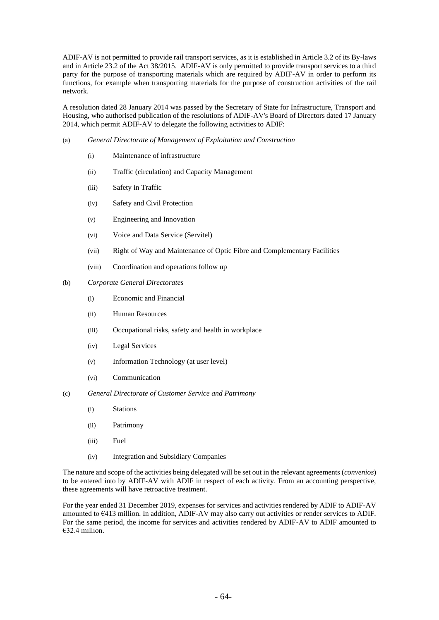ADIF-AV is not permitted to provide rail transport services, as it is established in Article 3.2 of its By-laws and in Article 23.2 of the Act 38/2015. ADIF-AV is only permitted to provide transport services to a third party for the purpose of transporting materials which are required by ADIF-AV in order to perform its functions, for example when transporting materials for the purpose of construction activities of the rail network.

A resolution dated 28 January 2014 was passed by the Secretary of State for Infrastructure, Transport and Housing, who authorised publication of the resolutions of ADIF-AV's Board of Directors dated 17 January 2014, which permit ADIF-AV to delegate the following activities to ADIF:

- (a) *General Directorate of Management of Exploitation and Construction*
	- (i) Maintenance of infrastructure
	- (ii) Traffic (circulation) and Capacity Management
	- (iii) Safety in Traffic
	- (iv) Safety and Civil Protection
	- (v) Engineering and Innovation
	- (vi) Voice and Data Service (Servitel)
	- (vii) Right of Way and Maintenance of Optic Fibre and Complementary Facilities
	- (viii) Coordination and operations follow up
- (b) *Corporate General Directorates*
	- (i) Economic and Financial
	- (ii) Human Resources
	- (iii) Occupational risks, safety and health in workplace
	- (iv) Legal Services
	- (v) Information Technology (at user level)
	- (vi) Communication
- (c) *General Directorate of Customer Service and Patrimony*
	- (i) Stations
	- (ii) Patrimony
	- (iii) Fuel
	- (iv) Integration and Subsidiary Companies

The nature and scope of the activities being delegated will be set out in the relevant agreements (*convenios*) to be entered into by ADIF-AV with ADIF in respect of each activity. From an accounting perspective, these agreements will have retroactive treatment.

For the year ended 31 December 2019, expenses for services and activities rendered by ADIF to ADIF-AV amounted to €413 million. In addition, ADIF-AV may also carry out activities or render services to ADIF. For the same period, the income for services and activities rendered by ADIF-AV to ADIF amounted to €32.4 million.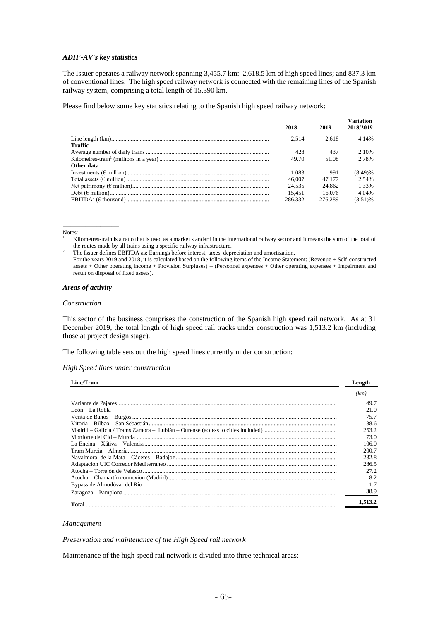#### *ADIF-AV's key statistics*

The Issuer operates a railway network spanning 3,455.7 km: 2,618.5 km of high speed lines; and 837.3 km of conventional lines. The high speed railway network is connected with the remaining lines of the Spanish railway system, comprising a total length of 15,390 km.

Please find below some key statistics relating to the Spanish high speed railway network:

|            | 2018    | 2019    | <b>Variation</b><br>2018/2019 |
|------------|---------|---------|-------------------------------|
|            | 2.514   | 2.618   | 4.14%                         |
| Traffic    |         |         |                               |
|            | 428     | 437     | 2.10%                         |
|            | 49.70   | 51.08   | 2.78%                         |
| Other data |         |         |                               |
|            | 1.083   | 991     | $(8.49)$ %                    |
|            | 46,007  | 47.177  | 2.54%                         |
|            | 24.535  | 24,862  | 1.33%                         |
|            | 15.451  | 16.076  | 4.04%                         |
|            | 286.332 | 276.289 | $(3.51)$ %                    |

Notes:

For the years 2019 and 2018, it is calculated based on the following items of the Income Statement: (Revenue + Self-constructed assets + Other operating income + Provision Surpluses) – (Personnel expenses + Other operating expenses + Impairment and result on disposal of fixed assets).

#### *Areas of activity*

\_\_\_\_\_\_\_\_\_\_\_\_\_\_\_

#### *Construction*

This sector of the business comprises the construction of the Spanish high speed rail network. As at 31 December 2019, the total length of high speed rail tracks under construction was 1,513.2 km (including those at project design stage).

The following table sets out the high speed lines currently under construction:

#### *High Speed lines under construction*

| Line/Tram                   | Length  |
|-----------------------------|---------|
|                             | (km)    |
|                             | 49.7    |
| León $-La$ Robla            | 21.0    |
|                             | 75.7    |
|                             | 138.6   |
|                             | 253.2   |
|                             | 73.0    |
|                             | 106.0   |
|                             | 200.7   |
|                             | 232.8   |
|                             | 286.5   |
|                             | 27.2    |
|                             | 8.2     |
| Bypass de Almodóvar del Río |         |
|                             | 38.9    |
|                             | 1,513.2 |

#### *Management*

*Preservation and maintenance of the High Speed rail network*

Maintenance of the high speed rail network is divided into three technical areas:

<sup>1.</sup> Kilometres-train is a ratio that is used as a market standard in the international railway sector and it means the sum of the total of the routes made by all trains using a specific railway infrastructure.

<sup>&</sup>lt;sup>2.</sup> The Issuer defines EBITDA as: Earnings before interest, taxes, depreciation and amortization.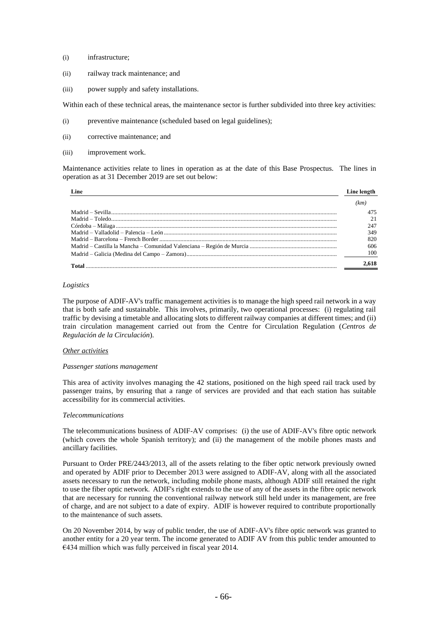- (i) infrastructure;
- (ii) railway track maintenance; and
- (iii) power supply and safety installations.

Within each of these technical areas, the maintenance sector is further subdivided into three key activities:

- (i) preventive maintenance (scheduled based on legal guidelines);
- (ii) corrective maintenance; and
- (iii) improvement work.

Maintenance activities relate to lines in operation as at the date of this Base Prospectus. The lines in operation as at 31 December 2019 are set out below:

| Line  | Line length |
|-------|-------------|
|       |             |
|       |             |
|       |             |
|       | 247         |
|       | 349         |
|       | 820         |
|       | 606         |
|       | 100         |
| Total |             |

#### *Logistics*

The purpose of ADIF-AV's traffic management activities is to manage the high speed rail network in a way that is both safe and sustainable. This involves, primarily, two operational processes: (i) regulating rail traffic by devising a timetable and allocating slots to different railway companies at different times; and (ii) train circulation management carried out from the Centre for Circulation Regulation (*Centros de Regulación de la Circulación*).

#### *Other activities*

#### *Passenger stations management*

This area of activity involves managing the 42 stations, positioned on the high speed rail track used by passenger trains, by ensuring that a range of services are provided and that each station has suitable accessibility for its commercial activities.

#### *Telecommunications*

The telecommunications business of ADIF-AV comprises: (i) the use of ADIF-AV's fibre optic network (which covers the whole Spanish territory); and (ii) the management of the mobile phones masts and ancillary facilities.

Pursuant to Order PRE/2443/2013, all of the assets relating to the fiber optic network previously owned and operated by ADIF prior to December 2013 were assigned to ADIF-AV, along with all the associated assets necessary to run the network, including mobile phone masts, although ADIF still retained the right to use the fiber optic network. ADIF's right extends to the use of any of the assets in the fibre optic network that are necessary for running the conventional railway network still held under its management, are free of charge, and are not subject to a date of expiry. ADIF is however required to contribute proportionally to the maintenance of such assets.

On 20 November 2014, by way of public tender, the use of ADIF-AV's fibre optic network was granted to another entity for a 20 year term. The income generated to ADIF AV from this public tender amounted to €434 million which was fully perceived in fiscal year 2014.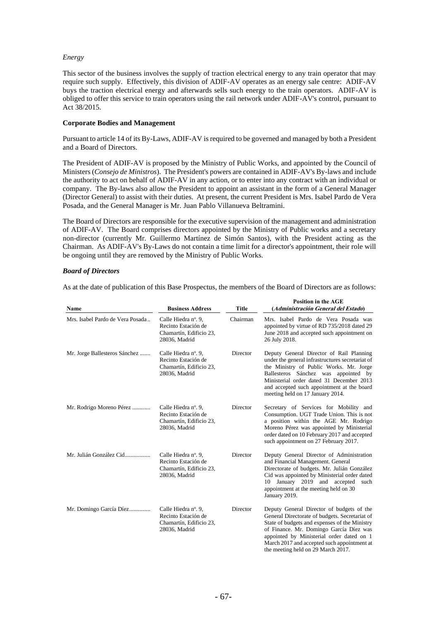#### *Energy*

This sector of the business involves the supply of traction electrical energy to any train operator that may require such supply. Effectively, this division of ADIF-AV operates as an energy sale centre: ADIF-AV buys the traction electrical energy and afterwards sells such energy to the train operators. ADIF-AV is obliged to offer this service to train operators using the rail network under ADIF-AV's control, pursuant to Act 38/2015.

#### **Corporate Bodies and Management**

Pursuant to article 14 of its By-Laws, ADIF-AV is required to be governed and managed by both a President and a Board of Directors.

The President of ADIF-AV is proposed by the Ministry of Public Works, and appointed by the Council of Ministers (*Consejo de Ministros*). The President's powers are contained in ADIF-AV's By-laws and include the authority to act on behalf of ADIF-AV in any action, or to enter into any contract with an individual or company. The By-laws also allow the President to appoint an assistant in the form of a General Manager (Director General) to assist with their duties. At present, the current President is Mrs. Isabel Pardo de Vera Posada, and the General Manager is Mr. Juan Pablo Villanueva Beltramini.

The Board of Directors are responsible for the executive supervision of the management and administration of ADIF-AV. The Board comprises directors appointed by the Ministry of Public works and a secretary non-director (currently Mr. Guillermo Martínez de Simón Santos), with the President acting as the Chairman. As ADIF-AV's By-Laws do not contain a time limit for a director's appointment, their role will be ongoing until they are removed by the Ministry of Public Works.

#### *Board of Directors*

As at the date of publication of this Base Prospectus, the members of the Board of Directors are as follows:

| Name                             | <b>Title</b><br><b>Business Address</b>                                                |          | <b>Position in the AGE</b><br>(Administración General del Estado)                                                                                                                                                                                                                                                         |  |  |
|----------------------------------|----------------------------------------------------------------------------------------|----------|---------------------------------------------------------------------------------------------------------------------------------------------------------------------------------------------------------------------------------------------------------------------------------------------------------------------------|--|--|
| Mrs. Isabel Pardo de Vera Posada | Calle Hiedra nº. 9,<br>Recinto Estación de<br>Chamartín, Edificio 23,<br>28036, Madrid | Chairman | Mrs. Isabel Pardo de Vera Posada was<br>appointed by virtue of RD 735/2018 dated 29<br>June 2018 and accepted such appointment on<br>26 July 2018.                                                                                                                                                                        |  |  |
| Mr. Jorge Ballesteros Sánchez    | Calle Hiedra nº. 9,<br>Recinto Estación de<br>Chamartín, Edificio 23,<br>28036, Madrid | Director | Deputy General Director of Rail Planning<br>under the general infrastructures secretariat of<br>the Ministry of Public Works. Mr. Jorge<br>Ballesteros Sánchez was appointed by<br>Ministerial order dated 31 December 2013<br>and accepted such appointment at the board<br>meeting held on 17 January 2014.             |  |  |
| Mr. Rodrigo Moreno Pérez         | Calle Hiedra nº. 9,<br>Recinto Estación de<br>Chamartín, Edificio 23,<br>28036, Madrid | Director | Secretary of Services for Mobility and<br>Consumption. UGT Trade Union. This is not<br>a position within the AGE Mr. Rodrigo<br>Moreno Pérez was appointed by Ministerial<br>order dated on 10 February 2017 and accepted<br>such appointment on 27 February 2017.                                                        |  |  |
| Mr. Julián González Cid          | Calle Hiedra nº. 9,<br>Recinto Estación de<br>Chamartín, Edificio 23,<br>28036, Madrid | Director | Deputy General Director of Administration<br>and Financial Management. General<br>Directorate of budgets. Mr. Julián González<br>Cid was appointed by Ministerial order dated<br>January 2019 and accepted<br>such<br>10<br>appointment at the meeting held on 30<br>January 2019.                                        |  |  |
| Mr. Domingo García Díez          | Calle Hiedra nº. 9,<br>Recinto Estación de<br>Chamartín, Edificio 23,<br>28036, Madrid | Director | Deputy General Director of budgets of the<br>General Directorate of budgets. Secretariat of<br>State of budgets and expenses of the Ministry<br>of Finance. Mr. Domingo García Díez was<br>appointed by Ministerial order dated on 1<br>March 2017 and accepted such appointment at<br>the meeting held on 29 March 2017. |  |  |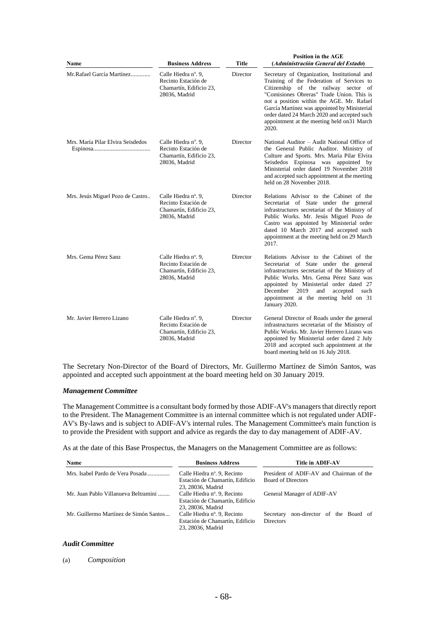| <b>Name</b>                       | <b>Title</b><br><b>Business Address</b>                                                |          | <b>Position in the AGE</b><br>(Administración General del Estado)                                                                                                                                                                                                                                                                                                                  |  |  |
|-----------------------------------|----------------------------------------------------------------------------------------|----------|------------------------------------------------------------------------------------------------------------------------------------------------------------------------------------------------------------------------------------------------------------------------------------------------------------------------------------------------------------------------------------|--|--|
| Mr. Rafael García Martínez        | Calle Hiedra n°. 9.<br>Recinto Estación de<br>Chamartín, Edificio 23,<br>28036, Madrid | Director | Secretary of Organization, Institutional and<br>Training of the Federation of Services to<br>Citizenship of the railway sector of<br>"Comisiones Obreras" Trade Union. This is<br>not a position within the AGE. Mr. Rafael<br>García Martínez was appointed by Ministerial<br>order dated 24 March 2020 and accepted such<br>appointment at the meeting held on 31 March<br>2020. |  |  |
| Mrs. María Pilar Elvira Seisdedos | Calle Hiedra nº. 9,<br>Recinto Estación de<br>Chamartín, Edificio 23,<br>28036, Madrid | Director | National Auditor – Audit National Office of<br>the General Public Auditor. Ministry of<br>Culture and Sports. Mrs. María Pilar Elvira<br>Seisdedos Espinosa was appointed by<br>Ministerial order dated 19 November 2018<br>and accepted such appointment at the meeting<br>held on 28 November 2018.                                                                              |  |  |
| Mrs. Jesús Miguel Pozo de Castro  | Calle Hiedra nº. 9,<br>Recinto Estación de<br>Chamartín, Edificio 23,<br>28036, Madrid | Director | Relations Advisor to the Cabinet of the<br>Secretariat of State under the general<br>infrastructures secretariat of the Ministry of<br>Public Works. Mr. Jesús Miguel Pozo de<br>Castro was appointed by Ministerial order<br>dated 10 March 2017 and accepted such<br>appointment at the meeting held on 29 March<br>2017.                                                        |  |  |
| Mrs. Gema Pérez Sanz              | Calle Hiedra n°. 9.<br>Recinto Estación de<br>Chamartín, Edificio 23,<br>28036, Madrid | Director | Relations Advisor to the Cabinet of the<br>Secretariat of State under the general<br>infrastructures secretariat of the Ministry of<br>Public Works, Mrs. Gema Pérez Sanz was<br>appointed by Ministerial order dated 27<br>December 2019<br>and<br>accepted<br>such<br>appointment at the meeting held on 31<br>January 2020.                                                     |  |  |
| Mr. Javier Herrero Lizano         | Calle Hiedra nº. 9,<br>Recinto Estación de<br>Chamartín, Edificio 23,<br>28036, Madrid | Director | General Director of Roads under the general<br>infrastructures secretariat of the Ministry of<br>Public Works. Mr. Javier Herrero Lizano was<br>appointed by Ministerial order dated 2 July<br>2018 and accepted such appointment at the<br>board meeting held on 16 July 2018.                                                                                                    |  |  |

The Secretary Non-Director of the Board of Directors, Mr. Guillermo Martínez de Simón Santos, was appointed and accepted such appointment at the board meeting held on 30 January 2019.

#### *Management Committee*

The Management Committee is a consultant body formed by those ADIF-AV's managers that directly report to the President. The Management Committee is an internal committee which is not regulated under ADIF-AV's By-laws and is subject to ADIF-AV's internal rules. The Management Committee's main function is to provide the President with support and advice as regards the day to day management of ADIF-AV.

As at the date of this Base Prospectus, the Managers on the Management Committee are as follows:

| <b>Name</b>                            | <b>Business Address</b>                                                             | <b>Title in ADIF-AV</b>                                               |  |  |
|----------------------------------------|-------------------------------------------------------------------------------------|-----------------------------------------------------------------------|--|--|
| Mrs. Isabel Pardo de Vera Posada       | Calle Hiedra nº. 9, Recinto<br>Estación de Chamartín, Edificio<br>23, 28036, Madrid | President of ADIF-AV and Chairman of the<br><b>Board of Directors</b> |  |  |
| Mr. Juan Pablo Villanueva Beltramini   | Calle Hiedra nº. 9, Recinto<br>Estación de Chamartín, Edificio<br>23, 28036, Madrid | General Manager of ADIF-AV                                            |  |  |
| Mr. Guillermo Martínez de Simón Santos | Calle Hiedra nº. 9, Recinto<br>Estación de Chamartín, Edificio<br>23, 28036. Madrid | non-director of the Board of<br>Secretary<br><b>Directors</b>         |  |  |

#### *Audit Committee*

(a) *Composition*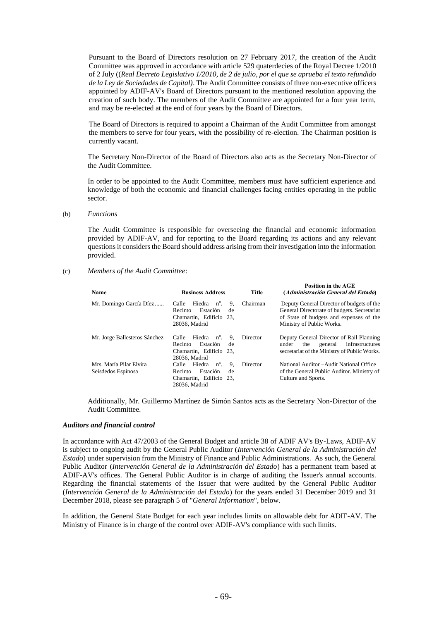Pursuant to the Board of Directors resolution on 27 February 2017, the creation of the Audit Committee was approved in accordance with article 529 quaterdecies of the Royal Decree 1/2010 of 2 July ((*Real Decreto Legislativo 1/2010, de 2 de julio, por el que se aprueba el texto refundido de la Ley de Sociedades de Capital)*. The Audit Committee consists of three non-executive officers appointed by ADIF-AV's Board of Directors pursuant to the mentioned resolution appoving the creation of such body. The members of the Audit Committee are appointed for a four year term, and may be re-elected at the end of four years by the Board of Directors.

The Board of Directors is required to appoint a Chairman of the Audit Committee from amongst the members to serve for four years, with the possibility of re-election. The Chairman position is currently vacant.

The Secretary Non-Director of the Board of Directors also acts as the Secretary Non-Director of the Audit Committee.

In order to be appointed to the Audit Committee, members must have sufficient experience and knowledge of both the economic and financial challenges facing entities operating in the public sector.

#### (b) *Functions*

The Audit Committee is responsible for overseeing the financial and economic information provided by ADIF-AV, and for reporting to the Board regarding its actions and any relevant questions it considers the Board should address arising from their investigation into the information provided.

#### (c) *Members of the Audit Committee*:

| Name                                          | <b>Business Address</b>                                                                                         | Title    | <b>Position in the AGE</b><br>(Administración General del Estado)<br>Deputy General Director of budgets of the<br>General Directorate of budgets. Secretariat<br>of State of budgets and expenses of the<br>Ministry of Public Works. |  |
|-----------------------------------------------|-----------------------------------------------------------------------------------------------------------------|----------|---------------------------------------------------------------------------------------------------------------------------------------------------------------------------------------------------------------------------------------|--|
| Mr. Domingo García Díez                       | Hiedra<br>$n^{\circ}$ .<br>9.<br>Calle<br>Recinto<br>Estación<br>de<br>Chamartín, Edificio 23.<br>28036, Madrid | Chairman |                                                                                                                                                                                                                                       |  |
| Mr. Jorge Ballesteros Sánchez                 | 9.<br>Calle<br>Hiedra n <sup>o</sup> .<br>Estación<br>Recinto<br>de<br>Chamartín, Edificio 23.<br>28036. Madrid | Director | Deputy General Director of Rail Planning<br>infrastructures<br>under<br>the<br>general<br>secretariat of the Ministry of Public Works.                                                                                                |  |
| Mrs. María Pilar Elvira<br>Seisdedos Espinosa | Hiedra<br>$n^{\circ}$ .<br>9.<br>Calle<br>Estación<br>de<br>Recinto<br>Chamartín, Edificio 23,<br>28036. Madrid | Director | National Auditor – Audit National Office<br>of the General Public Auditor. Ministry of<br>Culture and Sports.                                                                                                                         |  |

Additionally, Mr. Guillermo Martínez de Simón Santos acts as the Secretary Non-Director of the Audit Committee.

#### *Auditors and financial control*

In accordance with Act 47/2003 of the General Budget and article 38 of ADIF AV's By-Laws, ADIF-AV is subject to ongoing audit by the General Public Auditor (*Intervención General de la Administración del Estado*) under supervision from the Ministry of Finance and Public Administrations. As such, the General Public Auditor (*Intervención General de la Administración del Estado*) has a permanent team based at ADIF-AV's offices. The General Public Auditor is in charge of auditing the Issuer's annual accounts. Regarding the financial statements of the Issuer that were audited by the General Public Auditor (*Intervención General de la Administración del Estado*) for the years ended 31 December 2019 and 31 December 2018, please see paragraph 5 of "*General Information*", below.

In addition, the General State Budget for each year includes limits on allowable debt for ADIF-AV. The Ministry of Finance is in charge of the control over ADIF-AV's compliance with such limits.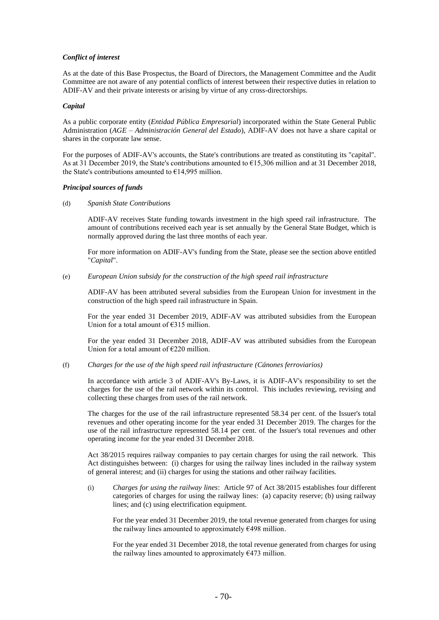#### *Conflict of interest*

As at the date of this Base Prospectus, the Board of Directors, the Management Committee and the Audit Committee are not aware of any potential conflicts of interest between their respective duties in relation to ADIF-AV and their private interests or arising by virtue of any cross-directorships.

#### *Capital*

As a public corporate entity (*Entidad Pública Empresarial*) incorporated within the State General Public Administration (*AGE – Administración General del Estado*), ADIF-AV does not have a share capital or shares in the corporate law sense.

For the purposes of ADIF-AV's accounts, the State's contributions are treated as constituting its "capital". As at 31 December 2019, the State's contributions amounted to €15,306 million and at 31 December 2018, the State's contributions amounted to  $\epsilon$ 14,995 million.

#### *Principal sources of funds*

(d) *Spanish State Contributions*

ADIF-AV receives State funding towards investment in the high speed rail infrastructure. The amount of contributions received each year is set annually by the General State Budget, which is normally approved during the last three months of each year.

For more information on ADIF-AV's funding from the State, please see the section above entitled "*Capital*".

(e) *European Union subsidy for the construction of the high speed rail infrastructure*

ADIF-AV has been attributed several subsidies from the European Union for investment in the construction of the high speed rail infrastructure in Spain.

For the year ended 31 December 2019, ADIF-AV was attributed subsidies from the European Union for a total amount of €315 million.

For the year ended 31 December 2018, ADIF-AV was attributed subsidies from the European Union for a total amount of €220 million.

#### (f) *Charges for the use of the high speed rail infrastructure (Cánones ferroviarios)*

In accordance with article 3 of ADIF-AV's By-Laws, it is ADIF-AV's responsibility to set the charges for the use of the rail network within its control. This includes reviewing, revising and collecting these charges from uses of the rail network.

The charges for the use of the rail infrastructure represented 58.34 per cent. of the Issuer's total revenues and other operating income for the year ended 31 December 2019. The charges for the use of the rail infrastructure represented 58.14 per cent. of the Issuer's total revenues and other operating income for the year ended 31 December 2018.

Act 38/2015 requires railway companies to pay certain charges for using the rail network. This Act distinguishes between: (i) charges for using the railway lines included in the railway system of general interest; and (ii) charges for using the stations and other railway facilities.

(i) *Charges for using the railway lines*: Article 97 of Act 38/2015 establishes four different categories of charges for using the railway lines: (a) capacity reserve; (b) using railway lines; and (c) using electrification equipment.

For the year ended 31 December 2019, the total revenue generated from charges for using the railway lines amounted to approximately  $\epsilon$ 498 million.

For the year ended 31 December 2018, the total revenue generated from charges for using the railway lines amounted to approximately  $E$ 473 million.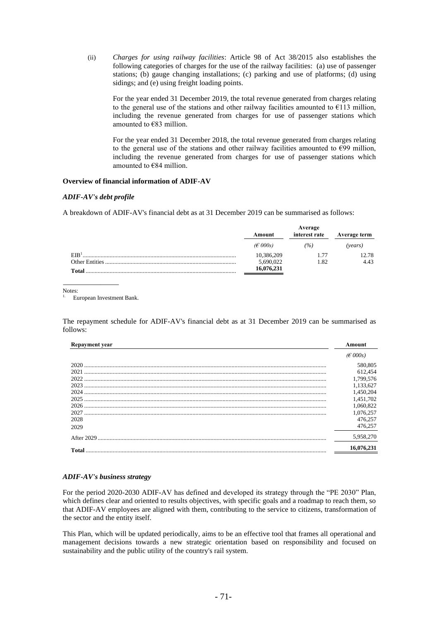(ii) *Charges for using railway facilities*: Article 98 of Act 38/2015 also establishes the following categories of charges for the use of the railway facilities: (a) use of passenger stations; (b) gauge changing installations; (c) parking and use of platforms; (d) using sidings; and (e) using freight loading points.

For the year ended 31 December 2019, the total revenue generated from charges relating to the general use of the stations and other railway facilities amounted to  $E113$  million, including the revenue generated from charges for use of passenger stations which amounted to €83 million.

For the year ended 31 December 2018, the total revenue generated from charges relating to the general use of the stations and other railway facilities amounted to  $\epsilon$ 99 million, including the revenue generated from charges for use of passenger stations which amounted to €84 million.

#### **Overview of financial information of ADIF-AV**

#### *ADIF-AV's debt profile*

A breakdown of ADIF-AV's financial debt as at 31 December 2019 can be summarised as follows:

|                  | Average     |               |              |  |
|------------------|-------------|---------------|--------------|--|
|                  | Amount      | interest rate | Average term |  |
|                  | $(E\,000s)$ | (9/6)         | (vears)      |  |
| EIB <sup>1</sup> | 10,386,209  | 1.77          | 12.78        |  |
| Other Entities.  | 5,690,022   | 1.82          | 4.43         |  |
| <b>Total</b>     | 16,076,231  |               |              |  |

Notes:

European Investment Bank.

\_\_\_\_\_\_\_\_\_\_\_\_\_\_\_

The repayment schedule for ADIF-AV's financial debt as at 31 December 2019 can be summarised as follows:

| <b>Repayment year</b> | Amount      |
|-----------------------|-------------|
|                       | $(E\,000s)$ |
| 2020                  | 580,805     |
| 2021                  | 612,454     |
| 2022                  | 1,799,576   |
| 2023                  | 1,133,627   |
|                       | 1,450,204   |
|                       | 1,451,702   |
| 2026                  | 1,060,822   |
| 2027                  | 1,076,257   |
| 2028                  | 476.257     |
| 2029                  | 476.257     |
|                       | 5,958,270   |
| Total                 | 16,076,231  |
|                       |             |

#### *ADIF-AV's business strategy*

For the period 2020-2030 ADIF-AV has defined and developed its strategy through the "PE 2030" Plan, which defines clear and oriented to results objectives, with specific goals and a roadmap to reach them, so that ADIF-AV employees are aligned with them, contributing to the service to citizens, transformation of the sector and the entity itself.

This Plan, which will be updated periodically, aims to be an effective tool that frames all operational and management decisions towards a new strategic orientation based on responsibility and focused on sustainability and the public utility of the country's rail system.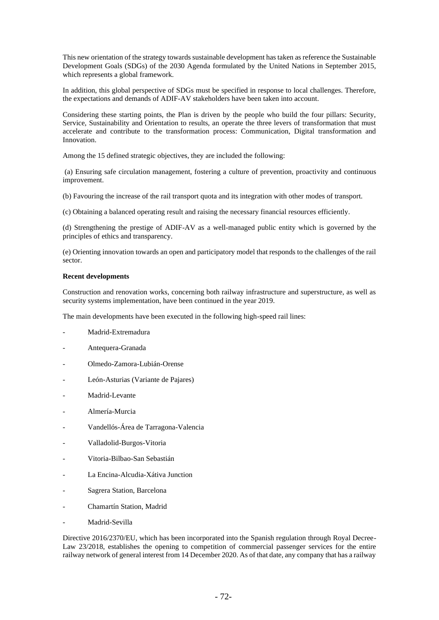This new orientation of the strategy towards sustainable development has taken as reference the Sustainable Development Goals (SDGs) of the 2030 Agenda formulated by the United Nations in September 2015, which represents a global framework.

In addition, this global perspective of SDGs must be specified in response to local challenges. Therefore, the expectations and demands of ADIF-AV stakeholders have been taken into account.

Considering these starting points, the Plan is driven by the people who build the four pillars: Security, Service, Sustainability and Orientation to results, an operate the three levers of transformation that must accelerate and contribute to the transformation process: Communication, Digital transformation and Innovation.

Among the 15 defined strategic objectives, they are included the following:

(a) Ensuring safe circulation management, fostering a culture of prevention, proactivity and continuous improvement.

(b) Favouring the increase of the rail transport quota and its integration with other modes of transport.

(c) Obtaining a balanced operating result and raising the necessary financial resources efficiently.

(d) Strengthening the prestige of ADIF-AV as a well-managed public entity which is governed by the principles of ethics and transparency.

(e) Orienting innovation towards an open and participatory model that responds to the challenges of the rail sector.

#### **Recent developments**

Construction and renovation works, concerning both railway infrastructure and superstructure, as well as security systems implementation, have been continued in the year 2019.

The main developments have been executed in the following high-speed rail lines:

- Madrid-Extremadura
- Antequera-Granada
- Olmedo-Zamora-Lubián-Orense
- León-Asturias (Variante de Pajares)
- Madrid-Levante
- Almería-Murcia
- Vandellós-Área de Tarragona-Valencia
- Valladolid-Burgos-Vitoria
- Vitoria-Bilbao-San Sebastián
- La Encina-Alcudia-Xátiva Junction
- Sagrera Station, Barcelona
- Chamartín Station, Madrid
- Madrid-Sevilla

Directive 2016/2370/EU, which has been incorporated into the Spanish regulation through Royal Decree-Law 23/2018, establishes the opening to competition of commercial passenger services for the entire railway network of general interest from 14 December 2020. As of that date, any company that has a railway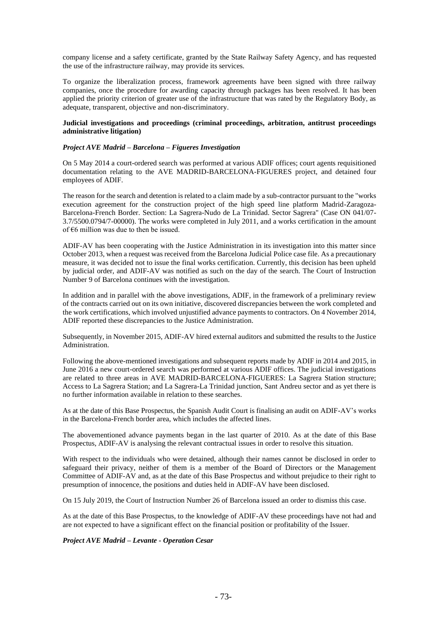company license and a safety certificate, granted by the State Railway Safety Agency, and has requested the use of the infrastructure railway, may provide its services.

To organize the liberalization process, framework agreements have been signed with three railway companies, once the procedure for awarding capacity through packages has been resolved. It has been applied the priority criterion of greater use of the infrastructure that was rated by the Regulatory Body, as adequate, transparent, objective and non-discriminatory.

## **Judicial investigations and proceedings (criminal proceedings, arbitration, antitrust proceedings administrative litigation)**

## *Project AVE Madrid – Barcelona – Figueres Investigation*

On 5 May 2014 a court-ordered search was performed at various ADIF offices; court agents requisitioned documentation relating to the AVE MADRID-BARCELONA-FIGUERES project, and detained four employees of ADIF.

The reason for the search and detention is related to a claim made by a sub-contractor pursuant to the "works execution agreement for the construction project of the high speed line platform Madrid-Zaragoza-Barcelona-French Border. Section: La Sagrera-Nudo de La Trinidad. Sector Sagrera" (Case ON 041/07- 3.7/5500.0794/7-00000). The works were completed in July 2011, and a works certification in the amount of  $\epsilon$ 6 million was due to then be issued.

ADIF-AV has been cooperating with the Justice Administration in its investigation into this matter since October 2013, when a request was received from the Barcelona Judicial Police case file. As a precautionary measure, it was decided not to issue the final works certification. Currently, this decision has been upheld by judicial order, and ADIF-AV was notified as such on the day of the search. The Court of Instruction Number 9 of Barcelona continues with the investigation.

In addition and in parallel with the above investigations, ADIF, in the framework of a preliminary review of the contracts carried out on its own initiative, discovered discrepancies between the work completed and the work certifications, which involved unjustified advance payments to contractors. On 4 November 2014, ADIF reported these discrepancies to the Justice Administration.

Subsequently, in November 2015, ADIF-AV hired external auditors and submitted the results to the Justice Administration.

Following the above-mentioned investigations and subsequent reports made by ADIF in 2014 and 2015, in June 2016 a new court-ordered search was performed at various ADIF offices. The judicial investigations are related to three areas in AVE MADRID-BARCELONA-FIGUERES: La Sagrera Station structure; Access to La Sagrera Station; and La Sagrera-La Trinidad junction, Sant Andreu sector and as yet there is no further information available in relation to these searches.

As at the date of this Base Prospectus, the Spanish Audit Court is finalising an audit on ADIF-AV's works in the Barcelona-French border area, which includes the affected lines.

The abovementioned advance payments began in the last quarter of 2010. As at the date of this Base Prospectus, ADIF-AV is analysing the relevant contractual issues in order to resolve this situation.

With respect to the individuals who were detained, although their names cannot be disclosed in order to safeguard their privacy, neither of them is a member of the Board of Directors or the Management Committee of ADIF-AV and, as at the date of this Base Prospectus and without prejudice to their right to presumption of innocence, the positions and duties held in ADIF-AV have been disclosed.

On 15 July 2019, the Court of Instruction Number 26 of Barcelona issued an order to dismiss this case.

As at the date of this Base Prospectus, to the knowledge of ADIF-AV these proceedings have not had and are not expected to have a significant effect on the financial position or profitability of the Issuer.

#### *Project AVE Madrid – Levante - Operation Cesar*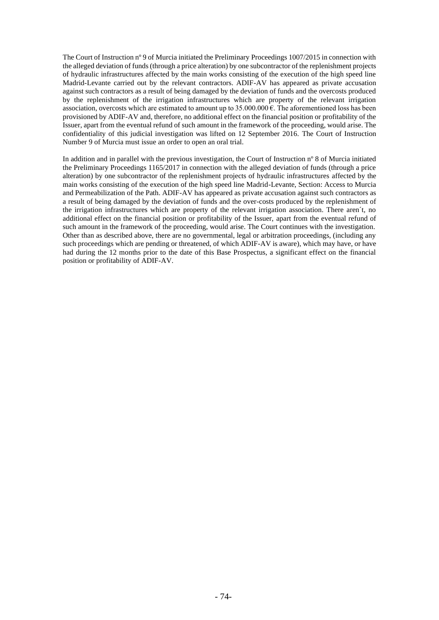The Court of Instruction nº 9 of Murcia initiated the Preliminary Proceedings 1007/2015 in connection with the alleged deviation of funds (through a price alteration) by one subcontractor of the replenishment projects of hydraulic infrastructures affected by the main works consisting of the execution of the high speed line Madrid-Levante carried out by the relevant contractors. ADIF-AV has appeared as private accusation against such contractors as a result of being damaged by the deviation of funds and the overcosts produced by the replenishment of the irrigation infrastructures which are property of the relevant irrigation association, overcosts which are estimated to amount up to  $35.000.000 \text{ }\epsilon$ . The aforementioned loss has been provisioned by ADIF-AV and, therefore, no additional effect on the financial position or profitability of the Issuer, apart from the eventual refund of such amount in the framework of the proceeding, would arise. The confidentiality of this judicial investigation was lifted on 12 September 2016. The Court of Instruction Number 9 of Murcia must issue an order to open an oral trial.

In addition and in parallel with the previous investigation, the Court of Instruction nº 8 of Murcia initiated the Preliminary Proceedings 1165/2017 in connection with the alleged deviation of funds (through a price alteration) by one subcontractor of the replenishment projects of hydraulic infrastructures affected by the main works consisting of the execution of the high speed line Madrid-Levante, Section: Access to Murcia and Permeabilization of the Path. ADIF-AV has appeared as private accusation against such contractors as a result of being damaged by the deviation of funds and the over-costs produced by the replenishment of the irrigation infrastructures which are property of the relevant irrigation association. There aren´t, no additional effect on the financial position or profitability of the Issuer, apart from the eventual refund of such amount in the framework of the proceeding, would arise. The Court continues with the investigation. Other than as described above, there are no governmental, legal or arbitration proceedings, (including any such proceedings which are pending or threatened, of which ADIF-AV is aware), which may have, or have had during the 12 months prior to the date of this Base Prospectus, a significant effect on the financial position or profitability of ADIF-AV.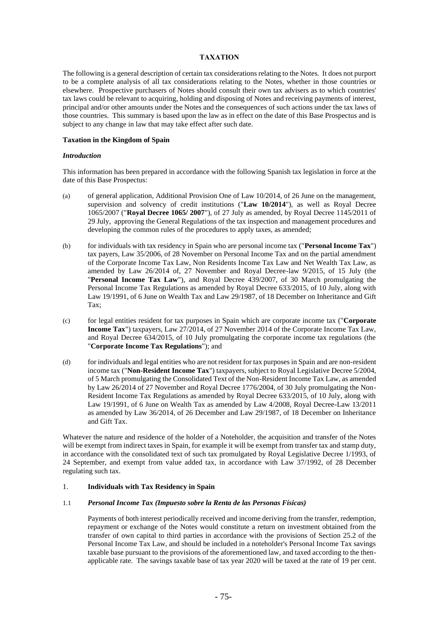## **TAXATION**

The following is a general description of certain tax considerations relating to the Notes. It does not purport to be a complete analysis of all tax considerations relating to the Notes, whether in those countries or elsewhere. Prospective purchasers of Notes should consult their own tax advisers as to which countries' tax laws could be relevant to acquiring, holding and disposing of Notes and receiving payments of interest, principal and/or other amounts under the Notes and the consequences of such actions under the tax laws of those countries. This summary is based upon the law as in effect on the date of this Base Prospectus and is subject to any change in law that may take effect after such date.

## **Taxation in the Kingdom of Spain**

#### *Introduction*

This information has been prepared in accordance with the following Spanish tax legislation in force at the date of this Base Prospectus:

- (a) of general application, Additional Provision One of Law 10/2014, of 26 June on the management, supervision and solvency of credit institutions ("**Law 10/2014**"), as well as Royal Decree 1065/2007 ("**Royal Decree 1065/ 2007**"), of 27 July as amended, by Royal Decree 1145/2011 of 29 July, approving the General Regulations of the tax inspection and management procedures and developing the common rules of the procedures to apply taxes, as amended;
- (b) for individuals with tax residency in Spain who are personal income tax ("**Personal Income Tax**") tax payers, Law 35/2006, of 28 November on Personal Income Tax and on the partial amendment of the Corporate Income Tax Law, Non Residents Income Tax Law and Net Wealth Tax Law, as amended by Law 26/2014 of, 27 November and Royal Decree-law 9/2015, of 15 July (the "**Personal Income Tax Law**"), and Royal Decree 439/2007, of 30 March promulgating the Personal Income Tax Regulations as amended by Royal Decree 633/2015, of 10 July, along with Law 19/1991, of 6 June on Wealth Tax and Law 29/1987, of 18 December on Inheritance and Gift Tax;
- (c) for legal entities resident for tax purposes in Spain which are corporate income tax ("**Corporate Income Tax**") taxpayers, Law 27/2014, of 27 November 2014 of the Corporate Income Tax Law, and Royal Decree 634/2015, of 10 July promulgating the corporate income tax regulations (the "**Corporate Income Tax Regulations**"); and
- (d) for individuals and legal entities who are not resident for tax purposes in Spain and are non-resident income tax ("**Non-Resident Income Tax**") taxpayers, subject to Royal Legislative Decree 5/2004, of 5 March promulgating the Consolidated Text of the Non-Resident Income Tax Law, as amended by Law 26/2014 of 27 November and Royal Decree 1776/2004, of 30 July promulgating the Non-Resident Income Tax Regulations as amended by Royal Decree 633/2015, of 10 July, along with Law 19/1991, of 6 June on Wealth Tax as amended by Law 4/2008, Royal Decree-Law 13/2011 as amended by Law 36/2014, of 26 December and Law 29/1987, of 18 December on Inheritance and Gift Tax.

Whatever the nature and residence of the holder of a Noteholder, the acquisition and transfer of the Notes will be exempt from indirect taxes in Spain, for example it will be exempt from transfer tax and stamp duty, in accordance with the consolidated text of such tax promulgated by Royal Legislative Decree 1/1993, of 24 September, and exempt from value added tax, in accordance with Law 37/1992, of 28 December regulating such tax.

## 1. **Individuals with Tax Residency in Spain**

## 1.1 *Personal Income Tax (Impuesto sobre la Renta de las Personas Físicas)*

Payments of both interest periodically received and income deriving from the transfer, redemption, repayment or exchange of the Notes would constitute a return on investment obtained from the transfer of own capital to third parties in accordance with the provisions of Section 25.2 of the Personal Income Tax Law, and should be included in a noteholder's Personal Income Tax savings taxable base pursuant to the provisions of the aforementioned law, and taxed according to the thenapplicable rate. The savings taxable base of tax year 2020 will be taxed at the rate of 19 per cent.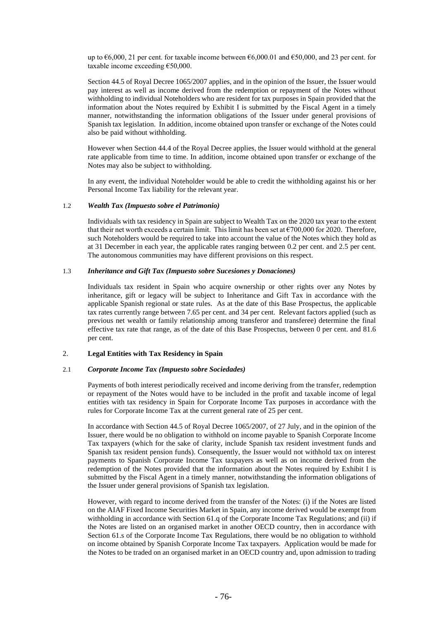up to  $\epsilon$ 6,000, 21 per cent. for taxable income between  $\epsilon$ 6,000.01 and  $\epsilon$ 50,000, and 23 per cent. for taxable income exceeding €50,000.

Section 44.5 of Royal Decree 1065/2007 applies, and in the opinion of the Issuer, the Issuer would pay interest as well as income derived from the redemption or repayment of the Notes without withholding to individual Noteholders who are resident for tax purposes in Spain provided that the information about the Notes required by Exhibit I is submitted by the Fiscal Agent in a timely manner, notwithstanding the information obligations of the Issuer under general provisions of Spanish tax legislation. In addition, income obtained upon transfer or exchange of the Notes could also be paid without withholding.

However when Section 44.4 of the Royal Decree applies, the Issuer would withhold at the general rate applicable from time to time. In addition, income obtained upon transfer or exchange of the Notes may also be subject to withholding.

In any event, the individual Noteholder would be able to credit the withholding against his or her Personal Income Tax liability for the relevant year.

#### 1.2 *Wealth Tax (Impuesto sobre el Patrimonio)*

Individuals with tax residency in Spain are subject to Wealth Tax on the 2020 tax year to the extent that their net worth exceeds a certain limit. This limit has been set at  $\epsilon$ 700,000 for 2020. Therefore, such Noteholders would be required to take into account the value of the Notes which they hold as at 31 December in each year, the applicable rates ranging between 0.2 per cent. and 2.5 per cent. The autonomous communities may have different provisions on this respect.

#### 1.3 *Inheritance and Gift Tax (Impuesto sobre Sucesiones y Donaciones)*

Individuals tax resident in Spain who acquire ownership or other rights over any Notes by inheritance, gift or legacy will be subject to Inheritance and Gift Tax in accordance with the applicable Spanish regional or state rules. As at the date of this Base Prospectus, the applicable tax rates currently range between 7.65 per cent. and 34 per cent. Relevant factors applied (such as previous net wealth or family relationship among transferor and transferee) determine the final effective tax rate that range, as of the date of this Base Prospectus, between 0 per cent. and 81.6 per cent.

## 2. **Legal Entities with Tax Residency in Spain**

#### 2.1 *Corporate Income Tax (Impuesto sobre Sociedades)*

Payments of both interest periodically received and income deriving from the transfer, redemption or repayment of the Notes would have to be included in the profit and taxable income of legal entities with tax residency in Spain for Corporate Income Tax purposes in accordance with the rules for Corporate Income Tax at the current general rate of 25 per cent.

In accordance with Section 44.5 of Royal Decree 1065/2007, of 27 July, and in the opinion of the Issuer, there would be no obligation to withhold on income payable to Spanish Corporate Income Tax taxpayers (which for the sake of clarity, include Spanish tax resident investment funds and Spanish tax resident pension funds). Consequently, the Issuer would not withhold tax on interest payments to Spanish Corporate Income Tax taxpayers as well as on income derived from the redemption of the Notes provided that the information about the Notes required by Exhibit I is submitted by the Fiscal Agent in a timely manner, notwithstanding the information obligations of the Issuer under general provisions of Spanish tax legislation.

However, with regard to income derived from the transfer of the Notes: (i) if the Notes are listed on the AIAF Fixed Income Securities Market in Spain, any income derived would be exempt from withholding in accordance with Section 61.q of the Corporate Income Tax Regulations; and (ii) if the Notes are listed on an organised market in another OECD country, then in accordance with Section 61.s of the Corporate Income Tax Regulations, there would be no obligation to withhold on income obtained by Spanish Corporate Income Tax taxpayers. Application would be made for the Notes to be traded on an organised market in an OECD country and, upon admission to trading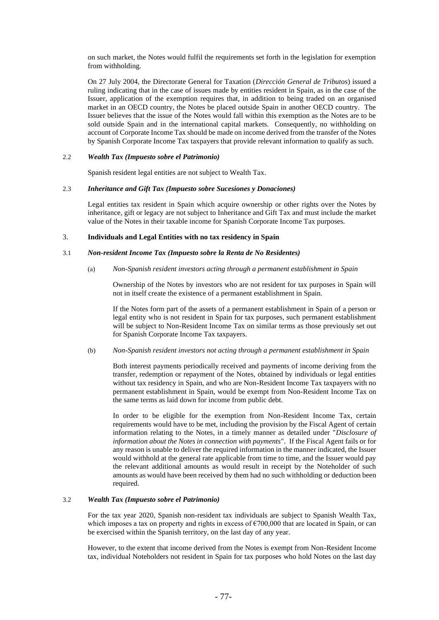on such market, the Notes would fulfil the requirements set forth in the legislation for exemption from withholding.

On 27 July 2004, the Directorate General for Taxation (*Dirección General de Tributos*) issued a ruling indicating that in the case of issues made by entities resident in Spain, as in the case of the Issuer, application of the exemption requires that, in addition to being traded on an organised market in an OECD country, the Notes be placed outside Spain in another OECD country. The Issuer believes that the issue of the Notes would fall within this exemption as the Notes are to be sold outside Spain and in the international capital markets. Consequently, no withholding on account of Corporate Income Tax should be made on income derived from the transfer of the Notes by Spanish Corporate Income Tax taxpayers that provide relevant information to qualify as such.

### 2.2 *Wealth Tax (Impuesto sobre el Patrimonio)*

Spanish resident legal entities are not subject to Wealth Tax.

#### 2.3 *Inheritance and Gift Tax (Impuesto sobre Sucesiones y Donaciones)*

Legal entities tax resident in Spain which acquire ownership or other rights over the Notes by inheritance, gift or legacy are not subject to Inheritance and Gift Tax and must include the market value of the Notes in their taxable income for Spanish Corporate Income Tax purposes.

### 3. **Individuals and Legal Entities with no tax residency in Spain**

#### 3.1 *Non-resident Income Tax (Impuesto sobre la Renta de No Residentes)*

#### (a) *Non-Spanish resident investors acting through a permanent establishment in Spain*

Ownership of the Notes by investors who are not resident for tax purposes in Spain will not in itself create the existence of a permanent establishment in Spain.

If the Notes form part of the assets of a permanent establishment in Spain of a person or legal entity who is not resident in Spain for tax purposes, such permanent establishment will be subject to Non-Resident Income Tax on similar terms as those previously set out for Spanish Corporate Income Tax taxpayers.

## (b) *Non-Spanish resident investors not acting through a permanent establishment in Spain*

Both interest payments periodically received and payments of income deriving from the transfer, redemption or repayment of the Notes, obtained by individuals or legal entities without tax residency in Spain, and who are Non-Resident Income Tax taxpayers with no permanent establishment in Spain, would be exempt from Non-Resident Income Tax on the same terms as laid down for income from public debt.

In order to be eligible for the exemption from Non-Resident Income Tax, certain requirements would have to be met, including the provision by the Fiscal Agent of certain information relating to the Notes, in a timely manner as detailed under "*Disclosure of information about the Notes in connection with payments*". If the Fiscal Agent fails or for any reason is unable to deliver the required information in the manner indicated, the Issuer would withhold at the general rate applicable from time to time, and the Issuer would pay the relevant additional amounts as would result in receipt by the Noteholder of such amounts as would have been received by them had no such withholding or deduction been required.

#### 3.2 *Wealth Tax (Impuesto sobre el Patrimonio)*

For the tax year 2020, Spanish non-resident tax individuals are subject to Spanish Wealth Tax, which imposes a tax on property and rights in excess of  $\epsilon$ 700,000 that are located in Spain, or can be exercised within the Spanish territory, on the last day of any year.

However, to the extent that income derived from the Notes is exempt from Non-Resident Income tax, individual Noteholders not resident in Spain for tax purposes who hold Notes on the last day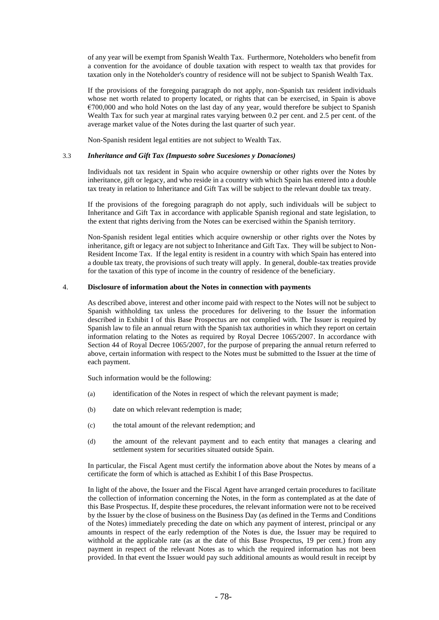of any year will be exempt from Spanish Wealth Tax. Furthermore, Noteholders who benefit from a convention for the avoidance of double taxation with respect to wealth tax that provides for taxation only in the Noteholder's country of residence will not be subject to Spanish Wealth Tax.

If the provisions of the foregoing paragraph do not apply, non-Spanish tax resident individuals whose net worth related to property located, or rights that can be exercised, in Spain is above  $\epsilon$ 700,000 and who hold Notes on the last day of any year, would therefore be subject to Spanish Wealth Tax for such year at marginal rates varying between 0.2 per cent. and 2.5 per cent. of the average market value of the Notes during the last quarter of such year.

Non-Spanish resident legal entities are not subject to Wealth Tax.

#### 3.3 *Inheritance and Gift Tax (Impuesto sobre Sucesiones y Donaciones)*

Individuals not tax resident in Spain who acquire ownership or other rights over the Notes by inheritance, gift or legacy, and who reside in a country with which Spain has entered into a double tax treaty in relation to Inheritance and Gift Tax will be subject to the relevant double tax treaty.

If the provisions of the foregoing paragraph do not apply, such individuals will be subject to Inheritance and Gift Tax in accordance with applicable Spanish regional and state legislation, to the extent that rights deriving from the Notes can be exercised within the Spanish territory.

Non-Spanish resident legal entities which acquire ownership or other rights over the Notes by inheritance, gift or legacy are not subject to Inheritance and Gift Tax. They will be subject to Non-Resident Income Tax. If the legal entity is resident in a country with which Spain has entered into a double tax treaty, the provisions of such treaty will apply. In general, double-tax treaties provide for the taxation of this type of income in the country of residence of the beneficiary.

## 4. **Disclosure of information about the Notes in connection with payments**

As described above, interest and other income paid with respect to the Notes will not be subject to Spanish withholding tax unless the procedures for delivering to the Issuer the information described in Exhibit I of this Base Prospectus are not complied with. The Issuer is required by Spanish law to file an annual return with the Spanish tax authorities in which they report on certain information relating to the Notes as required by Royal Decree 1065/2007. In accordance with Section 44 of Royal Decree 1065/2007, for the purpose of preparing the annual return referred to above, certain information with respect to the Notes must be submitted to the Issuer at the time of each payment.

Such information would be the following:

- (a) identification of the Notes in respect of which the relevant payment is made;
- (b) date on which relevant redemption is made;
- (c) the total amount of the relevant redemption; and
- (d) the amount of the relevant payment and to each entity that manages a clearing and settlement system for securities situated outside Spain.

In particular, the Fiscal Agent must certify the information above about the Notes by means of a certificate the form of which is attached as Exhibit I of this Base Prospectus.

In light of the above, the Issuer and the Fiscal Agent have arranged certain procedures to facilitate the collection of information concerning the Notes, in the form as contemplated as at the date of this Base Prospectus. If, despite these procedures, the relevant information were not to be received by the Issuer by the close of business on the Business Day (as defined in the Terms and Conditions of the Notes) immediately preceding the date on which any payment of interest, principal or any amounts in respect of the early redemption of the Notes is due, the Issuer may be required to withhold at the applicable rate (as at the date of this Base Prospectus, 19 per cent.) from any payment in respect of the relevant Notes as to which the required information has not been provided. In that event the Issuer would pay such additional amounts as would result in receipt by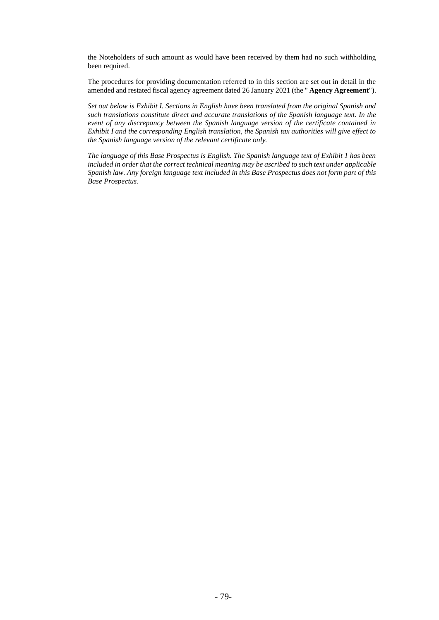the Noteholders of such amount as would have been received by them had no such withholding been required.

The procedures for providing documentation referred to in this section are set out in detail in the amended and restated fiscal agency agreement dated 26 January 2021 (the " **Agency Agreement**").

*Set out below is Exhibit I. Sections in English have been translated from the original Spanish and such translations constitute direct and accurate translations of the Spanish language text. In the event of any discrepancy between the Spanish language version of the certificate contained in Exhibit I and the corresponding English translation, the Spanish tax authorities will give effect to the Spanish language version of the relevant certificate only.*

*The language of this Base Prospectus is English. The Spanish language text of Exhibit 1 has been included in order that the correct technical meaning may be ascribed to such text under applicable Spanish law. Any foreign language text included in this Base Prospectus does not form part of this Base Prospectus.*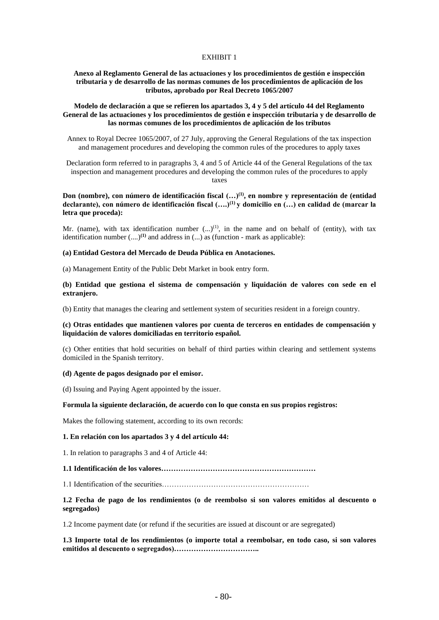#### EXHIBIT 1

## **Anexo al Reglamento General de las actuaciones y los procedimientos de gestión e inspección tributaria y de desarrollo de las normas comunes de los procedimientos de aplicación de los tributos, aprobado por Real Decreto 1065/2007**

#### **Modelo de declaración a que se refieren los apartados 3, 4 y 5 del artículo 44 del Reglamento General de las actuaciones y los procedimientos de gestión e inspección tributaria y de desarrollo de las normas comunes de los procedimientos de aplicación de los tributos**

Annex to Royal Decree 1065/2007, of 27 July, approving the General Regulations of the tax inspection and management procedures and developing the common rules of the procedures to apply taxes

Declaration form referred to in paragraphs 3, 4 and 5 of Article 44 of the General Regulations of the tax inspection and management procedures and developing the common rules of the procedures to apply taxes

**Don (nombre), con número de identificación fiscal (…)(1), en nombre y representación de (entidad declarante), con número de identificación fiscal (….)(1) y domicilio en (…) en calidad de (marcar la letra que proceda):**

Mr. (name), with tax identification number  $(...)^{(1)}$ , in the name and on behalf of (entity), with tax identification number (....)**(1)** and address in (...) as (function - mark as applicable):

#### **(a) Entidad Gestora del Mercado de Deuda Pública en Anotaciones.**

(a) Management Entity of the Public Debt Market in book entry form.

**(b) Entidad que gestiona el sistema de compensación y liquidación de valores con sede en el extranjero.**

(b) Entity that manages the clearing and settlement system of securities resident in a foreign country.

#### **(c) Otras entidades que mantienen valores por cuenta de terceros en entidades de compensación y liquidación de valores domiciliadas en territorio español.**

(c) Other entities that hold securities on behalf of third parties within clearing and settlement systems domiciled in the Spanish territory.

#### **(d) Agente de pagos designado por el emisor.**

(d) Issuing and Paying Agent appointed by the issuer.

#### **Formula la siguiente declaración, de acuerdo con lo que consta en sus propios registros:**

Makes the following statement, according to its own records:

#### **1. En relación con los apartados 3 y 4 del artículo 44:**

1. In relation to paragraphs 3 and 4 of Article 44:

**1.1 Identificación de los valores………………………………………………………**

1.1 Identification of the securities……………………………………………………

#### **1.2 Fecha de pago de los rendimientos (o de reembolso si son valores emitidos al descuento o segregados)**

1.2 Income payment date (or refund if the securities are issued at discount or are segregated)

**1.3 Importe total de los rendimientos (o importe total a reembolsar, en todo caso, si son valores emitidos al descuento o segregados)……………………………..**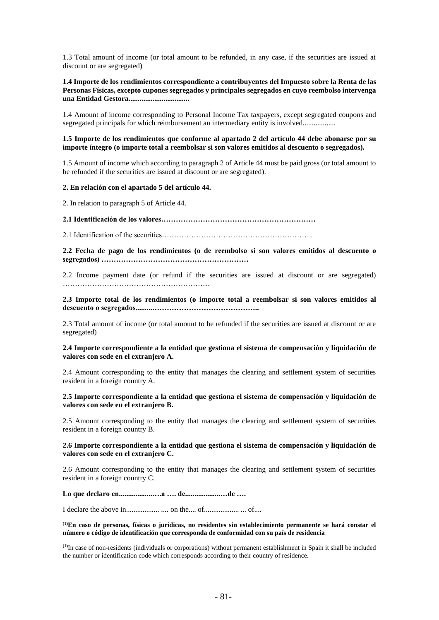1.3 Total amount of income (or total amount to be refunded, in any case, if the securities are issued at discount or are segregated)

**1.4 Importe de los rendimientos correspondiente a contribuyentes del Impuesto sobre la Renta de las Personas Físicas, excepto cupones segregados y principales segregados en cuyo reembolso intervenga una Entidad Gestora.................................**

1.4 Amount of income corresponding to Personal Income Tax taxpayers, except segregated coupons and segregated principals for which reimbursement an intermediary entity is involved...................

**1.5 Importe de los rendimientos que conforme al apartado 2 del artículo 44 debe abonarse por su importe íntegro (o importe total a reembolsar si son valores emitidos al descuento o segregados).**

1.5 Amount of income which according to paragraph 2 of Article 44 must be paid gross (or total amount to be refunded if the securities are issued at discount or are segregated).

#### **2. En relación con el apartado 5 del artículo 44.**

2. In relation to paragraph 5 of Article 44.

**2.1 Identificación de los valores………………………………………………………**

2.1 Identification of the securities……………………………………………………..

**2.2 Fecha de pago de los rendimientos (o de reembolso si son valores emitidos al descuento o segregados) ……………………………………………………**

2.2 Income payment date (or refund if the securities are issued at discount or are segregated) ……………………………………………………

**2.3 Importe total de los rendimientos (o importe total a reembolsar si son valores emitidos al descuento o segregados.........……………………………………..**

2.3 Total amount of income (or total amount to be refunded if the securities are issued at discount or are segregated)

#### **2.4 Importe correspondiente a la entidad que gestiona el sistema de compensación y liquidación de valores con sede en el extranjero A.**

2.4 Amount corresponding to the entity that manages the clearing and settlement system of securities resident in a foreign country A.

#### **2.5 Importe correspondiente a la entidad que gestiona el sistema de compensación y liquidación de valores con sede en el extranjero B.**

2.5 Amount corresponding to the entity that manages the clearing and settlement system of securities resident in a foreign country B.

### **2.6 Importe correspondiente a la entidad que gestiona el sistema de compensación y liquidación de valores con sede en el extranjero C.**

2.6 Amount corresponding to the entity that manages the clearing and settlement system of securities resident in a foreign country C.

**Lo que declaro en..................….a …. de...................…de ….**

I declare the above in.................. .... on the.... of................... ... of....

**(1)En caso de personas, físicas o jurídicas, no residentes sin establecimiento permanente se hará constar el número o código de identificación que corresponda de conformidad con su país de residencia**

**(1)**In case of non-residents (individuals or corporations) without permanent establishment in Spain it shall be included the number or identification code which corresponds according to their country of residence.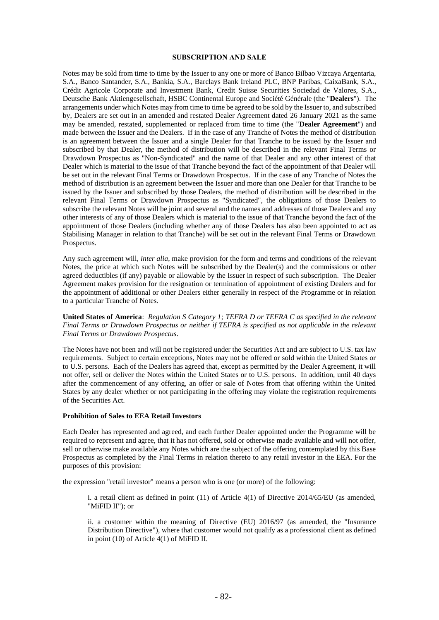#### **SUBSCRIPTION AND SALE**

Notes may be sold from time to time by the Issuer to any one or more of Banco Bilbao Vizcaya Argentaria, S.A., Banco Santander, S.A., Bankia, S.A., Barclays Bank Ireland PLC, BNP Paribas, CaixaBank, S.A., Crédit Agricole Corporate and Investment Bank, Credit Suisse Securities Sociedad de Valores, S.A., Deutsche Bank Aktiengesellschaft, HSBC Continental Europe and Société Générale (the "**Dealers**"). The arrangements under which Notes may from time to time be agreed to be sold by the Issuer to, and subscribed by, Dealers are set out in an amended and restated Dealer Agreement dated 26 January 2021 as the same may be amended, restated, supplemented or replaced from time to time (the "**Dealer Agreement**") and made between the Issuer and the Dealers. If in the case of any Tranche of Notes the method of distribution is an agreement between the Issuer and a single Dealer for that Tranche to be issued by the Issuer and subscribed by that Dealer, the method of distribution will be described in the relevant Final Terms or Drawdown Prospectus as "Non-Syndicated" and the name of that Dealer and any other interest of that Dealer which is material to the issue of that Tranche beyond the fact of the appointment of that Dealer will be set out in the relevant Final Terms or Drawdown Prospectus. If in the case of any Tranche of Notes the method of distribution is an agreement between the Issuer and more than one Dealer for that Tranche to be issued by the Issuer and subscribed by those Dealers, the method of distribution will be described in the relevant Final Terms or Drawdown Prospectus as "Syndicated", the obligations of those Dealers to subscribe the relevant Notes will be joint and several and the names and addresses of those Dealers and any other interests of any of those Dealers which is material to the issue of that Tranche beyond the fact of the appointment of those Dealers (including whether any of those Dealers has also been appointed to act as Stabilising Manager in relation to that Tranche) will be set out in the relevant Final Terms or Drawdown Prospectus.

Any such agreement will, *inter alia*, make provision for the form and terms and conditions of the relevant Notes, the price at which such Notes will be subscribed by the Dealer(s) and the commissions or other agreed deductibles (if any) payable or allowable by the Issuer in respect of such subscription. The Dealer Agreement makes provision for the resignation or termination of appointment of existing Dealers and for the appointment of additional or other Dealers either generally in respect of the Programme or in relation to a particular Tranche of Notes.

**United States of America**: *Regulation S Category 1; TEFRA D or TEFRA C as specified in the relevant Final Terms or Drawdown Prospectus or neither if TEFRA is specified as not applicable in the relevant Final Terms or Drawdown Prospectus*.

The Notes have not been and will not be registered under the Securities Act and are subject to U.S. tax law requirements. Subject to certain exceptions, Notes may not be offered or sold within the United States or to U.S. persons. Each of the Dealers has agreed that, except as permitted by the Dealer Agreement, it will not offer, sell or deliver the Notes within the United States or to U.S. persons. In addition, until 40 days after the commencement of any offering, an offer or sale of Notes from that offering within the United States by any dealer whether or not participating in the offering may violate the registration requirements of the Securities Act.

#### **Prohibition of Sales to EEA Retail Investors**

Each Dealer has represented and agreed, and each further Dealer appointed under the Programme will be required to represent and agree, that it has not offered, sold or otherwise made available and will not offer, sell or otherwise make available any Notes which are the subject of the offering contemplated by this Base Prospectus as completed by the Final Terms in relation thereto to any retail investor in the EEA. For the purposes of this provision:

the expression "retail investor" means a person who is one (or more) of the following:

i. a retail client as defined in point (11) of Article 4(1) of Directive 2014/65/EU (as amended, "MiFID II"); or

ii. a customer within the meaning of Directive (EU) 2016/97 (as amended, the "Insurance Distribution Directive"), where that customer would not qualify as a professional client as defined in point (10) of Article 4(1) of MiFID II.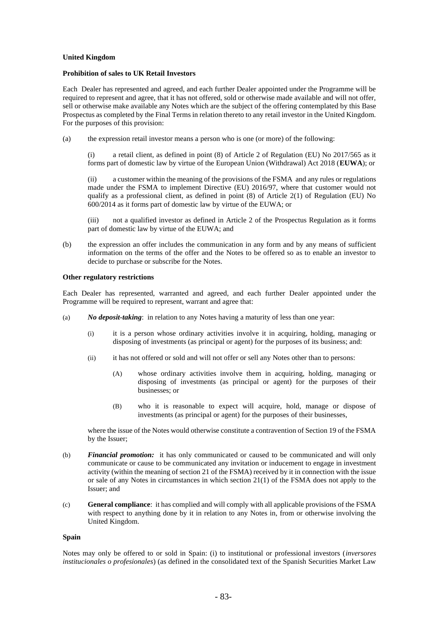## **United Kingdom**

#### **Prohibition of sales to UK Retail Investors**

Each Dealer has represented and agreed, and each further Dealer appointed under the Programme will be required to represent and agree, that it has not offered, sold or otherwise made available and will not offer, sell or otherwise make available any Notes which are the subject of the offering contemplated by this Base Prospectus as completed by the Final Terms in relation thereto to any retail investor in the United Kingdom. For the purposes of this provision:

(a) the expression retail investor means a person who is one (or more) of the following:

(i) a retail client, as defined in point (8) of Article 2 of Regulation (EU) No 2017/565 as it forms part of domestic law by virtue of the European Union (Withdrawal) Act 2018 (**EUWA**); or

(ii) a customer within the meaning of the provisions of the FSMA and any rules or regulations made under the FSMA to implement Directive (EU) 2016/97, where that customer would not qualify as a professional client, as defined in point (8) of Article 2(1) of Regulation (EU) No 600/2014 as it forms part of domestic law by virtue of the EUWA; or

(iii) not a qualified investor as defined in Article 2 of the Prospectus Regulation as it forms part of domestic law by virtue of the EUWA; and

(b) the expression an offer includes the communication in any form and by any means of sufficient information on the terms of the offer and the Notes to be offered so as to enable an investor to decide to purchase or subscribe for the Notes.

#### **Other regulatory restrictions**

Each Dealer has represented, warranted and agreed, and each further Dealer appointed under the Programme will be required to represent, warrant and agree that:

- (a) *No deposit-taking*: in relation to any Notes having a maturity of less than one year:
	- (i) it is a person whose ordinary activities involve it in acquiring, holding, managing or disposing of investments (as principal or agent) for the purposes of its business; and:
	- (ii) it has not offered or sold and will not offer or sell any Notes other than to persons:
		- (A) whose ordinary activities involve them in acquiring, holding, managing or disposing of investments (as principal or agent) for the purposes of their businesses; or
		- (B) who it is reasonable to expect will acquire, hold, manage or dispose of investments (as principal or agent) for the purposes of their businesses,

where the issue of the Notes would otherwise constitute a contravention of Section 19 of the FSMA by the Issuer;

- (b) *Financial promotion:* it has only communicated or caused to be communicated and will only communicate or cause to be communicated any invitation or inducement to engage in investment activity (within the meaning of section 21 of the FSMA) received by it in connection with the issue or sale of any Notes in circumstances in which section 21(1) of the FSMA does not apply to the Issuer; and
- (c) **General compliance**: it has complied and will comply with all applicable provisions of the FSMA with respect to anything done by it in relation to any Notes in, from or otherwise involving the United Kingdom.

#### **Spain**

Notes may only be offered to or sold in Spain: (i) to institutional or professional investors (*inversores institucionales o profesionales*) (as defined in the consolidated text of the Spanish Securities Market Law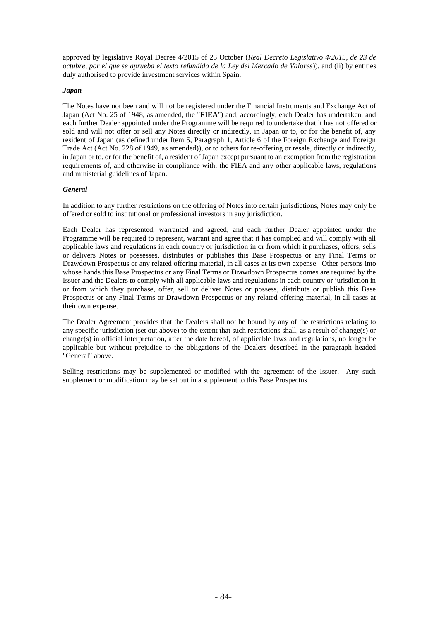approved by legislative Royal Decree 4/2015 of 23 October (*Real Decreto Legislativo 4/2015, de 23 de octubre, por el que se aprueba el texto refundido de la Ley del Mercado de Valores*)), and (ii) by entities duly authorised to provide investment services within Spain.

## *Japan*

The Notes have not been and will not be registered under the Financial Instruments and Exchange Act of Japan (Act No. 25 of 1948, as amended, the "**FIEA**") and, accordingly, each Dealer has undertaken, and each further Dealer appointed under the Programme will be required to undertake that it has not offered or sold and will not offer or sell any Notes directly or indirectly, in Japan or to, or for the benefit of, any resident of Japan (as defined under Item 5, Paragraph 1, Article 6 of the Foreign Exchange and Foreign Trade Act (Act No. 228 of 1949, as amended)), or to others for re-offering or resale, directly or indirectly, in Japan or to, or for the benefit of, a resident of Japan except pursuant to an exemption from the registration requirements of, and otherwise in compliance with, the FIEA and any other applicable laws, regulations and ministerial guidelines of Japan.

## *General*

In addition to any further restrictions on the offering of Notes into certain jurisdictions, Notes may only be offered or sold to institutional or professional investors in any jurisdiction.

Each Dealer has represented, warranted and agreed, and each further Dealer appointed under the Programme will be required to represent, warrant and agree that it has complied and will comply with all applicable laws and regulations in each country or jurisdiction in or from which it purchases, offers, sells or delivers Notes or possesses, distributes or publishes this Base Prospectus or any Final Terms or Drawdown Prospectus or any related offering material, in all cases at its own expense. Other persons into whose hands this Base Prospectus or any Final Terms or Drawdown Prospectus comes are required by the Issuer and the Dealers to comply with all applicable laws and regulations in each country or jurisdiction in or from which they purchase, offer, sell or deliver Notes or possess, distribute or publish this Base Prospectus or any Final Terms or Drawdown Prospectus or any related offering material, in all cases at their own expense.

The Dealer Agreement provides that the Dealers shall not be bound by any of the restrictions relating to any specific jurisdiction (set out above) to the extent that such restrictions shall, as a result of change(s) or change(s) in official interpretation, after the date hereof, of applicable laws and regulations, no longer be applicable but without prejudice to the obligations of the Dealers described in the paragraph headed "General" above.

Selling restrictions may be supplemented or modified with the agreement of the Issuer. Any such supplement or modification may be set out in a supplement to this Base Prospectus.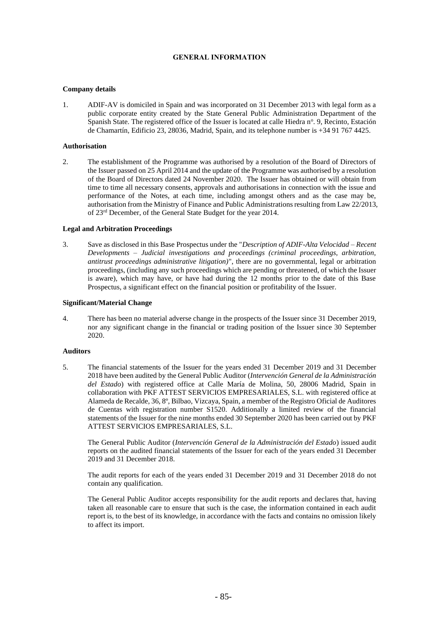## **GENERAL INFORMATION**

## **Company details**

1. ADIF-AV is domiciled in Spain and was incorporated on 31 December 2013 with legal form as a public corporate entity created by the State General Public Administration Department of the Spanish State. The registered office of the Issuer is located at calle Hiedra nº. 9, Recinto, Estación de Chamartín, Edificio 23, 28036, Madrid, Spain, and its telephone number is +34 91 767 4425.

## **Authorisation**

2. The establishment of the Programme was authorised by a resolution of the Board of Directors of the Issuer passed on 25 April 2014 and the update of the Programme was authorised by a resolution of the Board of Directors dated 24 November 2020. The Issuer has obtained or will obtain from time to time all necessary consents, approvals and authorisations in connection with the issue and performance of the Notes, at each time, including amongst others and as the case may be, authorisation from the Ministry of Finance and Public Administrations resulting from Law 22/2013, of 23rd December, of the General State Budget for the year 2014.

## **Legal and Arbitration Proceedings**

3. Save as disclosed in this Base Prospectus under the "*Description of ADIF-Alta Velocidad – Recent Developments – Judicial investigations and proceedings (criminal proceedings, arbitration, antitrust proceedings administrative litigation)*", there are no governmental, legal or arbitration proceedings, (including any such proceedings which are pending or threatened, of which the Issuer is aware), which may have, or have had during the 12 months prior to the date of this Base Prospectus, a significant effect on the financial position or profitability of the Issuer.

### **Significant/Material Change**

4. There has been no material adverse change in the prospects of the Issuer since 31 December 2019, nor any significant change in the financial or trading position of the Issuer since 30 September 2020.

## **Auditors**

5. The financial statements of the Issuer for the years ended 31 December 2019 and 31 December 2018 have been audited by the General Public Auditor (*Intervención General de la Administración del Estado*) with registered office at Calle María de Molina, 50, 28006 Madrid, Spain in collaboration with PKF ATTEST SERVICIOS EMPRESARIALES, S.L. with registered office at Alameda de Recalde, 36, 8º, Bilbao, Vizcaya, Spain, a member of the Registro Oficial de Auditores de Cuentas with registration number S1520. Additionally a limited review of the financial statements of the Issuer for the nine months ended 30 September 2020 has been carried out by PKF ATTEST SERVICIOS EMPRESARIALES, S.L.

The General Public Auditor (*Intervención General de la Administración del Estado*) issued audit reports on the audited financial statements of the Issuer for each of the years ended 31 December 2019 and 31 December 2018.

The audit reports for each of the years ended 31 December 2019 and 31 December 2018 do not contain any qualification.

The General Public Auditor accepts responsibility for the audit reports and declares that, having taken all reasonable care to ensure that such is the case, the information contained in each audit report is, to the best of its knowledge, in accordance with the facts and contains no omission likely to affect its import.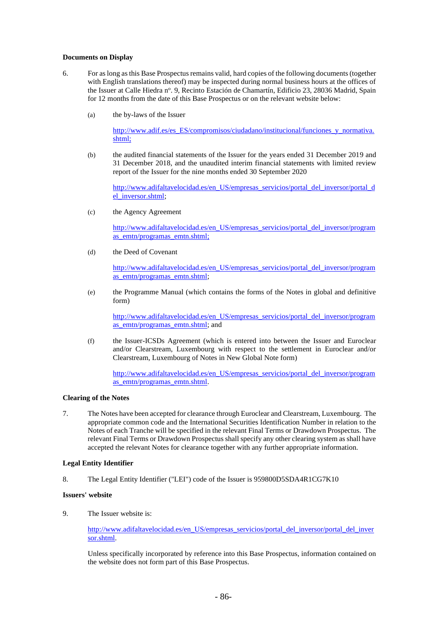## **Documents on Display**

- 6. For as long as this Base Prospectus remains valid, hard copies of the following documents (together with English translations thereof) may be inspected during normal business hours at the offices of the Issuer at Calle Hiedra nº. 9, Recinto Estación de Chamartín, Edificio 23, 28036 Madrid, Spain for 12 months from the date of this Base Prospectus or on the relevant website below:
	- (a) the by-laws of the Issuer

[http://www.adif.es/es\\_ES/compromisos/ciudadano/institucional/funciones\\_y\\_normativa.](http://www.adif.es/es_ES/compromisos/ciudadano/institucional/funciones_y_normativa.shtml) [shtml;](http://www.adif.es/es_ES/compromisos/ciudadano/institucional/funciones_y_normativa.shtml)

(b) the audited financial statements of the Issuer for the years ended 31 December 2019 and 31 December 2018, and the unaudited interim financial statements with limited review report of the Issuer for the nine months ended 30 September 2020

[http://www.adifaltavelocidad.es/en\\_US/empresas\\_servicios/portal\\_del\\_inversor/portal\\_d](http://www.adifaltavelocidad.es/en_US/empresas_servicios/portal_del_inversor/portal_del_inversor.shtml) [el\\_inversor.shtml;](http://www.adifaltavelocidad.es/en_US/empresas_servicios/portal_del_inversor/portal_del_inversor.shtml)

(c) the Agency Agreement

[http://www.adifaltavelocidad.es/en\\_US/empresas\\_servicios/portal\\_del\\_inversor/program](http://www.adifaltavelocidad.es/en_US/empresas_servicios/portal_del_inversor/programas_emtn/programas_emtn.shtml) as emtn/programas emtn.shtml;

(d) the Deed of Covenant

[http://www.adifaltavelocidad.es/en\\_US/empresas\\_servicios/portal\\_del\\_inversor/program](http://www.adifaltavelocidad.es/en_US/empresas_servicios/portal_del_inversor/programas_emtn/programas_emtn.shtml) as emtn/programas emtn.shtml;

(e) the Programme Manual (which contains the forms of the Notes in global and definitive form)

[http://www.adifaltavelocidad.es/en\\_US/empresas\\_servicios/portal\\_del\\_inversor/program](http://www.adifaltavelocidad.es/en_US/empresas_servicios/portal_del_inversor/programas_emtn/programas_emtn.shtml) as emtn/programas emtn.shtml; and

(f) the Issuer-ICSDs Agreement (which is entered into between the Issuer and Euroclear and/or Clearstream, Luxembourg with respect to the settlement in Euroclear and/or Clearstream, Luxembourg of Notes in New Global Note form)

[http://www.adifaltavelocidad.es/en\\_US/empresas\\_servicios/portal\\_del\\_inversor/program](http://www.adifaltavelocidad.es/en_US/empresas_servicios/portal_del_inversor/programas_emtn/programas_emtn.shtml) [as\\_emtn/programas\\_emtn.shtml.](http://www.adifaltavelocidad.es/en_US/empresas_servicios/portal_del_inversor/programas_emtn/programas_emtn.shtml)

## **Clearing of the Notes**

7. The Notes have been accepted for clearance through Euroclear and Clearstream, Luxembourg. The appropriate common code and the International Securities Identification Number in relation to the Notes of each Tranche will be specified in the relevant Final Terms or Drawdown Prospectus. The relevant Final Terms or Drawdown Prospectus shall specify any other clearing system as shall have accepted the relevant Notes for clearance together with any further appropriate information.

#### **Legal Entity Identifier**

8. The Legal Entity Identifier ("LEI") code of the Issuer is 959800D5SDA4R1CG7K10

#### **Issuers' website**

9. The Issuer website is:

[http://www.adifaltavelocidad.es/en\\_US/empresas\\_servicios/portal\\_del\\_inversor/portal\\_del\\_inver](http://www.adifaltavelocidad.es/en_US/empresas_servicios/portal_del_inversor/portal_del_inversor.shtml) [sor.shtml.](http://www.adifaltavelocidad.es/en_US/empresas_servicios/portal_del_inversor/portal_del_inversor.shtml)

Unless specifically incorporated by reference into this Base Prospectus, information contained on the website does not form part of this Base Prospectus.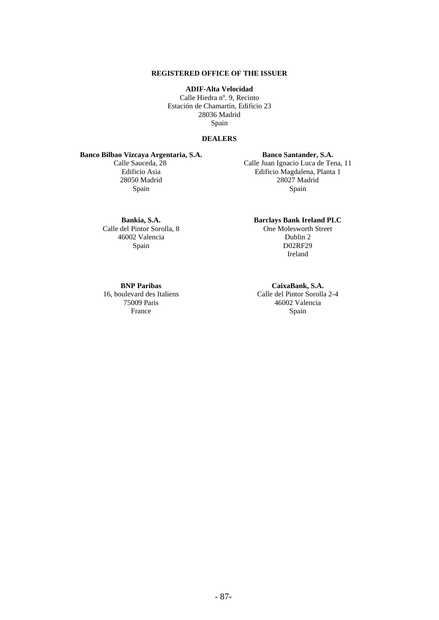# **REGISTERED OFFICE OF THE ISSUER**

**ADIF-Alta Velocidad** Calle Hiedra nº. 9, Recinto Estación de Chamartín, Edificio 23 28036 Madrid Spain

#### **DEALERS**

# **Banco Bilbao Vizcaya Argentaria, S.A.**

Calle Sauceda, 28 Edificio Asia 28050 Madrid Spain

## **Banco Santander, S.A.** Calle Juan Ignacio Luca de Tena, 11 Edificio Magdalena, Planta 1 28027 Madrid Spain

### **Bankia, S.A.** Calle del Pintor Sorolla, 8

46002 Valencia Spain

**Barclays Bank Ireland PLC** One Molesworth Street Dublin 2 D02RF29 Ireland

## **BNP Paribas**

16, boulevard des Italiens 75009 Paris France

# **CaixaBank, S.A.**

Calle del Pintor Sorolla 2-4 46002 Valencia Spain